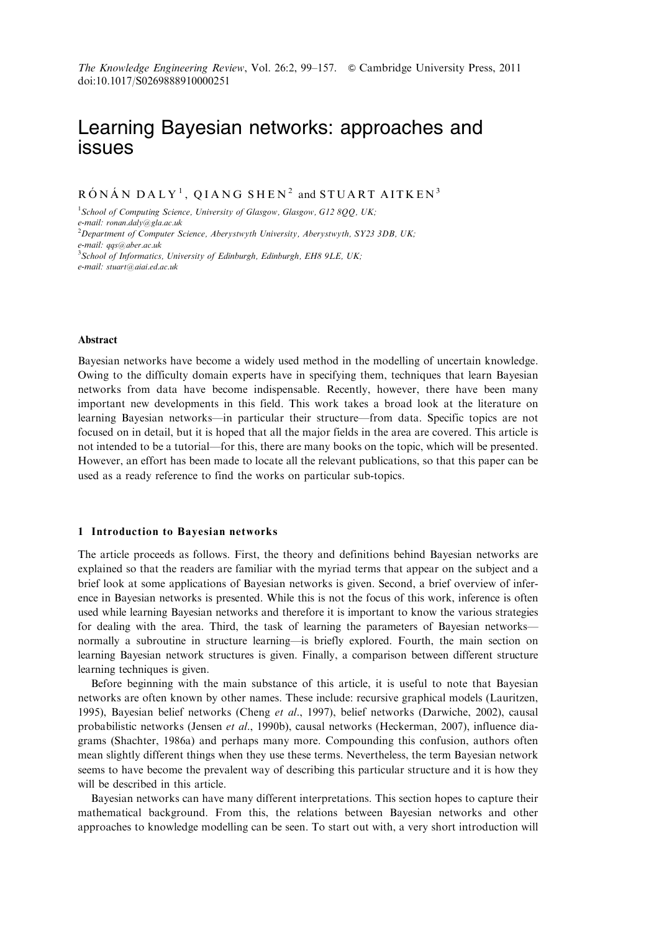# Learning Bayesian networks: approaches and issues

 $R$  ONÁN DALY<sup>1</sup>, QIANG SHEN<sup>2</sup> and STUART AITKEN<sup>3</sup>

<sup>1</sup>School of Computing Science, University of Glasgow, Glasgow, G12 8QQ, UK; e-mail: ronan.daly@gla.ac.uk  $^{2}$ Department of Computer Science, Aberystwyth University, Aberystwyth, SY23 3DB, UK; e-mail: qqs@aber.ac.uk <sup>3</sup>School of Informatics, University of Edinburgh, Edinburgh, EH8 9LE, UK; e-mail: stuart@aiai.ed.ac.uk

#### Abstract

Bayesian networks have become a widely used method in the modelling of uncertain knowledge. Owing to the difficulty domain experts have in specifying them, techniques that learn Bayesian networks from data have become indispensable. Recently, however, there have been many important new developments in this field. This work takes a broad look at the literature on learning Bayesian networks—in particular their structure—from data. Specific topics are not focused on in detail, but it is hoped that all the major fields in the area are covered. This article is not intended to be a tutorial—for this, there are many books on the topic, which will be presented. However, an effort has been made to locate all the relevant publications, so that this paper can be used as a ready reference to find the works on particular sub-topics.

# 1 Introduction to Bayesian networks

The article proceeds as follows. First, the theory and definitions behind Bayesian networks are explained so that the readers are familiar with the myriad terms that appear on the subject and a brief look at some applications of Bayesian networks is given. Second, a brief overview of inference in Bayesian networks is presented. While this is not the focus of this work, inference is often used while learning Bayesian networks and therefore it is important to know the various strategies for dealing with the area. Third, the task of learning the parameters of Bayesian networks normally a subroutine in structure learning—is briefly explored. Fourth, the main section on learning Bayesian network structures is given. Finally, a comparison between different structure learning techniques is given.

Before beginning with the main substance of this article, it is useful to note that Bayesian networks are often known by other names. These include: recursive graphical models (Lauritzen, 1995), Bayesian belief networks (Cheng et al., 1997), belief networks (Darwiche, 2002), causal probabilistic networks (Jensen et al., 1990b), causal networks (Heckerman, 2007), influence diagrams (Shachter, 1986a) and perhaps many more. Compounding this confusion, authors often mean slightly different things when they use these terms. Nevertheless, the term Bayesian network seems to have become the prevalent way of describing this particular structure and it is how they will be described in this article.

Bayesian networks can have many different interpretations. This section hopes to capture their mathematical background. From this, the relations between Bayesian networks and other approaches to knowledge modelling can be seen. To start out with, a very short introduction will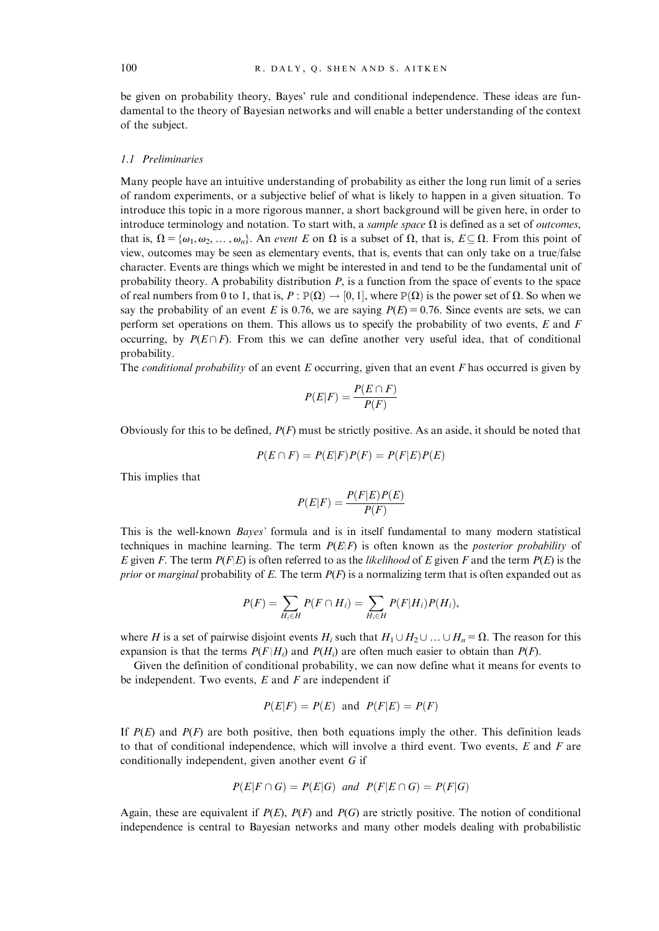be given on probability theory, Bayes' rule and conditional independence. These ideas are fundamental to the theory of Bayesian networks and will enable a better understanding of the context of the subject.

#### 1.1 Preliminaries

Many people have an intuitive understanding of probability as either the long run limit of a series of random experiments, or a subjective belief of what is likely to happen in a given situation. To introduce this topic in a more rigorous manner, a short background will be given here, in order to introduce terminology and notation. To start with, a *sample space*  $\Omega$  is defined as a set of *outcomes*, that is,  $\Omega = {\omega_1, \omega_2, ..., \omega_n}$ . An event E on  $\Omega$  is a subset of  $\Omega$ , that is,  $E \subset \Omega$ . From this point of view, outcomes may be seen as elementary events, that is, events that can only take on a true/false character. Events are things which we might be interested in and tend to be the fundamental unit of probability theory. A probability distribution  $P$ , is a function from the space of events to the space of real numbers from 0 to 1, that is,  $P : P(\Omega) \to [0, 1]$ , where  $P(\Omega)$  is the power set of  $\Omega$ . So when we say the probability of an event E is 0.76, we are saying  $P(E) = 0.76$ . Since events are sets, we can perform set operations on them. This allows us to specify the probability of two events, E and F occurring, by  $P(E \cap F)$ . From this we can define another very useful idea, that of conditional probability.

The *conditional probability* of an event  $E$  occurring, given that an event  $F$  has occurred is given by

$$
P(E|F) = \frac{P(E \cap F)}{P(F)}
$$

Obviously for this to be defined,  $P(F)$  must be strictly positive. As an aside, it should be noted that

$$
P(E \cap F) = P(E|F)P(F) = P(F|E)P(E)
$$

This implies that

$$
P(E|F) = \frac{P(F|E)P(E)}{P(F)}
$$

This is the well-known Bayes' formula and is in itself fundamental to many modern statistical techniques in machine learning. The term  $P(E|F)$  is often known as the *posterior probability* of E given F. The term  $P(F|E)$  is often referred to as the *likelihood* of E given F and the term  $P(E)$  is the prior or marginal probability of E. The term  $P(F)$  is a normalizing term that is often expanded out as

$$
P(F) = \sum_{H_i \in H} P(F \cap H_i) = \sum_{H_i \in H} P(F|H_i)P(H_i),
$$

where H is a set of pairwise disjoint events H<sub>i</sub> such that  $H_1 \cup H_2 \cup ... \cup H_n = \Omega$ . The reason for this expansion is that the terms  $P(F|H_i)$  and  $P(H_i)$  are often much easier to obtain than  $P(F)$ .

Given the definition of conditional probability, we can now define what it means for events to be independent. Two events,  $E$  and  $F$  are independent if

$$
P(E|F) = P(E) \text{ and } P(F|E) = P(F)
$$

If  $P(E)$  and  $P(F)$  are both positive, then both equations imply the other. This definition leads to that of conditional independence, which will involve a third event. Two events,  $E$  and  $F$  are conditionally independent, given another event G if

$$
P(E|F \cap G) = P(E|G) \quad and \quad P(F|E \cap G) = P(F|G)
$$

Again, these are equivalent if  $P(E)$ ,  $P(F)$  and  $P(G)$  are strictly positive. The notion of conditional independence is central to Bayesian networks and many other models dealing with probabilistic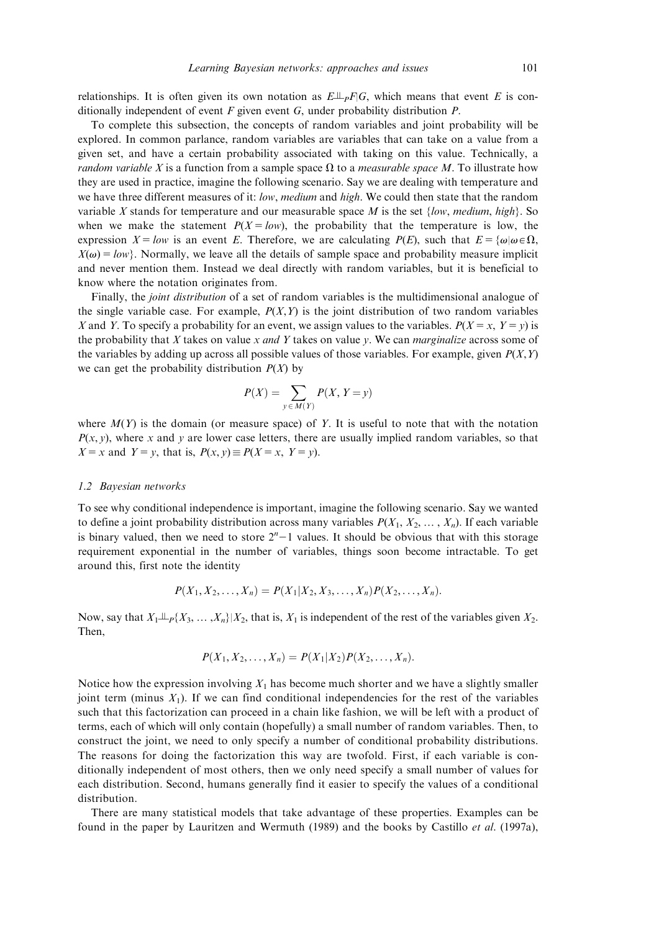relationships. It is often given its own notation as  $E \perp \!\!\!\perp_{P} F|G$ , which means that event E is conditionally independent of event  $F$  given event  $G$ , under probability distribution  $P$ .

To complete this subsection, the concepts of random variables and joint probability will be explored. In common parlance, random variables are variables that can take on a value from a given set, and have a certain probability associated with taking on this value. Technically, a *random variable X* is a function from a sample space  $\Omega$  to a *measurable space M*. To illustrate how they are used in practice, imagine the following scenario. Say we are dealing with temperature and we have three different measures of it: low, medium and high. We could then state that the random variable X stands for temperature and our measurable space M is the set  $\{low, medium, high\}$ . So when we make the statement  $P(X = low)$ , the probability that the temperature is low, the expression  $X = low$  is an event E. Therefore, we are calculating  $P(E)$ , such that  $E = \{\omega | \omega \in \Omega, \omega \in \Omega\}$  $X(\omega) = low$ }. Normally, we leave all the details of sample space and probability measure implicit and never mention them. Instead we deal directly with random variables, but it is beneficial to know where the notation originates from.

Finally, the *joint distribution* of a set of random variables is the multidimensional analogue of the single variable case. For example,  $P(X, Y)$  is the joint distribution of two random variables X and Y. To specify a probability for an event, we assign values to the variables.  $P(X = x, Y = y)$  is the probability that  $X$  takes on value  $x$  and  $Y$  takes on value  $y$ . We can *marginalize* across some of the variables by adding up across all possible values of those variables. For example, given  $P(X, Y)$ we can get the probability distribution  $P(X)$  by

$$
P(X) = \sum_{y \in M(Y)} P(X, Y = y)
$$

where  $M(Y)$  is the domain (or measure space) of Y. It is useful to note that with the notation  $P(x, y)$ , where x and y are lower case letters, there are usually implied random variables, so that  $X = x$  and  $Y = y$ , that is,  $P(x, y) \equiv P(X = x, Y = y)$ .

#### 1.2 Bayesian networks

To see why conditional independence is important, imagine the following scenario. Say we wanted to define a joint probability distribution across many variables  $P(X_1, X_2, \ldots, X_n)$ . If each variable is binary valued, then we need to store  $2<sup>n</sup>-1$  values. It should be obvious that with this storage requirement exponential in the number of variables, things soon become intractable. To get around this, first note the identity

$$
P(X_1, X_2, \ldots, X_n) = P(X_1 | X_2, X_3, \ldots, X_n) P(X_2, \ldots, X_n).
$$

Now, say that  $X_1 \perp_{P} \{X_3,\ldots,X_n\} | X_2$ , that is,  $X_1$  is independent of the rest of the variables given  $X_2$ . Then,

$$
P(X_1, X_2, \ldots, X_n) = P(X_1 | X_2) P(X_2, \ldots, X_n).
$$

Notice how the expression involving  $X_1$  has become much shorter and we have a slightly smaller joint term (minus  $X_1$ ). If we can find conditional independencies for the rest of the variables such that this factorization can proceed in a chain like fashion, we will be left with a product of terms, each of which will only contain (hopefully) a small number of random variables. Then, to construct the joint, we need to only specify a number of conditional probability distributions. The reasons for doing the factorization this way are twofold. First, if each variable is conditionally independent of most others, then we only need specify a small number of values for each distribution. Second, humans generally find it easier to specify the values of a conditional distribution.

There are many statistical models that take advantage of these properties. Examples can be found in the paper by Lauritzen and Wermuth (1989) and the books by Castillo et al. (1997a),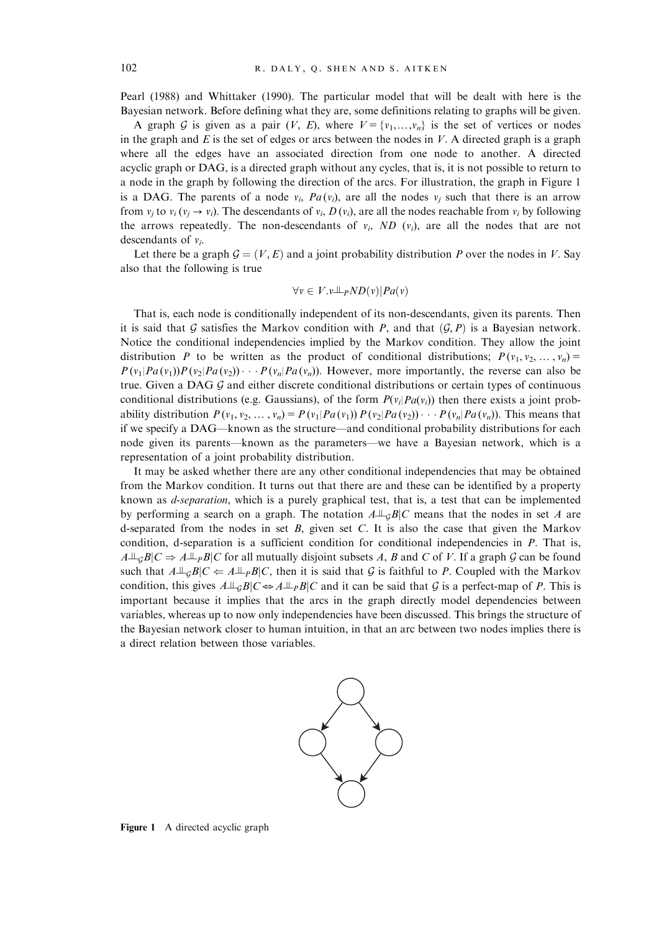Pearl (1988) and Whittaker (1990). The particular model that will be dealt with here is the Bayesian network. Before defining what they are, some definitions relating to graphs will be given.

A graph G is given as a pair  $(V, E)$ , where  $V = \{v_1, \ldots, v_n\}$  is the set of vertices or nodes in the graph and  $E$  is the set of edges or arcs between the nodes in  $V$ . A directed graph is a graph where all the edges have an associated direction from one node to another. A directed acyclic graph or DAG, is a directed graph without any cycles, that is, it is not possible to return to a node in the graph by following the direction of the arcs. For illustration, the graph in Figure 1 is a DAG. The parents of a node  $v_i$ ,  $Pa(v_i)$ , are all the nodes  $v_i$  such that there is an arrow from  $v_i$  to  $v_i$  ( $v_j \rightarrow v_i$ ). The descendants of  $v_i$ ,  $D(v_i)$ , are all the nodes reachable from  $v_i$  by following the arrows repeatedly. The non-descendants of  $v_i$ , ND ( $v_i$ ), are all the nodes that are not descendants of  $v_i$ .

Let there be a graph  $G = (V, E)$  and a joint probability distribution P over the nodes in V. Say also that the following is true

$$
\forall v \in V. v \perp pND(v) | Pa(v)
$$

That is, each node is conditionally independent of its non-descendants, given its parents. Then it is said that G satisfies the Markov condition with P, and that  $(G, P)$  is a Bayesian network. Notice the conditional independencies implied by the Markov condition. They allow the joint distribution P to be written as the product of conditional distributions;  $P(v_1, v_2, \ldots, v_n)$  $P(v_1|Pa(v_1))P(v_2|Pa(v_2))\cdots P(v_n|Pa(v_n))$ . However, more importantly, the reverse can also be true. Given a DAG  $G$  and either discrete conditional distributions or certain types of continuous conditional distributions (e.g. Gaussians), of the form  $P(v_i|Pa(v_i))$  then there exists a joint probability distribution  $P(v_1, v_2, \ldots, v_n) = P(v_1|Pa(v_1))P(v_2|Pa(v_2))\cdots P(v_n|Pa(v_n))$ . This means that if we specify a DAG—known as the structure—and conditional probability distributions for each node given its parents—known as the parameters—we have a Bayesian network, which is a representation of a joint probability distribution.

It may be asked whether there are any other conditional independencies that may be obtained from the Markov condition. It turns out that there are and these can be identified by a property known as d-separation, which is a purely graphical test, that is, a test that can be implemented by performing a search on a graph. The notation  $A \perp \!\!\!\perp_G B/C$  means that the nodes in set A are d-separated from the nodes in set  $B$ , given set  $C$ . It is also the case that given the Markov condition, d-separation is a sufficient condition for conditional independencies in  $P$ . That is,  $A \perp \!\!\!\perp_{\mathcal{G}} B | C \Rightarrow A \perp \!\!\!\perp_{P} B | C$  for all mutually disjoint subsets A, B and C of V. If a graph G can be found such that  $A \perp \!\!\!\perp_{\mathcal{G}} B | C \Leftarrow A \perp \!\!\!\perp_{P} B | C$ , then it is said that G is faithful to P. Coupled with the Markov condition, this gives  $A \perp \!\!\!\perp_G B/C \Leftrightarrow A \perp \!\!\!\perp_P B/C$  and it can be said that G is a perfect-map of P. This is important because it implies that the arcs in the graph directly model dependencies between variables, whereas up to now only independencies have been discussed. This brings the structure of the Bayesian network closer to human intuition, in that an arc between two nodes implies there is a direct relation between those variables.



Figure 1 A directed acyclic graph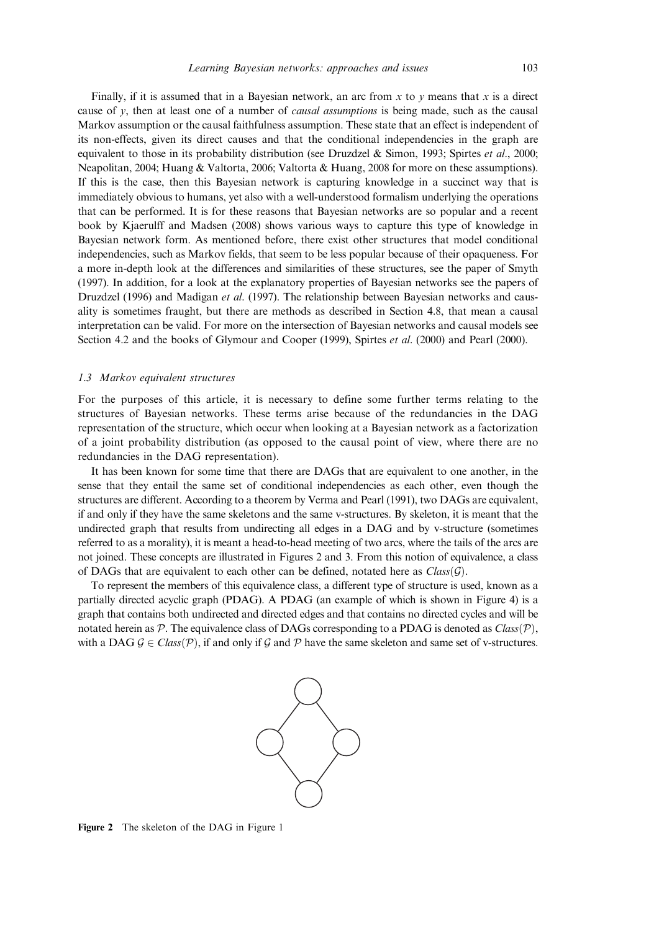Finally, if it is assumed that in a Bayesian network, an arc from x to y means that x is a direct cause of  $\gamma$ , then at least one of a number of *causal assumptions* is being made, such as the causal Markov assumption or the causal faithfulness assumption. These state that an effect is independent of its non-effects, given its direct causes and that the conditional independencies in the graph are equivalent to those in its probability distribution (see Druzdzel & Simon, 1993; Spirtes *et al.*, 2000; Neapolitan, 2004; Huang & Valtorta, 2006; Valtorta & Huang, 2008 for more on these assumptions). If this is the case, then this Bayesian network is capturing knowledge in a succinct way that is immediately obvious to humans, yet also with a well-understood formalism underlying the operations that can be performed. It is for these reasons that Bayesian networks are so popular and a recent book by Kjaerulff and Madsen (2008) shows various ways to capture this type of knowledge in Bayesian network form. As mentioned before, there exist other structures that model conditional independencies, such as Markov fields, that seem to be less popular because of their opaqueness. For a more in-depth look at the differences and similarities of these structures, see the paper of Smyth (1997). In addition, for a look at the explanatory properties of Bayesian networks see the papers of Druzdzel (1996) and Madigan et al. (1997). The relationship between Bayesian networks and causality is sometimes fraught, but there are methods as described in Section 4.8, that mean a causal interpretation can be valid. For more on the intersection of Bayesian networks and causal models see Section 4.2 and the books of Glymour and Cooper (1999), Spirtes et al. (2000) and Pearl (2000).

#### 1.3 Markov equivalent structures

For the purposes of this article, it is necessary to define some further terms relating to the structures of Bayesian networks. These terms arise because of the redundancies in the DAG representation of the structure, which occur when looking at a Bayesian network as a factorization of a joint probability distribution (as opposed to the causal point of view, where there are no redundancies in the DAG representation).

It has been known for some time that there are DAGs that are equivalent to one another, in the sense that they entail the same set of conditional independencies as each other, even though the structures are different. According to a theorem by Verma and Pearl (1991), two DAGs are equivalent, if and only if they have the same skeletons and the same v-structures. By skeleton, it is meant that the undirected graph that results from undirecting all edges in a DAG and by v-structure (sometimes referred to as a morality), it is meant a head-to-head meeting of two arcs, where the tails of the arcs are not joined. These concepts are illustrated in Figures 2 and 3. From this notion of equivalence, a class of DAGs that are equivalent to each other can be defined, notated here as  $Class(G)$ .

To represent the members of this equivalence class, a different type of structure is used, known as a partially directed acyclic graph (PDAG). A PDAG (an example of which is shown in Figure 4) is a graph that contains both undirected and directed edges and that contains no directed cycles and will be notated herein as P. The equivalence class of DAGs corresponding to a PDAG is denoted as  $Class(P)$ , with a DAG  $\mathcal{G} \in Class(\mathcal{P})$ , if and only if G and P have the same skeleton and same set of v-structures.



Figure 2 The skeleton of the DAG in Figure 1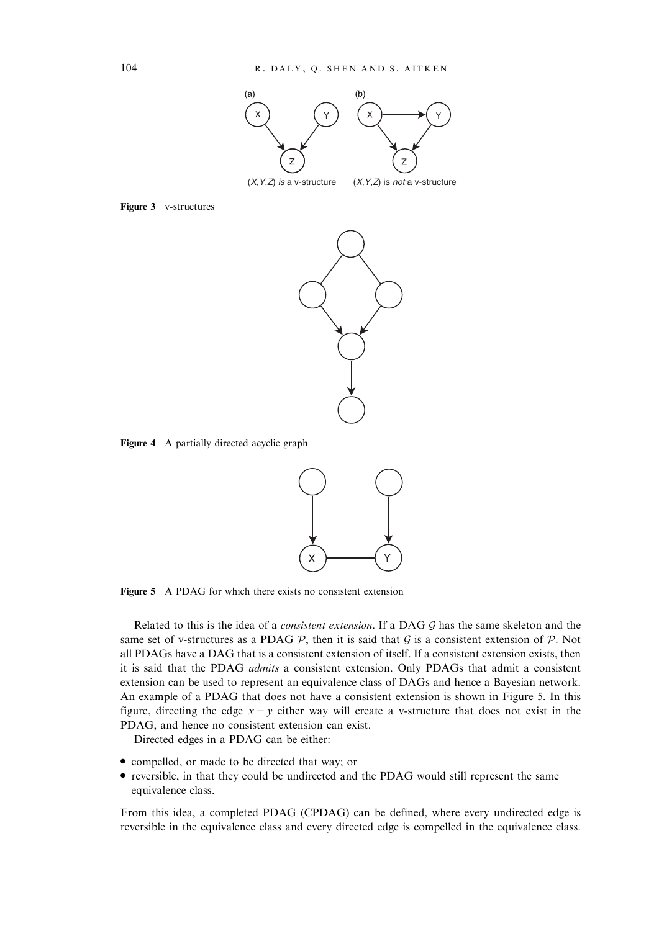





Figure 4 A partially directed acyclic graph



Figure 5 A PDAG for which there exists no consistent extension

Related to this is the idea of a *consistent extension*. If a DAG  $G$  has the same skeleton and the same set of v-structures as a PDAG  $P$ , then it is said that G is a consistent extension of P. Not all PDAGs have a DAG that is a consistent extension of itself. If a consistent extension exists, then it is said that the PDAG admits a consistent extension. Only PDAGs that admit a consistent extension can be used to represent an equivalence class of DAGs and hence a Bayesian network. An example of a PDAG that does not have a consistent extension is shown in Figure 5. In this figure, directing the edge  $x - y$  either way will create a v-structure that does not exist in the PDAG, and hence no consistent extension can exist.

Directed edges in a PDAG can be either:

- <sup>&</sup>gt; compelled, or made to be directed that way; or
- <sup>&</sup>gt; reversible, in that they could be undirected and the PDAG would still represent the same equivalence class.

From this idea, a completed PDAG (CPDAG) can be defined, where every undirected edge is reversible in the equivalence class and every directed edge is compelled in the equivalence class.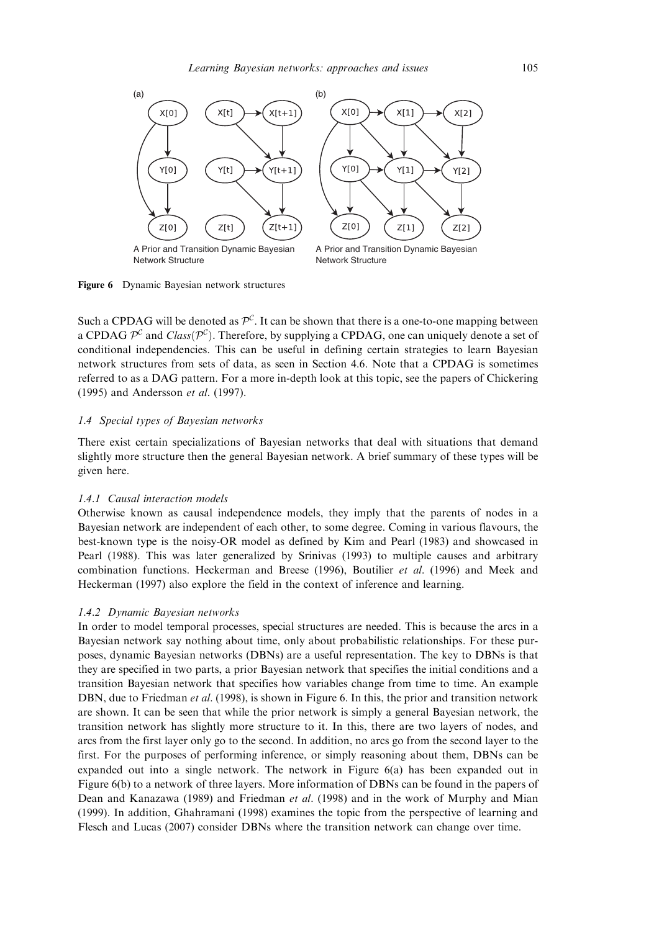

Figure 6 Dynamic Bayesian network structures

Such a CPDAG will be denoted as  $\mathcal{P}^{\mathcal{C}}$ . It can be shown that there is a one-to-one mapping between a CPDAG  $\mathcal{P}^{\mathcal{C}}$  and  $Class(\mathcal{P}^{\mathcal{C}})$ . Therefore, by supplying a CPDAG, one can uniquely denote a set of conditional independencies. This can be useful in defining certain strategies to learn Bayesian network structures from sets of data, as seen in Section 4.6. Note that a CPDAG is sometimes referred to as a DAG pattern. For a more in-depth look at this topic, see the papers of Chickering (1995) and Andersson et al. (1997).

# 1.4 Special types of Bayesian networks

There exist certain specializations of Bayesian networks that deal with situations that demand slightly more structure then the general Bayesian network. A brief summary of these types will be given here.

#### 1.4.1 Causal interaction models

Otherwise known as causal independence models, they imply that the parents of nodes in a Bayesian network are independent of each other, to some degree. Coming in various flavours, the best-known type is the noisy-OR model as defined by Kim and Pearl (1983) and showcased in Pearl (1988). This was later generalized by Srinivas (1993) to multiple causes and arbitrary combination functions. Heckerman and Breese (1996), Boutilier et al. (1996) and Meek and Heckerman (1997) also explore the field in the context of inference and learning.

# 1.4.2 Dynamic Bayesian networks

In order to model temporal processes, special structures are needed. This is because the arcs in a Bayesian network say nothing about time, only about probabilistic relationships. For these purposes, dynamic Bayesian networks (DBNs) are a useful representation. The key to DBNs is that they are specified in two parts, a prior Bayesian network that specifies the initial conditions and a transition Bayesian network that specifies how variables change from time to time. An example DBN, due to Friedman *et al.* (1998), is shown in Figure 6. In this, the prior and transition network are shown. It can be seen that while the prior network is simply a general Bayesian network, the transition network has slightly more structure to it. In this, there are two layers of nodes, and arcs from the first layer only go to the second. In addition, no arcs go from the second layer to the first. For the purposes of performing inference, or simply reasoning about them, DBNs can be expanded out into a single network. The network in Figure 6(a) has been expanded out in Figure 6(b) to a network of three layers. More information of DBNs can be found in the papers of Dean and Kanazawa (1989) and Friedman et al. (1998) and in the work of Murphy and Mian (1999). In addition, Ghahramani (1998) examines the topic from the perspective of learning and Flesch and Lucas (2007) consider DBNs where the transition network can change over time.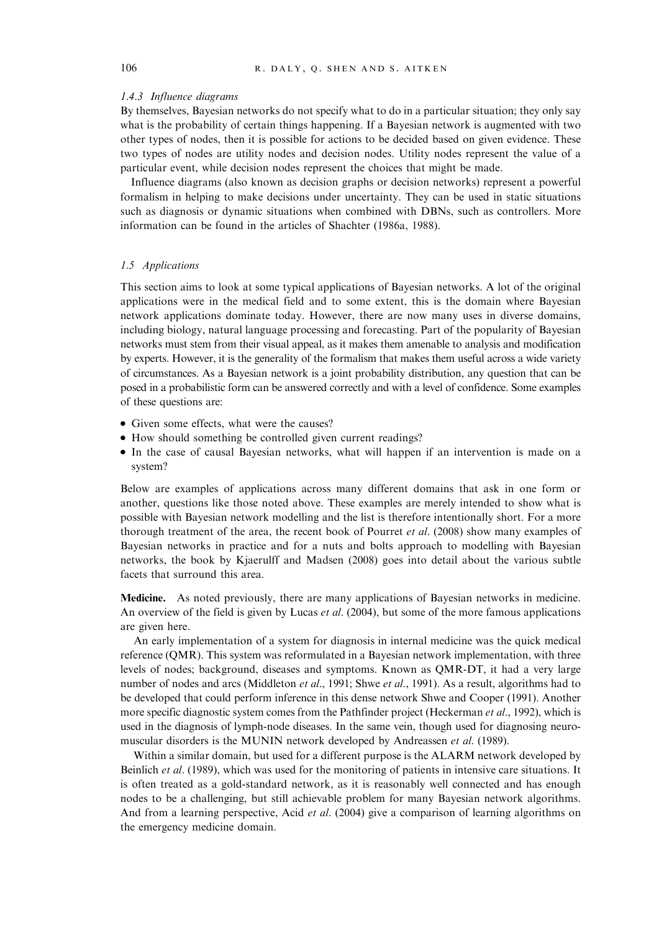# 1.4.3 Influence diagrams

By themselves, Bayesian networks do not specify what to do in a particular situation; they only say what is the probability of certain things happening. If a Bayesian network is augmented with two other types of nodes, then it is possible for actions to be decided based on given evidence. These two types of nodes are utility nodes and decision nodes. Utility nodes represent the value of a particular event, while decision nodes represent the choices that might be made.

Influence diagrams (also known as decision graphs or decision networks) represent a powerful formalism in helping to make decisions under uncertainty. They can be used in static situations such as diagnosis or dynamic situations when combined with DBNs, such as controllers. More information can be found in the articles of Shachter (1986a, 1988).

# 1.5 Applications

This section aims to look at some typical applications of Bayesian networks. A lot of the original applications were in the medical field and to some extent, this is the domain where Bayesian network applications dominate today. However, there are now many uses in diverse domains, including biology, natural language processing and forecasting. Part of the popularity of Bayesian networks must stem from their visual appeal, as it makes them amenable to analysis and modification by experts. However, it is the generality of the formalism that makes them useful across a wide variety of circumstances. As a Bayesian network is a joint probability distribution, any question that can be posed in a probabilistic form can be answered correctly and with a level of confidence. Some examples of these questions are:

- Given some effects, what were the causes?
- <sup>&</sup>gt; How should something be controlled given current readings?
- <sup>&</sup>gt; In the case of causal Bayesian networks, what will happen if an intervention is made on a system?

Below are examples of applications across many different domains that ask in one form or another, questions like those noted above. These examples are merely intended to show what is possible with Bayesian network modelling and the list is therefore intentionally short. For a more thorough treatment of the area, the recent book of Pourret *et al.* (2008) show many examples of Bayesian networks in practice and for a nuts and bolts approach to modelling with Bayesian networks, the book by Kjaerulff and Madsen (2008) goes into detail about the various subtle facets that surround this area.

Medicine. As noted previously, there are many applications of Bayesian networks in medicine. An overview of the field is given by Lucas *et al.* (2004), but some of the more famous applications are given here.

An early implementation of a system for diagnosis in internal medicine was the quick medical reference (QMR). This system was reformulated in a Bayesian network implementation, with three levels of nodes; background, diseases and symptoms. Known as QMR-DT, it had a very large number of nodes and arcs (Middleton et al., 1991; Shwe et al., 1991). As a result, algorithms had to be developed that could perform inference in this dense network Shwe and Cooper (1991). Another more specific diagnostic system comes from the Pathfinder project (Heckerman *et al.*, 1992), which is used in the diagnosis of lymph-node diseases. In the same vein, though used for diagnosing neuromuscular disorders is the MUNIN network developed by Andreassen et al. (1989).

Within a similar domain, but used for a different purpose is the ALARM network developed by Beinlich et al. (1989), which was used for the monitoring of patients in intensive care situations. It is often treated as a gold-standard network, as it is reasonably well connected and has enough nodes to be a challenging, but still achievable problem for many Bayesian network algorithms. And from a learning perspective, Acid et al. (2004) give a comparison of learning algorithms on the emergency medicine domain.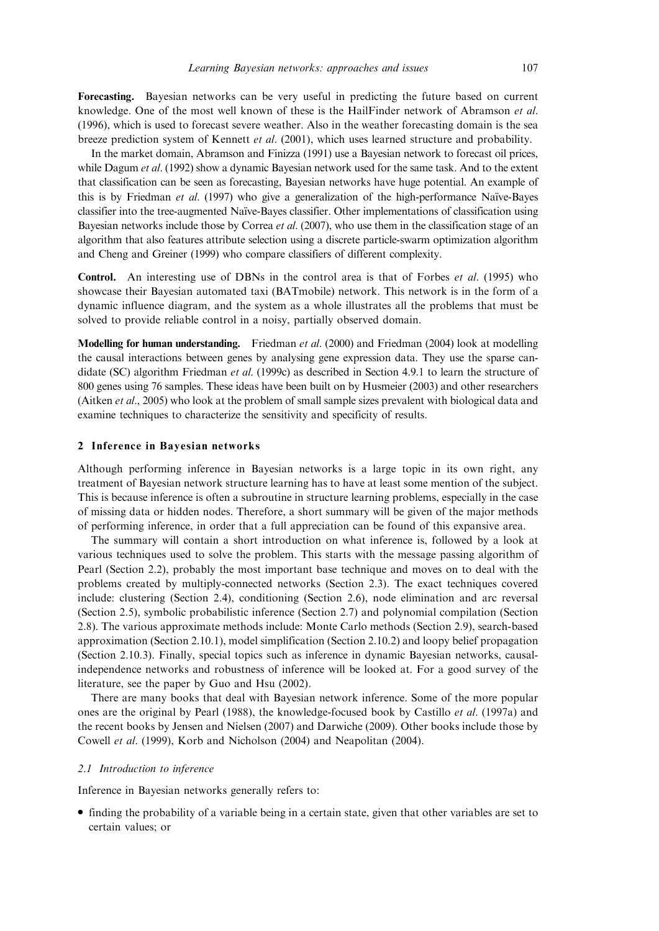Forecasting. Bayesian networks can be very useful in predicting the future based on current knowledge. One of the most well known of these is the HailFinder network of Abramson et al. (1996), which is used to forecast severe weather. Also in the weather forecasting domain is the sea breeze prediction system of Kennett et al. (2001), which uses learned structure and probability.

In the market domain, Abramson and Finizza (1991) use a Bayesian network to forecast oil prices, while Dagum *et al.* (1992) show a dynamic Bayesian network used for the same task. And to the extent that classification can be seen as forecasting, Bayesian networks have huge potential. An example of this is by Friedman *et al.* (1997) who give a generalization of the high-performance Naïve-Bayes classifier into the tree-augmented Naïve-Bayes classifier. Other implementations of classification using Bayesian networks include those by Correa *et al.* (2007), who use them in the classification stage of an algorithm that also features attribute selection using a discrete particle-swarm optimization algorithm and Cheng and Greiner (1999) who compare classifiers of different complexity.

Control. An interesting use of DBNs in the control area is that of Forbes et al. (1995) who showcase their Bayesian automated taxi (BATmobile) network. This network is in the form of a dynamic influence diagram, and the system as a whole illustrates all the problems that must be solved to provide reliable control in a noisy, partially observed domain.

**Modelling for human understanding.** Friedman et al. (2000) and Friedman (2004) look at modelling the causal interactions between genes by analysing gene expression data. They use the sparse candidate (SC) algorithm Friedman *et al.* (1999c) as described in Section 4.9.1 to learn the structure of 800 genes using 76 samples. These ideas have been built on by Husmeier (2003) and other researchers (Aitken *et al.*, 2005) who look at the problem of small sample sizes prevalent with biological data and examine techniques to characterize the sensitivity and specificity of results.

# 2 Inference in Bayesian networks

Although performing inference in Bayesian networks is a large topic in its own right, any treatment of Bayesian network structure learning has to have at least some mention of the subject. This is because inference is often a subroutine in structure learning problems, especially in the case of missing data or hidden nodes. Therefore, a short summary will be given of the major methods of performing inference, in order that a full appreciation can be found of this expansive area.

The summary will contain a short introduction on what inference is, followed by a look at various techniques used to solve the problem. This starts with the message passing algorithm of Pearl (Section 2.2), probably the most important base technique and moves on to deal with the problems created by multiply-connected networks (Section 2.3). The exact techniques covered include: clustering (Section 2.4), conditioning (Section 2.6), node elimination and arc reversal (Section 2.5), symbolic probabilistic inference (Section 2.7) and polynomial compilation (Section 2.8). The various approximate methods include: Monte Carlo methods (Section 2.9), search-based approximation (Section 2.10.1), model simplification (Section 2.10.2) and loopy belief propagation (Section 2.10.3). Finally, special topics such as inference in dynamic Bayesian networks, causalindependence networks and robustness of inference will be looked at. For a good survey of the literature, see the paper by Guo and Hsu (2002).

There are many books that deal with Bayesian network inference. Some of the more popular ones are the original by Pearl (1988), the knowledge-focused book by Castillo et al. (1997a) and the recent books by Jensen and Nielsen (2007) and Darwiche (2009). Other books include those by Cowell et al. (1999), Korb and Nicholson (2004) and Neapolitan (2004).

# 2.1 Introduction to inference

Inference in Bayesian networks generally refers to:

<sup>&</sup>gt; finding the probability of a variable being in a certain state, given that other variables are set to certain values; or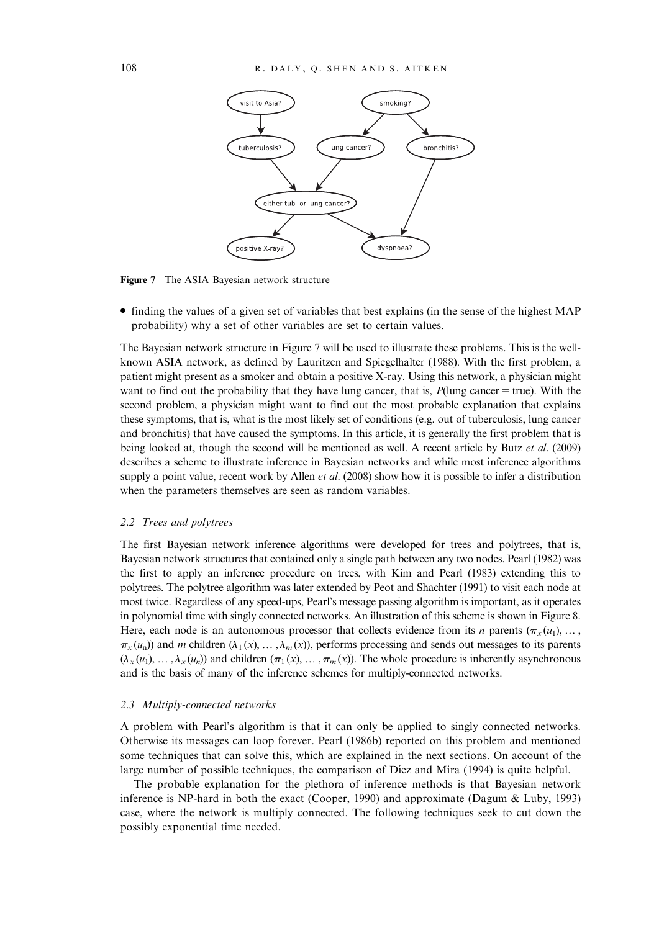

Figure 7 The ASIA Bayesian network structure

<sup>&</sup>gt; finding the values of a given set of variables that best explains (in the sense of the highest MAP probability) why a set of other variables are set to certain values.

The Bayesian network structure in Figure 7 will be used to illustrate these problems. This is the wellknown ASIA network, as defined by Lauritzen and Spiegelhalter (1988). With the first problem, a patient might present as a smoker and obtain a positive X-ray. Using this network, a physician might want to find out the probability that they have lung cancer, that is,  $P(\text{lung cancer} = \text{true})$ . With the second problem, a physician might want to find out the most probable explanation that explains these symptoms, that is, what is the most likely set of conditions (e.g. out of tuberculosis, lung cancer and bronchitis) that have caused the symptoms. In this article, it is generally the first problem that is being looked at, though the second will be mentioned as well. A recent article by Butz et al. (2009) describes a scheme to illustrate inference in Bayesian networks and while most inference algorithms supply a point value, recent work by Allen *et al.* (2008) show how it is possible to infer a distribution when the parameters themselves are seen as random variables.

#### 2.2 Trees and polytrees

The first Bayesian network inference algorithms were developed for trees and polytrees, that is, Bayesian network structures that contained only a single path between any two nodes. Pearl (1982) was the first to apply an inference procedure on trees, with Kim and Pearl (1983) extending this to polytrees. The polytree algorithm was later extended by Peot and Shachter (1991) to visit each node at most twice. Regardless of any speed-ups, Pearl's message passing algorithm is important, as it operates in polynomial time with singly connected networks. An illustration of this scheme is shown in Figure 8. Here, each node is an autonomous processor that collects evidence from its n parents ( $\pi_x(u_1),\ldots$ )  $\pi_x(u_n)$ ) and m children  $(\lambda_1(x),\ldots,\lambda_m(x))$ , performs processing and sends out messages to its parents  $(\lambda_x(u_1),\ldots, \lambda_x(u_n))$  and children  $(\pi_1 (x),\ldots,\pi_m (x))$ . The whole procedure is inherently asynchronous and is the basis of many of the inference schemes for multiply-connected networks.

# 2.3 Multiply-connected networks

A problem with Pearl's algorithm is that it can only be applied to singly connected networks. Otherwise its messages can loop forever. Pearl (1986b) reported on this problem and mentioned some techniques that can solve this, which are explained in the next sections. On account of the large number of possible techniques, the comparison of Diez and Mira (1994) is quite helpful.

The probable explanation for the plethora of inference methods is that Bayesian network inference is NP-hard in both the exact (Cooper, 1990) and approximate (Dagum & Luby, 1993) case, where the network is multiply connected. The following techniques seek to cut down the possibly exponential time needed.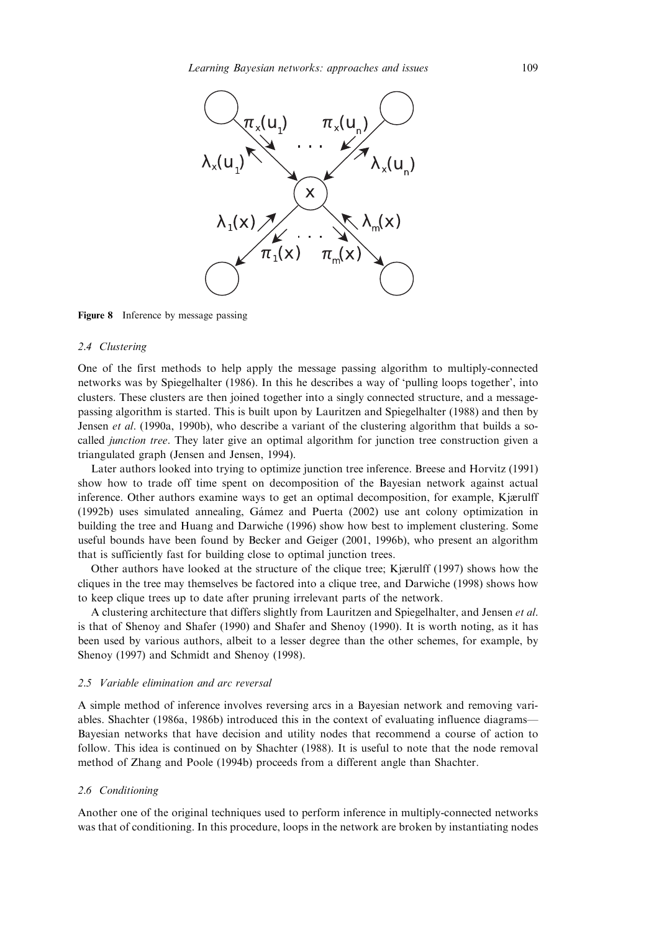

Figure 8 Inference by message passing

#### 2.4 Clustering

One of the first methods to help apply the message passing algorithm to multiply-connected networks was by Spiegelhalter (1986). In this he describes a way of 'pulling loops together', into clusters. These clusters are then joined together into a singly connected structure, and a messagepassing algorithm is started. This is built upon by Lauritzen and Spiegelhalter (1988) and then by Jensen et al. (1990a, 1990b), who describe a variant of the clustering algorithm that builds a socalled *junction tree*. They later give an optimal algorithm for junction tree construction given a triangulated graph (Jensen and Jensen, 1994).

Later authors looked into trying to optimize junction tree inference. Breese and Horvitz (1991) show how to trade off time spent on decomposition of the Bayesian network against actual inference. Other authors examine ways to get an optimal decomposition, for example, Kjærulff (1992b) uses simulated annealing, Ga´mez and Puerta (2002) use ant colony optimization in building the tree and Huang and Darwiche (1996) show how best to implement clustering. Some useful bounds have been found by Becker and Geiger (2001, 1996b), who present an algorithm that is sufficiently fast for building close to optimal junction trees.

Other authors have looked at the structure of the clique tree; Kjærulff (1997) shows how the cliques in the tree may themselves be factored into a clique tree, and Darwiche (1998) shows how to keep clique trees up to date after pruning irrelevant parts of the network.

A clustering architecture that differs slightly from Lauritzen and Spiegelhalter, and Jensen et al. is that of Shenoy and Shafer (1990) and Shafer and Shenoy (1990). It is worth noting, as it has been used by various authors, albeit to a lesser degree than the other schemes, for example, by Shenoy (1997) and Schmidt and Shenoy (1998).

# 2.5 Variable elimination and arc reversal

A simple method of inference involves reversing arcs in a Bayesian network and removing variables. Shachter (1986a, 1986b) introduced this in the context of evaluating influence diagrams— Bayesian networks that have decision and utility nodes that recommend a course of action to follow. This idea is continued on by Shachter (1988). It is useful to note that the node removal method of Zhang and Poole (1994b) proceeds from a different angle than Shachter.

#### 2.6 Conditioning

Another one of the original techniques used to perform inference in multiply-connected networks was that of conditioning. In this procedure, loops in the network are broken by instantiating nodes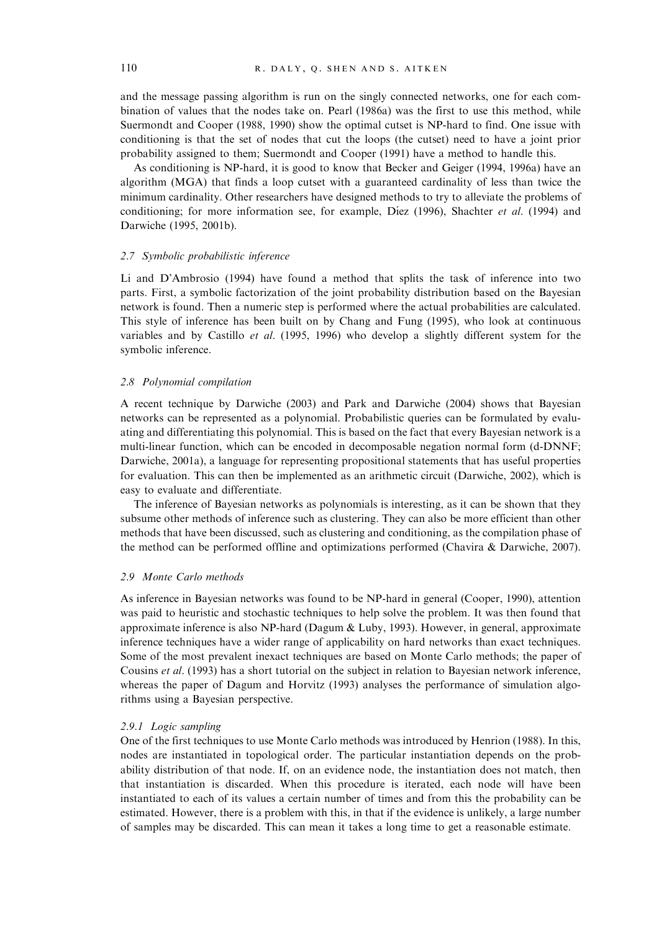and the message passing algorithm is run on the singly connected networks, one for each combination of values that the nodes take on. Pearl (1986a) was the first to use this method, while Suermondt and Cooper (1988, 1990) show the optimal cutset is NP-hard to find. One issue with conditioning is that the set of nodes that cut the loops (the cutset) need to have a joint prior probability assigned to them; Suermondt and Cooper (1991) have a method to handle this.

As conditioning is NP-hard, it is good to know that Becker and Geiger (1994, 1996a) have an algorithm (MGA) that finds a loop cutset with a guaranteed cardinality of less than twice the minimum cardinality. Other researchers have designed methods to try to alleviate the problems of conditioning; for more information see, for example, Díez (1996), Shachter et al. (1994) and Darwiche (1995, 2001b).

#### 2.7 Symbolic probabilistic inference

Li and D'Ambrosio (1994) have found a method that splits the task of inference into two parts. First, a symbolic factorization of the joint probability distribution based on the Bayesian network is found. Then a numeric step is performed where the actual probabilities are calculated. This style of inference has been built on by Chang and Fung (1995), who look at continuous variables and by Castillo et al.  $(1995, 1996)$  who develop a slightly different system for the symbolic inference.

# 2.8 Polynomial compilation

A recent technique by Darwiche (2003) and Park and Darwiche (2004) shows that Bayesian networks can be represented as a polynomial. Probabilistic queries can be formulated by evaluating and differentiating this polynomial. This is based on the fact that every Bayesian network is a multi-linear function, which can be encoded in decomposable negation normal form (d-DNNF; Darwiche, 2001a), a language for representing propositional statements that has useful properties for evaluation. This can then be implemented as an arithmetic circuit (Darwiche, 2002), which is easy to evaluate and differentiate.

The inference of Bayesian networks as polynomials is interesting, as it can be shown that they subsume other methods of inference such as clustering. They can also be more efficient than other methods that have been discussed, such as clustering and conditioning, as the compilation phase of the method can be performed offline and optimizations performed (Chavira & Darwiche, 2007).

#### 2.9 Monte Carlo methods

As inference in Bayesian networks was found to be NP-hard in general (Cooper, 1990), attention was paid to heuristic and stochastic techniques to help solve the problem. It was then found that approximate inference is also NP-hard (Dagum & Luby, 1993). However, in general, approximate inference techniques have a wider range of applicability on hard networks than exact techniques. Some of the most prevalent inexact techniques are based on Monte Carlo methods; the paper of Cousins et al. (1993) has a short tutorial on the subject in relation to Bayesian network inference, whereas the paper of Dagum and Horvitz (1993) analyses the performance of simulation algorithms using a Bayesian perspective.

#### 2.9.1 Logic sampling

One of the first techniques to use Monte Carlo methods was introduced by Henrion (1988). In this, nodes are instantiated in topological order. The particular instantiation depends on the probability distribution of that node. If, on an evidence node, the instantiation does not match, then that instantiation is discarded. When this procedure is iterated, each node will have been instantiated to each of its values a certain number of times and from this the probability can be estimated. However, there is a problem with this, in that if the evidence is unlikely, a large number of samples may be discarded. This can mean it takes a long time to get a reasonable estimate.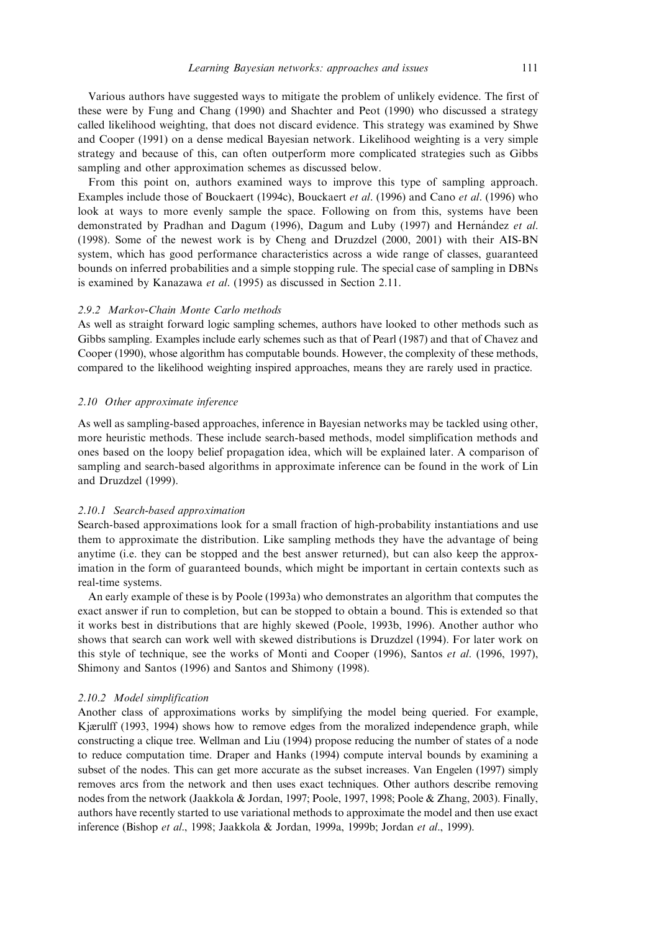Various authors have suggested ways to mitigate the problem of unlikely evidence. The first of these were by Fung and Chang (1990) and Shachter and Peot (1990) who discussed a strategy called likelihood weighting, that does not discard evidence. This strategy was examined by Shwe and Cooper (1991) on a dense medical Bayesian network. Likelihood weighting is a very simple strategy and because of this, can often outperform more complicated strategies such as Gibbs sampling and other approximation schemes as discussed below.

From this point on, authors examined ways to improve this type of sampling approach. Examples include those of Bouckaert (1994c), Bouckaert et al. (1996) and Cano et al. (1996) who look at ways to more evenly sample the space. Following on from this, systems have been demonstrated by Pradhan and Dagum (1996), Dagum and Luby (1997) and Hernández et al. (1998). Some of the newest work is by Cheng and Druzdzel (2000, 2001) with their AIS-BN system, which has good performance characteristics across a wide range of classes, guaranteed bounds on inferred probabilities and a simple stopping rule. The special case of sampling in DBNs is examined by Kanazawa et al. (1995) as discussed in Section 2.11.

# 2.9.2 Markov-Chain Monte Carlo methods

As well as straight forward logic sampling schemes, authors have looked to other methods such as Gibbs sampling. Examples include early schemes such as that of Pearl (1987) and that of Chavez and Cooper (1990), whose algorithm has computable bounds. However, the complexity of these methods, compared to the likelihood weighting inspired approaches, means they are rarely used in practice.

#### 2.10 Other approximate inference

As well as sampling-based approaches, inference in Bayesian networks may be tackled using other, more heuristic methods. These include search-based methods, model simplification methods and ones based on the loopy belief propagation idea, which will be explained later. A comparison of sampling and search-based algorithms in approximate inference can be found in the work of Lin and Druzdzel (1999).

#### 2.10.1 Search-based approximation

Search-based approximations look for a small fraction of high-probability instantiations and use them to approximate the distribution. Like sampling methods they have the advantage of being anytime (i.e. they can be stopped and the best answer returned), but can also keep the approximation in the form of guaranteed bounds, which might be important in certain contexts such as real-time systems.

An early example of these is by Poole (1993a) who demonstrates an algorithm that computes the exact answer if run to completion, but can be stopped to obtain a bound. This is extended so that it works best in distributions that are highly skewed (Poole, 1993b, 1996). Another author who shows that search can work well with skewed distributions is Druzdzel (1994). For later work on this style of technique, see the works of Monti and Cooper (1996), Santos et al. (1996, 1997), Shimony and Santos (1996) and Santos and Shimony (1998).

# 2.10.2 Model simplification

Another class of approximations works by simplifying the model being queried. For example, Kjærulff (1993, 1994) shows how to remove edges from the moralized independence graph, while constructing a clique tree. Wellman and Liu (1994) propose reducing the number of states of a node to reduce computation time. Draper and Hanks (1994) compute interval bounds by examining a subset of the nodes. This can get more accurate as the subset increases. Van Engelen (1997) simply removes arcs from the network and then uses exact techniques. Other authors describe removing nodes from the network (Jaakkola & Jordan, 1997; Poole, 1997, 1998; Poole & Zhang, 2003). Finally, authors have recently started to use variational methods to approximate the model and then use exact inference (Bishop et al., 1998; Jaakkola & Jordan, 1999a, 1999b; Jordan et al., 1999).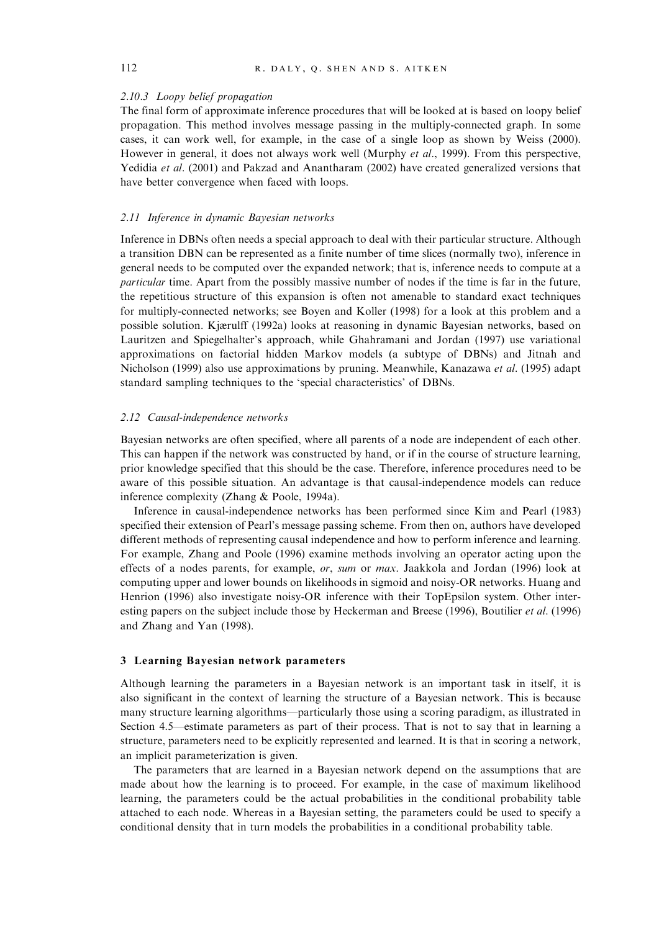# 2.10.3 Loopy belief propagation

The final form of approximate inference procedures that will be looked at is based on loopy belief propagation. This method involves message passing in the multiply-connected graph. In some cases, it can work well, for example, in the case of a single loop as shown by Weiss (2000). However in general, it does not always work well (Murphy *et al.*, 1999). From this perspective, Yedidia et al. (2001) and Pakzad and Anantharam (2002) have created generalized versions that have better convergence when faced with loops.

# 2.11 Inference in dynamic Bayesian networks

Inference in DBNs often needs a special approach to deal with their particular structure. Although a transition DBN can be represented as a finite number of time slices (normally two), inference in general needs to be computed over the expanded network; that is, inference needs to compute at a particular time. Apart from the possibly massive number of nodes if the time is far in the future, the repetitious structure of this expansion is often not amenable to standard exact techniques for multiply-connected networks; see Boyen and Koller (1998) for a look at this problem and a possible solution. Kjærulff (1992a) looks at reasoning in dynamic Bayesian networks, based on Lauritzen and Spiegelhalter's approach, while Ghahramani and Jordan (1997) use variational approximations on factorial hidden Markov models (a subtype of DBNs) and Jitnah and Nicholson (1999) also use approximations by pruning. Meanwhile, Kanazawa et al. (1995) adapt standard sampling techniques to the 'special characteristics' of DBNs.

## 2.12 Causal-independence networks

Bayesian networks are often specified, where all parents of a node are independent of each other. This can happen if the network was constructed by hand, or if in the course of structure learning, prior knowledge specified that this should be the case. Therefore, inference procedures need to be aware of this possible situation. An advantage is that causal-independence models can reduce inference complexity (Zhang & Poole, 1994a).

Inference in causal-independence networks has been performed since Kim and Pearl (1983) specified their extension of Pearl's message passing scheme. From then on, authors have developed different methods of representing causal independence and how to perform inference and learning. For example, Zhang and Poole (1996) examine methods involving an operator acting upon the effects of a nodes parents, for example, or, sum or max. Jaakkola and Jordan (1996) look at computing upper and lower bounds on likelihoods in sigmoid and noisy-OR networks. Huang and Henrion (1996) also investigate noisy-OR inference with their TopEpsilon system. Other interesting papers on the subject include those by Heckerman and Breese (1996), Boutilier *et al.* (1996) and Zhang and Yan (1998).

# 3 Learning Bayesian network parameters

Although learning the parameters in a Bayesian network is an important task in itself, it is also significant in the context of learning the structure of a Bayesian network. This is because many structure learning algorithms—particularly those using a scoring paradigm, as illustrated in Section 4.5—estimate parameters as part of their process. That is not to say that in learning a structure, parameters need to be explicitly represented and learned. It is that in scoring a network, an implicit parameterization is given.

The parameters that are learned in a Bayesian network depend on the assumptions that are made about how the learning is to proceed. For example, in the case of maximum likelihood learning, the parameters could be the actual probabilities in the conditional probability table attached to each node. Whereas in a Bayesian setting, the parameters could be used to specify a conditional density that in turn models the probabilities in a conditional probability table.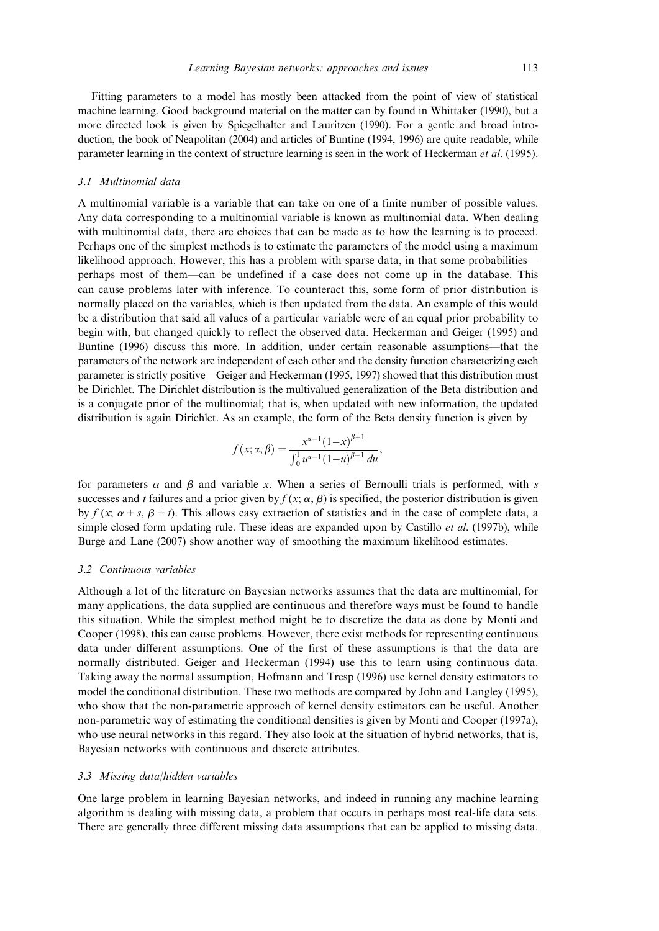Fitting parameters to a model has mostly been attacked from the point of view of statistical machine learning. Good background material on the matter can by found in Whittaker (1990), but a more directed look is given by Spiegelhalter and Lauritzen (1990). For a gentle and broad introduction, the book of Neapolitan (2004) and articles of Buntine (1994, 1996) are quite readable, while parameter learning in the context of structure learning is seen in the work of Heckerman et al. (1995).

# 3.1 Multinomial data

A multinomial variable is a variable that can take on one of a finite number of possible values. Any data corresponding to a multinomial variable is known as multinomial data. When dealing with multinomial data, there are choices that can be made as to how the learning is to proceed. Perhaps one of the simplest methods is to estimate the parameters of the model using a maximum likelihood approach. However, this has a problem with sparse data, in that some probabilities perhaps most of them—can be undefined if a case does not come up in the database. This can cause problems later with inference. To counteract this, some form of prior distribution is normally placed on the variables, which is then updated from the data. An example of this would be a distribution that said all values of a particular variable were of an equal prior probability to begin with, but changed quickly to reflect the observed data. Heckerman and Geiger (1995) and Buntine (1996) discuss this more. In addition, under certain reasonable assumptions—that the parameters of the network are independent of each other and the density function characterizing each parameter is strictly positive—Geiger and Heckerman (1995, 1997) showed that this distribution must be Dirichlet. The Dirichlet distribution is the multivalued generalization of the Beta distribution and is a conjugate prior of the multinomial; that is, when updated with new information, the updated distribution is again Dirichlet. As an example, the form of the Beta density function is given by

$$
f(x; \alpha, \beta) = \frac{x^{\alpha-1}(1-x)^{\beta-1}}{\int_0^1 u^{\alpha-1}(1-u)^{\beta-1} du},
$$

for parameters  $\alpha$  and  $\beta$  and variable x. When a series of Bernoulli trials is performed, with s successes and t failures and a prior given by  $f(x; \alpha, \beta)$  is specified, the posterior distribution is given by  $f(x; \alpha + s, \beta + t)$ . This allows easy extraction of statistics and in the case of complete data, a simple closed form updating rule. These ideas are expanded upon by Castillo *et al.* (1997b), while Burge and Lane (2007) show another way of smoothing the maximum likelihood estimates.

# 3.2 Continuous variables

Although a lot of the literature on Bayesian networks assumes that the data are multinomial, for many applications, the data supplied are continuous and therefore ways must be found to handle this situation. While the simplest method might be to discretize the data as done by Monti and Cooper (1998), this can cause problems. However, there exist methods for representing continuous data under different assumptions. One of the first of these assumptions is that the data are normally distributed. Geiger and Heckerman (1994) use this to learn using continuous data. Taking away the normal assumption, Hofmann and Tresp (1996) use kernel density estimators to model the conditional distribution. These two methods are compared by John and Langley (1995), who show that the non-parametric approach of kernel density estimators can be useful. Another non-parametric way of estimating the conditional densities is given by Monti and Cooper (1997a), who use neural networks in this regard. They also look at the situation of hybrid networks, that is, Bayesian networks with continuous and discrete attributes.

# 3.3 Missing data/hidden variables

One large problem in learning Bayesian networks, and indeed in running any machine learning algorithm is dealing with missing data, a problem that occurs in perhaps most real-life data sets. There are generally three different missing data assumptions that can be applied to missing data.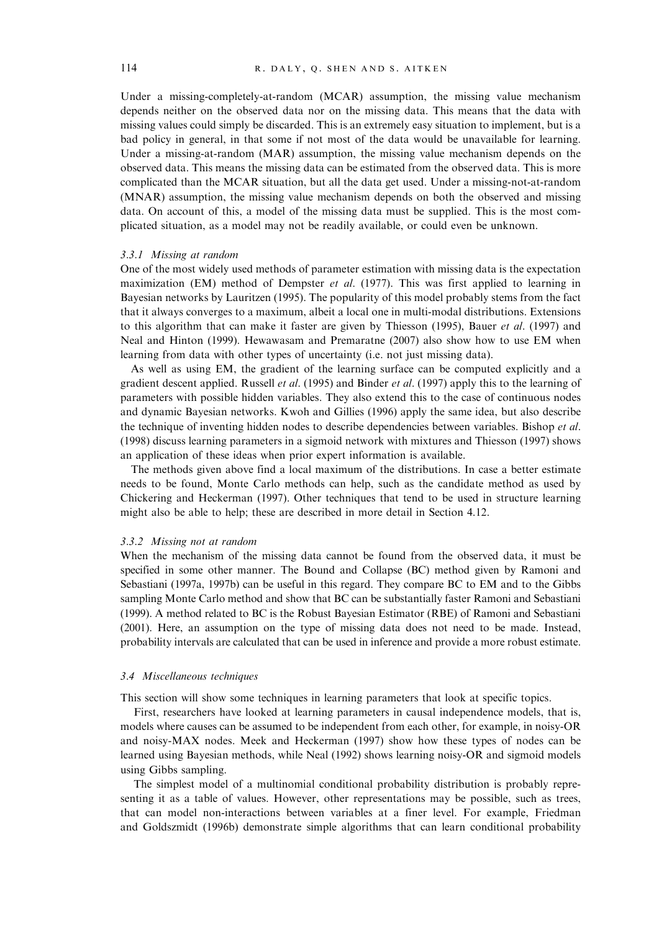Under a missing-completely-at-random (MCAR) assumption, the missing value mechanism depends neither on the observed data nor on the missing data. This means that the data with missing values could simply be discarded. This is an extremely easy situation to implement, but is a bad policy in general, in that some if not most of the data would be unavailable for learning. Under a missing-at-random (MAR) assumption, the missing value mechanism depends on the observed data. This means the missing data can be estimated from the observed data. This is more complicated than the MCAR situation, but all the data get used. Under a missing-not-at-random (MNAR) assumption, the missing value mechanism depends on both the observed and missing data. On account of this, a model of the missing data must be supplied. This is the most complicated situation, as a model may not be readily available, or could even be unknown.

# 3.3.1 Missing at random

One of the most widely used methods of parameter estimation with missing data is the expectation maximization (EM) method of Dempster et al. (1977). This was first applied to learning in Bayesian networks by Lauritzen (1995). The popularity of this model probably stems from the fact that it always converges to a maximum, albeit a local one in multi-modal distributions. Extensions to this algorithm that can make it faster are given by Thiesson (1995), Bauer *et al.* (1997) and Neal and Hinton (1999). Hewawasam and Premaratne (2007) also show how to use EM when learning from data with other types of uncertainty (i.e. not just missing data).

As well as using EM, the gradient of the learning surface can be computed explicitly and a gradient descent applied. Russell *et al.* (1995) and Binder *et al.* (1997) apply this to the learning of parameters with possible hidden variables. They also extend this to the case of continuous nodes and dynamic Bayesian networks. Kwoh and Gillies (1996) apply the same idea, but also describe the technique of inventing hidden nodes to describe dependencies between variables. Bishop *et al.* (1998) discuss learning parameters in a sigmoid network with mixtures and Thiesson (1997) shows an application of these ideas when prior expert information is available.

The methods given above find a local maximum of the distributions. In case a better estimate needs to be found, Monte Carlo methods can help, such as the candidate method as used by Chickering and Heckerman (1997). Other techniques that tend to be used in structure learning might also be able to help; these are described in more detail in Section 4.12.

# 3.3.2 Missing not at random

When the mechanism of the missing data cannot be found from the observed data, it must be specified in some other manner. The Bound and Collapse (BC) method given by Ramoni and Sebastiani (1997a, 1997b) can be useful in this regard. They compare BC to EM and to the Gibbs sampling Monte Carlo method and show that BC can be substantially faster Ramoni and Sebastiani (1999). A method related to BC is the Robust Bayesian Estimator (RBE) of Ramoni and Sebastiani (2001). Here, an assumption on the type of missing data does not need to be made. Instead, probability intervals are calculated that can be used in inference and provide a more robust estimate.

# 3.4 Miscellaneous techniques

This section will show some techniques in learning parameters that look at specific topics.

First, researchers have looked at learning parameters in causal independence models, that is, models where causes can be assumed to be independent from each other, for example, in noisy-OR and noisy-MAX nodes. Meek and Heckerman (1997) show how these types of nodes can be learned using Bayesian methods, while Neal (1992) shows learning noisy-OR and sigmoid models using Gibbs sampling.

The simplest model of a multinomial conditional probability distribution is probably representing it as a table of values. However, other representations may be possible, such as trees, that can model non-interactions between variables at a finer level. For example, Friedman and Goldszmidt (1996b) demonstrate simple algorithms that can learn conditional probability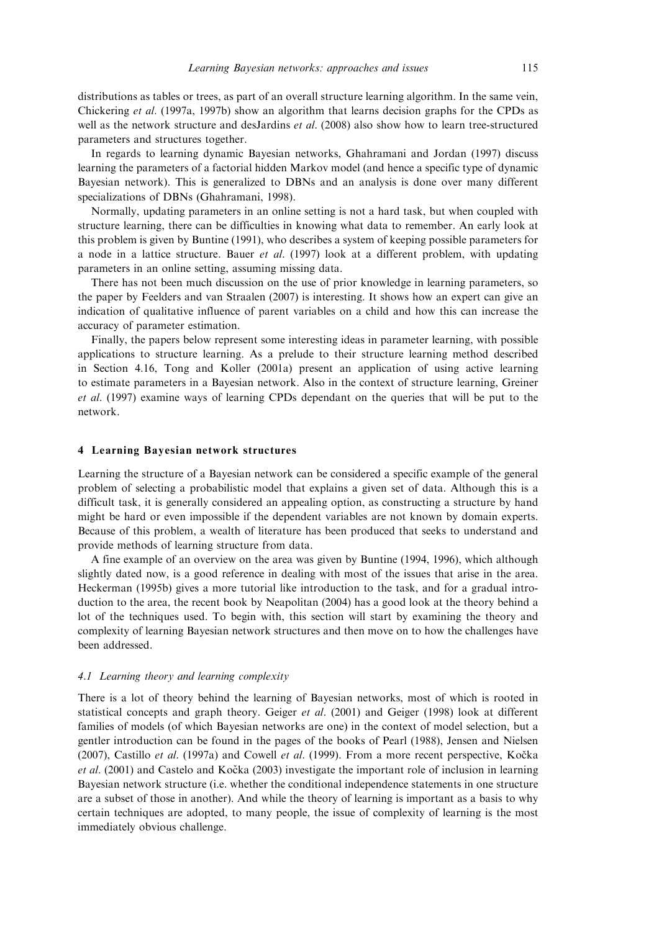distributions as tables or trees, as part of an overall structure learning algorithm. In the same vein, Chickering et al. (1997a, 1997b) show an algorithm that learns decision graphs for the CPDs as well as the network structure and desJardins et al. (2008) also show how to learn tree-structured parameters and structures together.

In regards to learning dynamic Bayesian networks, Ghahramani and Jordan (1997) discuss learning the parameters of a factorial hidden Markov model (and hence a specific type of dynamic Bayesian network). This is generalized to DBNs and an analysis is done over many different specializations of DBNs (Ghahramani, 1998).

Normally, updating parameters in an online setting is not a hard task, but when coupled with structure learning, there can be difficulties in knowing what data to remember. An early look at this problem is given by Buntine (1991), who describes a system of keeping possible parameters for a node in a lattice structure. Bauer et al.  $(1997)$  look at a different problem, with updating parameters in an online setting, assuming missing data.

There has not been much discussion on the use of prior knowledge in learning parameters, so the paper by Feelders and van Straalen (2007) is interesting. It shows how an expert can give an indication of qualitative influence of parent variables on a child and how this can increase the accuracy of parameter estimation.

Finally, the papers below represent some interesting ideas in parameter learning, with possible applications to structure learning. As a prelude to their structure learning method described in Section 4.16, Tong and Koller (2001a) present an application of using active learning to estimate parameters in a Bayesian network. Also in the context of structure learning, Greiner et al. (1997) examine ways of learning CPDs dependant on the queries that will be put to the network.

# 4 Learning Bayesian network structures

Learning the structure of a Bayesian network can be considered a specific example of the general problem of selecting a probabilistic model that explains a given set of data. Although this is a difficult task, it is generally considered an appealing option, as constructing a structure by hand might be hard or even impossible if the dependent variables are not known by domain experts. Because of this problem, a wealth of literature has been produced that seeks to understand and provide methods of learning structure from data.

A fine example of an overview on the area was given by Buntine (1994, 1996), which although slightly dated now, is a good reference in dealing with most of the issues that arise in the area. Heckerman (1995b) gives a more tutorial like introduction to the task, and for a gradual introduction to the area, the recent book by Neapolitan (2004) has a good look at the theory behind a lot of the techniques used. To begin with, this section will start by examining the theory and complexity of learning Bayesian network structures and then move on to how the challenges have been addressed.

# 4.1 Learning theory and learning complexity

There is a lot of theory behind the learning of Bayesian networks, most of which is rooted in statistical concepts and graph theory. Geiger  $et \ al.$  (2001) and Geiger (1998) look at different families of models (of which Bayesian networks are one) in the context of model selection, but a gentler introduction can be found in the pages of the books of Pearl (1988), Jensen and Nielsen (2007), Castillo et al. (1997a) and Cowell et al. (1999). From a more recent perspective, Kočka et al.  $(2001)$  and Castelo and Kočka  $(2003)$  investigate the important role of inclusion in learning Bayesian network structure (i.e. whether the conditional independence statements in one structure are a subset of those in another). And while the theory of learning is important as a basis to why certain techniques are adopted, to many people, the issue of complexity of learning is the most immediately obvious challenge.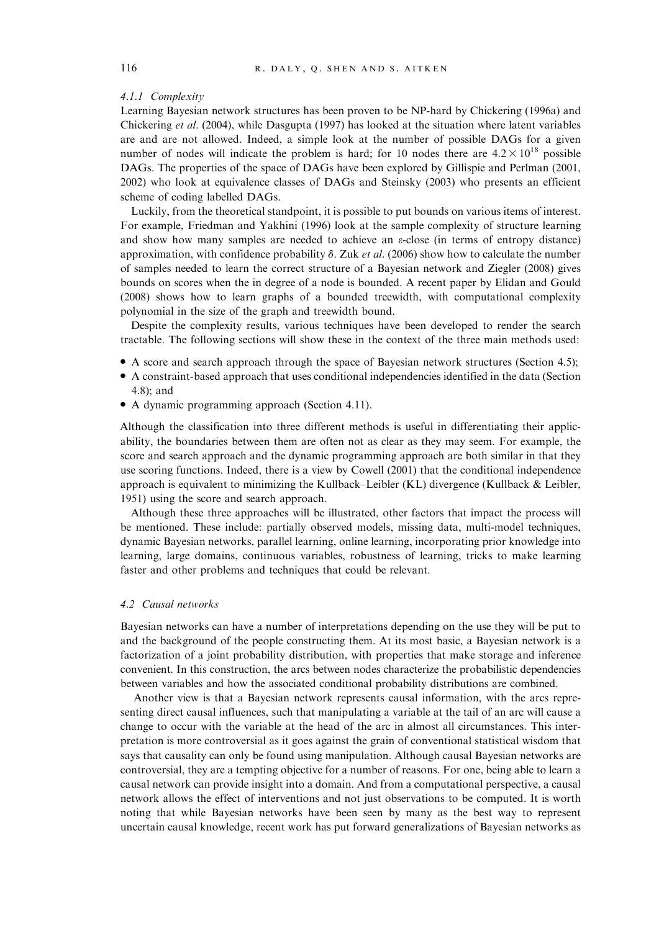# 4.1.1 Complexity

Learning Bayesian network structures has been proven to be NP-hard by Chickering (1996a) and Chickering et al. (2004), while Dasgupta (1997) has looked at the situation where latent variables are and are not allowed. Indeed, a simple look at the number of possible DAGs for a given number of nodes will indicate the problem is hard; for 10 nodes there are  $4.2 \times 10^{18}$  possible DAGs. The properties of the space of DAGs have been explored by Gillispie and Perlman (2001, 2002) who look at equivalence classes of DAGs and Steinsky (2003) who presents an efficient scheme of coding labelled DAGs.

Luckily, from the theoretical standpoint, it is possible to put bounds on various items of interest. For example, Friedman and Yakhini (1996) look at the sample complexity of structure learning and show how many samples are needed to achieve an e-close (in terms of entropy distance) approximation, with confidence probability  $\delta$ . Zuk *et al.* (2006) show how to calculate the number of samples needed to learn the correct structure of a Bayesian network and Ziegler (2008) gives bounds on scores when the in degree of a node is bounded. A recent paper by Elidan and Gould (2008) shows how to learn graphs of a bounded treewidth, with computational complexity polynomial in the size of the graph and treewidth bound.

Despite the complexity results, various techniques have been developed to render the search tractable. The following sections will show these in the context of the three main methods used:

- <sup>&</sup>gt; A score and search approach through the space of Bayesian network structures (Section 4.5);
- <sup>&</sup>gt; A constraint-based approach that uses conditional independencies identified in the data (Section 4.8); and
- <sup>&</sup>gt; A dynamic programming approach (Section 4.11).

Although the classification into three different methods is useful in differentiating their applicability, the boundaries between them are often not as clear as they may seem. For example, the score and search approach and the dynamic programming approach are both similar in that they use scoring functions. Indeed, there is a view by Cowell (2001) that the conditional independence approach is equivalent to minimizing the Kullback–Leibler (KL) divergence (Kullback  $\&$  Leibler, 1951) using the score and search approach.

Although these three approaches will be illustrated, other factors that impact the process will be mentioned. These include: partially observed models, missing data, multi-model techniques, dynamic Bayesian networks, parallel learning, online learning, incorporating prior knowledge into learning, large domains, continuous variables, robustness of learning, tricks to make learning faster and other problems and techniques that could be relevant.

# 4.2 Causal networks

Bayesian networks can have a number of interpretations depending on the use they will be put to and the background of the people constructing them. At its most basic, a Bayesian network is a factorization of a joint probability distribution, with properties that make storage and inference convenient. In this construction, the arcs between nodes characterize the probabilistic dependencies between variables and how the associated conditional probability distributions are combined.

Another view is that a Bayesian network represents causal information, with the arcs representing direct causal influences, such that manipulating a variable at the tail of an arc will cause a change to occur with the variable at the head of the arc in almost all circumstances. This interpretation is more controversial as it goes against the grain of conventional statistical wisdom that says that causality can only be found using manipulation. Although causal Bayesian networks are controversial, they are a tempting objective for a number of reasons. For one, being able to learn a causal network can provide insight into a domain. And from a computational perspective, a causal network allows the effect of interventions and not just observations to be computed. It is worth noting that while Bayesian networks have been seen by many as the best way to represent uncertain causal knowledge, recent work has put forward generalizations of Bayesian networks as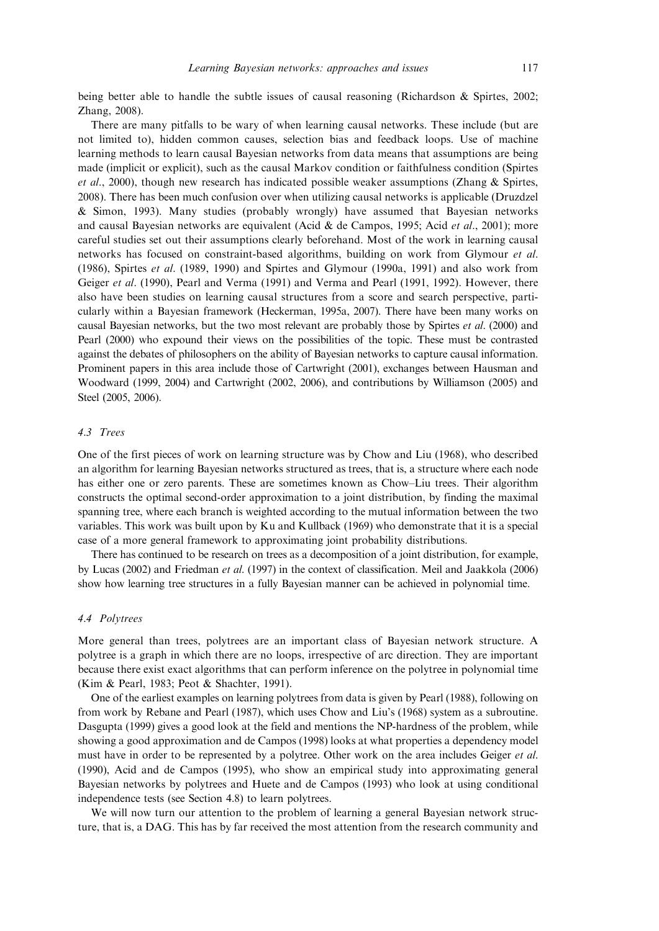being better able to handle the subtle issues of causal reasoning (Richardson & Spirtes, 2002; Zhang, 2008).

There are many pitfalls to be wary of when learning causal networks. These include (but are not limited to), hidden common causes, selection bias and feedback loops. Use of machine learning methods to learn causal Bayesian networks from data means that assumptions are being made (implicit or explicit), such as the causal Markov condition or faithfulness condition (Spirtes et al., 2000), though new research has indicated possible weaker assumptions (Zhang & Spirtes, 2008). There has been much confusion over when utilizing causal networks is applicable (Druzdzel & Simon, 1993). Many studies (probably wrongly) have assumed that Bayesian networks and causal Bayesian networks are equivalent (Acid & de Campos, 1995; Acid *et al.*, 2001); more careful studies set out their assumptions clearly beforehand. Most of the work in learning causal networks has focused on constraint-based algorithms, building on work from Glymour et al. (1986), Spirtes et al. (1989, 1990) and Spirtes and Glymour (1990a, 1991) and also work from Geiger et al. (1990), Pearl and Verma (1991) and Verma and Pearl (1991, 1992). However, there also have been studies on learning causal structures from a score and search perspective, particularly within a Bayesian framework (Heckerman, 1995a, 2007). There have been many works on causal Bayesian networks, but the two most relevant are probably those by Spirtes et al. (2000) and Pearl (2000) who expound their views on the possibilities of the topic. These must be contrasted against the debates of philosophers on the ability of Bayesian networks to capture causal information. Prominent papers in this area include those of Cartwright (2001), exchanges between Hausman and Woodward (1999, 2004) and Cartwright (2002, 2006), and contributions by Williamson (2005) and Steel (2005, 2006).

# 4.3 Trees

One of the first pieces of work on learning structure was by Chow and Liu (1968), who described an algorithm for learning Bayesian networks structured as trees, that is, a structure where each node has either one or zero parents. These are sometimes known as Chow–Liu trees. Their algorithm constructs the optimal second-order approximation to a joint distribution, by finding the maximal spanning tree, where each branch is weighted according to the mutual information between the two variables. This work was built upon by Ku and Kullback (1969) who demonstrate that it is a special case of a more general framework to approximating joint probability distributions.

There has continued to be research on trees as a decomposition of a joint distribution, for example, by Lucas (2002) and Friedman et al. (1997) in the context of classification. Meil and Jaakkola (2006) show how learning tree structures in a fully Bayesian manner can be achieved in polynomial time.

#### 4.4 Polytrees

More general than trees, polytrees are an important class of Bayesian network structure. A polytree is a graph in which there are no loops, irrespective of arc direction. They are important because there exist exact algorithms that can perform inference on the polytree in polynomial time (Kim & Pearl, 1983; Peot & Shachter, 1991).

One of the earliest examples on learning polytrees from data is given by Pearl (1988), following on from work by Rebane and Pearl (1987), which uses Chow and Liu's (1968) system as a subroutine. Dasgupta (1999) gives a good look at the field and mentions the NP-hardness of the problem, while showing a good approximation and de Campos (1998) looks at what properties a dependency model must have in order to be represented by a polytree. Other work on the area includes Geiger et al. (1990), Acid and de Campos (1995), who show an empirical study into approximating general Bayesian networks by polytrees and Huete and de Campos (1993) who look at using conditional independence tests (see Section 4.8) to learn polytrees.

We will now turn our attention to the problem of learning a general Bayesian network structure, that is, a DAG. This has by far received the most attention from the research community and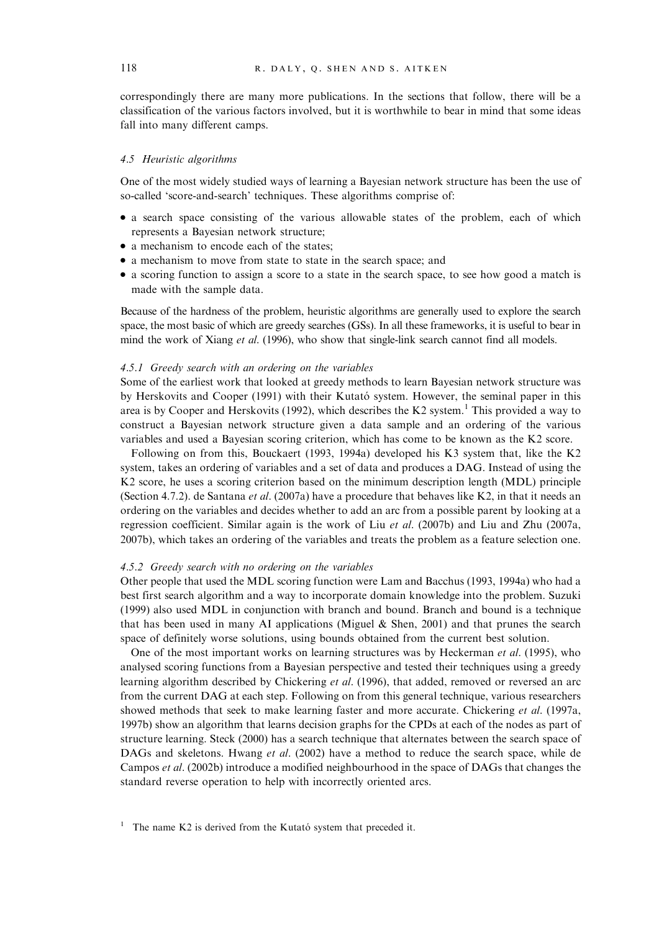correspondingly there are many more publications. In the sections that follow, there will be a classification of the various factors involved, but it is worthwhile to bear in mind that some ideas fall into many different camps.

#### 4.5 Heuristic algorithms

One of the most widely studied ways of learning a Bayesian network structure has been the use of so-called 'score-and-search' techniques. These algorithms comprise of:

- a search space consisting of the various allowable states of the problem, each of which represents a Bayesian network structure;
- <sup>&</sup>gt; a mechanism to encode each of the states;
- <sup>&</sup>gt; a mechanism to move from state to state in the search space; and
- <sup>&</sup>gt; a scoring function to assign a score to a state in the search space, to see how good a match is made with the sample data.

Because of the hardness of the problem, heuristic algorithms are generally used to explore the search space, the most basic of which are greedy searches (GSs). In all these frameworks, it is useful to bear in mind the work of Xiang et al. (1996), who show that single-link search cannot find all models.

# 4.5.1 Greedy search with an ordering on the variables

Some of the earliest work that looked at greedy methods to learn Bayesian network structure was by Herskovits and Cooper (1991) with their Kutató system. However, the seminal paper in this area is by Cooper and Herskovits (1992), which describes the K2 system.<sup>1</sup> This provided a way to construct a Bayesian network structure given a data sample and an ordering of the various variables and used a Bayesian scoring criterion, which has come to be known as the K2 score.

Following on from this, Bouckaert (1993, 1994a) developed his K3 system that, like the K2 system, takes an ordering of variables and a set of data and produces a DAG. Instead of using the K2 score, he uses a scoring criterion based on the minimum description length (MDL) principle (Section 4.7.2). de Santana et al. (2007a) have a procedure that behaves like K2, in that it needs an ordering on the variables and decides whether to add an arc from a possible parent by looking at a regression coefficient. Similar again is the work of Liu et al. (2007b) and Liu and Zhu (2007a, 2007b), which takes an ordering of the variables and treats the problem as a feature selection one.

#### 4.5.2 Greedy search with no ordering on the variables

Other people that used the MDL scoring function were Lam and Bacchus (1993, 1994a) who had a best first search algorithm and a way to incorporate domain knowledge into the problem. Suzuki (1999) also used MDL in conjunction with branch and bound. Branch and bound is a technique that has been used in many AI applications (Miguel & Shen, 2001) and that prunes the search space of definitely worse solutions, using bounds obtained from the current best solution.

One of the most important works on learning structures was by Heckerman *et al.* (1995), who analysed scoring functions from a Bayesian perspective and tested their techniques using a greedy learning algorithm described by Chickering et al. (1996), that added, removed or reversed an arc from the current DAG at each step. Following on from this general technique, various researchers showed methods that seek to make learning faster and more accurate. Chickering *et al.* (1997a, 1997b) show an algorithm that learns decision graphs for the CPDs at each of the nodes as part of structure learning. Steck (2000) has a search technique that alternates between the search space of DAGs and skeletons. Hwang *et al.* (2002) have a method to reduce the search space, while de Campos et al. (2002b) introduce a modified neighbourhood in the space of DAGs that changes the standard reverse operation to help with incorrectly oriented arcs.

<sup>&</sup>lt;sup>1</sup> The name K2 is derived from the Kutató system that preceded it.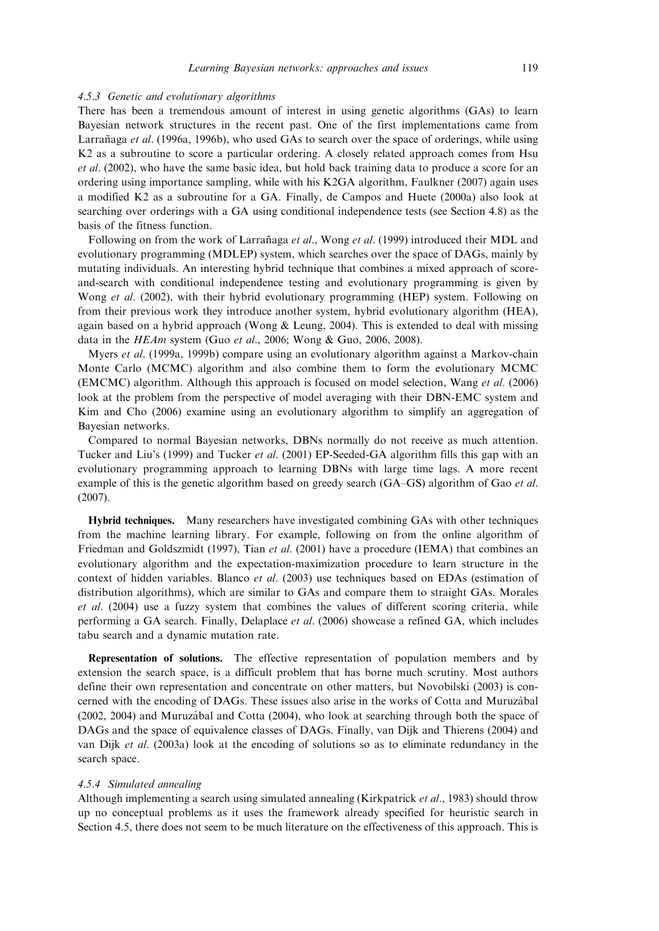# 4.5.3 Genetic and evolutionary algorithms

There has been a tremendous amount of interest in using genetic algorithms (GAs) to learn Bayesian network structures in the recent past. One of the first implementations came from Larrañaga et al. (1996a, 1996b), who used GAs to search over the space of orderings, while using K<sub>2</sub> as a subroutine to score a particular ordering. A closely related approach comes from Hsu et al. (2002), who have the same basic idea, but hold back training data to produce a score for an ordering using importance sampling, while with his K2GA algorithm, Faulkner (2007) again uses a modified K2 as a subroutine for a GA. Finally, de Campos and Huete (2000a) also look at searching over orderings with a GA using conditional independence tests (see Section 4.8) as the basis of the fitness function.

Following on from the work of Larrañaga et al., Wong et al. (1999) introduced their MDL and evolutionary programming (MDLEP) system, which searches over the space of DAGs, mainly by mutating individuals. An interesting hybrid technique that combines a mixed approach of scoreand-search with conditional independence testing and evolutionary programming is given by Wong et al. (2002), with their hybrid evolutionary programming (HEP) system. Following on from their previous work they introduce another system, hybrid evolutionary algorithm (HEA), again based on a hybrid approach (Wong & Leung, 2004). This is extended to deal with missing data in the HEAm system (Guo et al., 2006; Wong & Guo, 2006, 2008).

Myers et al. (1999a, 1999b) compare using an evolutionary algorithm against a Markov-chain Monte Carlo (MCMC) algorithm and also combine them to form the evolutionary MCMC (EMCMC) algorithm. Although this approach is focused on model selection, Wang et al. (2006) look at the problem from the perspective of model averaging with their DBN-EMC system and Kim and Cho (2006) examine using an evolutionary algorithm to simplify an aggregation of Bayesian networks.

Compared to normal Bayesian networks, DBNs normally do not receive as much attention. Tucker and Liu's (1999) and Tucker *et al.* (2001) EP-Seeded-GA algorithm fills this gap with an evolutionary programming approach to learning DBNs with large time lags. A more recent example of this is the genetic algorithm based on greedy search (GA–GS) algorithm of Gao *et al.* (2007).

Hybrid techniques. Many researchers have investigated combining GAs with other techniques from the machine learning library. For example, following on from the online algorithm of Friedman and Goldszmidt (1997), Tian et al. (2001) have a procedure (IEMA) that combines an evolutionary algorithm and the expectation-maximization procedure to learn structure in the context of hidden variables. Blanco et al. (2003) use techniques based on EDAs (estimation of distribution algorithms), which are similar to GAs and compare them to straight GAs. Morales et al. (2004) use a fuzzy system that combines the values of different scoring criteria, while performing a GA search. Finally, Delaplace et al. (2006) showcase a refined GA, which includes tabu search and a dynamic mutation rate.

Representation of solutions. The effective representation of population members and by extension the search space, is a difficult problem that has borne much scrutiny. Most authors define their own representation and concentrate on other matters, but Novobilski (2003) is concerned with the encoding of DAGs. These issues also arise in the works of Cotta and Muruzábal (2002, 2004) and Muruzábal and Cotta (2004), who look at searching through both the space of DAGs and the space of equivalence classes of DAGs. Finally, van Dijk and Thierens (2004) and van Dijk et al. (2003a) look at the encoding of solutions so as to eliminate redundancy in the search space.

## 4.5.4 Simulated annealing

Although implementing a search using simulated annealing (Kirkpatrick et al., 1983) should throw up no conceptual problems as it uses the framework already specified for heuristic search in Section 4.5, there does not seem to be much literature on the effectiveness of this approach. This is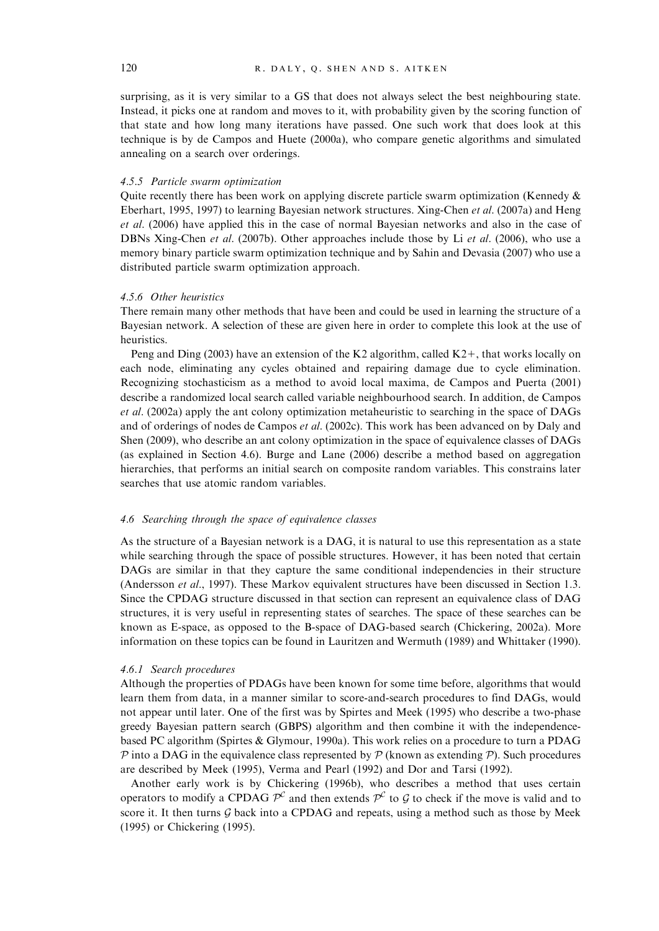surprising, as it is very similar to a GS that does not always select the best neighbouring state. Instead, it picks one at random and moves to it, with probability given by the scoring function of that state and how long many iterations have passed. One such work that does look at this technique is by de Campos and Huete (2000a), who compare genetic algorithms and simulated annealing on a search over orderings.

## 4.5.5 Particle swarm optimization

Quite recently there has been work on applying discrete particle swarm optimization (Kennedy  $\&$ Eberhart, 1995, 1997) to learning Bayesian network structures. Xing-Chen et al. (2007a) and Heng et al. (2006) have applied this in the case of normal Bayesian networks and also in the case of DBNs Xing-Chen et al. (2007b). Other approaches include those by Li et al. (2006), who use a memory binary particle swarm optimization technique and by Sahin and Devasia (2007) who use a distributed particle swarm optimization approach.

## 4.5.6 Other heuristics

There remain many other methods that have been and could be used in learning the structure of a Bayesian network. A selection of these are given here in order to complete this look at the use of heuristics.

Peng and Ding (2003) have an extension of the K2 algorithm, called  $K2+$ , that works locally on each node, eliminating any cycles obtained and repairing damage due to cycle elimination. Recognizing stochasticism as a method to avoid local maxima, de Campos and Puerta (2001) describe a randomized local search called variable neighbourhood search. In addition, de Campos et al. (2002a) apply the ant colony optimization metaheuristic to searching in the space of DAGs and of orderings of nodes de Campos et al. (2002c). This work has been advanced on by Daly and Shen (2009), who describe an ant colony optimization in the space of equivalence classes of DAGs (as explained in Section 4.6). Burge and Lane (2006) describe a method based on aggregation hierarchies, that performs an initial search on composite random variables. This constrains later searches that use atomic random variables.

# 4.6 Searching through the space of equivalence classes

As the structure of a Bayesian network is a DAG, it is natural to use this representation as a state while searching through the space of possible structures. However, it has been noted that certain DAGs are similar in that they capture the same conditional independencies in their structure (Andersson et al., 1997). These Markov equivalent structures have been discussed in Section 1.3. Since the CPDAG structure discussed in that section can represent an equivalence class of DAG structures, it is very useful in representing states of searches. The space of these searches can be known as E-space, as opposed to the B-space of DAG-based search (Chickering, 2002a). More information on these topics can be found in Lauritzen and Wermuth (1989) and Whittaker (1990).

#### 4.6.1 Search procedures

Although the properties of PDAGs have been known for some time before, algorithms that would learn them from data, in a manner similar to score-and-search procedures to find DAGs, would not appear until later. One of the first was by Spirtes and Meek (1995) who describe a two-phase greedy Bayesian pattern search (GBPS) algorithm and then combine it with the independencebased PC algorithm (Spirtes & Glymour, 1990a). This work relies on a procedure to turn a PDAG  $\mathcal P$  into a DAG in the equivalence class represented by  $\mathcal P$  (known as extending  $\mathcal P$ ). Such procedures are described by Meek (1995), Verma and Pearl (1992) and Dor and Tarsi (1992).

Another early work is by Chickering (1996b), who describes a method that uses certain operators to modify a CPDAG  $\mathcal{P}^{\mathcal{C}}$  and then extends  $\mathcal{P}^{\mathcal{C}}$  to  $\mathcal{G}$  to check if the move is valid and to score it. It then turns  $G$  back into a CPDAG and repeats, using a method such as those by Meek (1995) or Chickering (1995).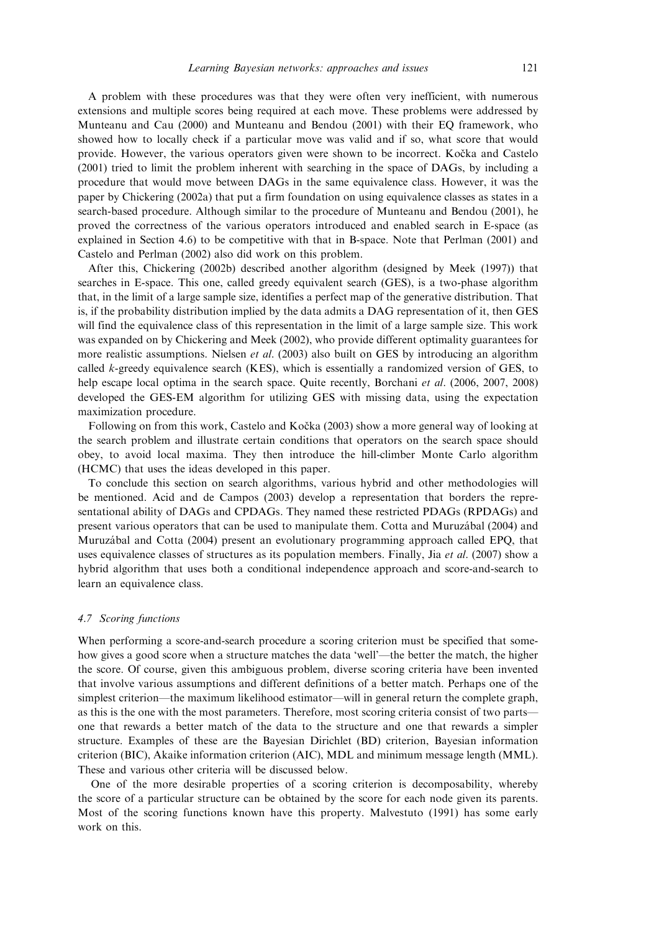A problem with these procedures was that they were often very inefficient, with numerous extensions and multiple scores being required at each move. These problems were addressed by Munteanu and Cau (2000) and Munteanu and Bendou (2001) with their EQ framework, who showed how to locally check if a particular move was valid and if so, what score that would provide. However, the various operators given were shown to be incorrect. Kočka and Castelo (2001) tried to limit the problem inherent with searching in the space of DAGs, by including a procedure that would move between DAGs in the same equivalence class. However, it was the paper by Chickering (2002a) that put a firm foundation on using equivalence classes as states in a search-based procedure. Although similar to the procedure of Munteanu and Bendou (2001), he proved the correctness of the various operators introduced and enabled search in E-space (as explained in Section 4.6) to be competitive with that in B-space. Note that Perlman (2001) and Castelo and Perlman (2002) also did work on this problem.

After this, Chickering (2002b) described another algorithm (designed by Meek (1997)) that searches in E-space. This one, called greedy equivalent search (GES), is a two-phase algorithm that, in the limit of a large sample size, identifies a perfect map of the generative distribution. That is, if the probability distribution implied by the data admits a DAG representation of it, then GES will find the equivalence class of this representation in the limit of a large sample size. This work was expanded on by Chickering and Meek (2002), who provide different optimality guarantees for more realistic assumptions. Nielsen *et al.* (2003) also built on GES by introducing an algorithm called k-greedy equivalence search (KES), which is essentially a randomized version of GES, to help escape local optima in the search space. Quite recently, Borchani *et al.* (2006, 2007, 2008) developed the GES-EM algorithm for utilizing GES with missing data, using the expectation maximization procedure.

Following on from this work, Castelo and Kočka (2003) show a more general way of looking at the search problem and illustrate certain conditions that operators on the search space should obey, to avoid local maxima. They then introduce the hill-climber Monte Carlo algorithm (HCMC) that uses the ideas developed in this paper.

To conclude this section on search algorithms, various hybrid and other methodologies will be mentioned. Acid and de Campos (2003) develop a representation that borders the representational ability of DAGs and CPDAGs. They named these restricted PDAGs (RPDAGs) and present various operators that can be used to manipulate them. Cotta and Muruza´bal (2004) and Muruza´bal and Cotta (2004) present an evolutionary programming approach called EPQ, that uses equivalence classes of structures as its population members. Finally, Jia *et al.* (2007) show a hybrid algorithm that uses both a conditional independence approach and score-and-search to learn an equivalence class.

#### 4.7 Scoring functions

When performing a score-and-search procedure a scoring criterion must be specified that somehow gives a good score when a structure matches the data 'well'—the better the match, the higher the score. Of course, given this ambiguous problem, diverse scoring criteria have been invented that involve various assumptions and different definitions of a better match. Perhaps one of the simplest criterion—the maximum likelihood estimator—will in general return the complete graph, as this is the one with the most parameters. Therefore, most scoring criteria consist of two parts one that rewards a better match of the data to the structure and one that rewards a simpler structure. Examples of these are the Bayesian Dirichlet (BD) criterion, Bayesian information criterion (BIC), Akaike information criterion (AIC), MDL and minimum message length (MML). These and various other criteria will be discussed below.

One of the more desirable properties of a scoring criterion is decomposability, whereby the score of a particular structure can be obtained by the score for each node given its parents. Most of the scoring functions known have this property. Malvestuto (1991) has some early work on this.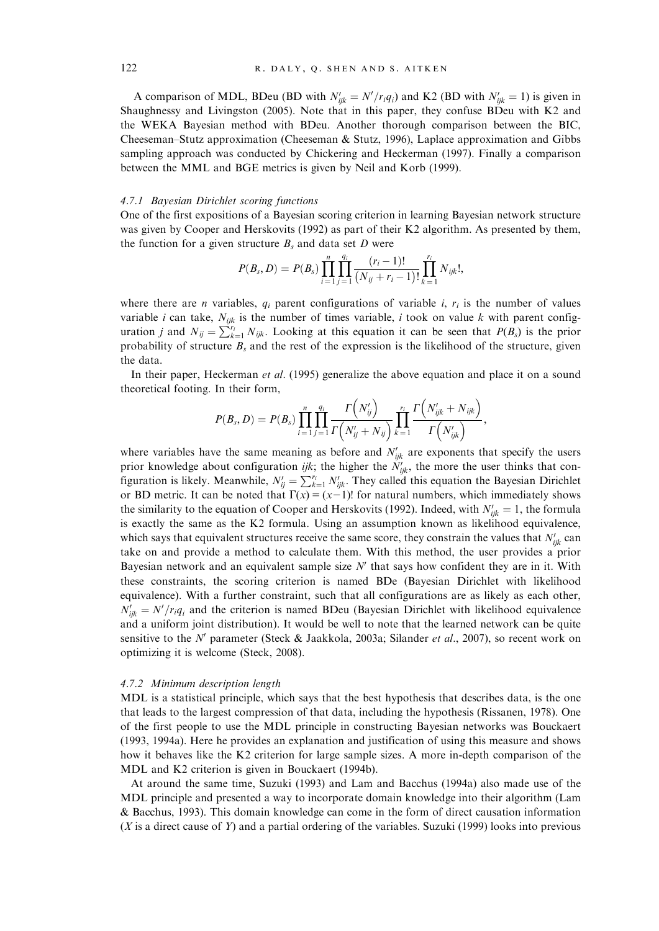A comparison of MDL, BDeu (BD with  $N'_{ijk} = N'/r_iq_i$ ) and K2 (BD with  $N'_{ijk} = 1$ ) is given in Shaughnessy and Livingston (2005). Note that in this paper, they confuse BDeu with K2 and the WEKA Bayesian method with BDeu. Another thorough comparison between the BIC, Cheeseman–Stutz approximation (Cheeseman & Stutz, 1996), Laplace approximation and Gibbs sampling approach was conducted by Chickering and Heckerman (1997). Finally a comparison between the MML and BGE metrics is given by Neil and Korb (1999).

#### 4.7.1 Bayesian Dirichlet scoring functions

One of the first expositions of a Bayesian scoring criterion in learning Bayesian network structure was given by Cooper and Herskovits (1992) as part of their K2 algorithm. As presented by them, the function for a given structure  $B_s$  and data set  $D$  were

$$
P(B_s, D) = P(B_s) \prod_{i=1}^n \prod_{j=1}^{q_i} \frac{(r_i-1)!}{(N_{ij}+r_i-1)!} \prod_{k=1}^{r_i} N_{ijk}!,
$$

where there are *n* variables,  $q_i$  parent configurations of variable *i*,  $r_i$  is the number of values variable *i* can take,  $N_{ijk}$  is the number of times variable, *i* took on value *k* with parent configuration j and  $N_{ij} = \sum_{k=1}^{r_i} N_{ijk}$ . Looking at this equation it can be seen that  $P(B_s)$  is the prior probability of structure  $B_s$  and the rest of the expression is the likelihood of the structure, given the data.

In their paper, Heckerman *et al.* (1995) generalize the above equation and place it on a sound theoretical footing. In their form,

$$
P(B_s, D) = P(B_s) \prod_{i=1}^n \prod_{j=1}^{q_i} \frac{\Gamma(N'_{ij})}{\Gamma(N'_{ij} + N_{ij})} \prod_{k=1}^{r_i} \frac{\Gamma(N'_{ijk} + N_{ijk})}{\Gamma(N'_{ijk})},
$$

where variables have the same meaning as before and  $N'_{ijk}$  are exponents that specify the users prior knowledge about configuration *ijk*; the higher the  $N'_{ijk}$ , the more the user thinks that configuration is likely. Meanwhile,  $N'_{ij} = \sum_{k=1}^{r_i} N'_{ijk}$ . They called this equation the Bayesian Dirichlet or BD metric. It can be noted that  $\Gamma(x) = (x-1)!$  for natural numbers, which immediately shows the similarity to the equation of Cooper and Herskovits (1992). Indeed, with  $N'_{ijk} = 1$ , the formula is exactly the same as the K2 formula. Using an assumption known as likelihood equivalence, which says that equivalent structures receive the same score, they constrain the values that  $N'_{ijk}$  can take on and provide a method to calculate them. With this method, the user provides a prior Bayesian network and an equivalent sample size  $N'$  that says how confident they are in it. With these constraints, the scoring criterion is named BDe (Bayesian Dirichlet with likelihood equivalence). With a further constraint, such that all configurations are as likely as each other,  $N'_{ijk} = N'/r_i q_i$  and the criterion is named BDeu (Bayesian Dirichlet with likelihood equivalence and a uniform joint distribution). It would be well to note that the learned network can be quite sensitive to the N' parameter (Steck & Jaakkola, 2003a; Silander *et al.*, 2007), so recent work on optimizing it is welcome (Steck, 2008).

# 4.7.2 Minimum description length

MDL is a statistical principle, which says that the best hypothesis that describes data, is the one that leads to the largest compression of that data, including the hypothesis (Rissanen, 1978). One of the first people to use the MDL principle in constructing Bayesian networks was Bouckaert (1993, 1994a). Here he provides an explanation and justification of using this measure and shows how it behaves like the K2 criterion for large sample sizes. A more in-depth comparison of the MDL and K2 criterion is given in Bouckaert (1994b).

At around the same time, Suzuki (1993) and Lam and Bacchus (1994a) also made use of the MDL principle and presented a way to incorporate domain knowledge into their algorithm (Lam & Bacchus, 1993). This domain knowledge can come in the form of direct causation information  $(X$  is a direct cause of Y) and a partial ordering of the variables. Suzuki (1999) looks into previous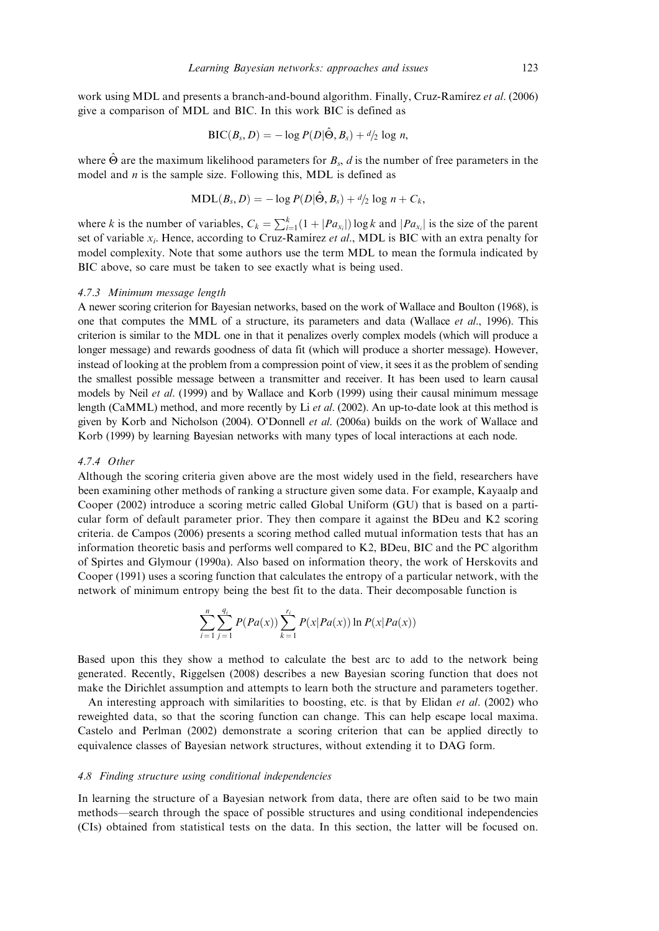work using MDL and presents a branch-and-bound algorithm. Finally, Cruz-Ramifrez et al. (2006) give a comparison of MDL and BIC. In this work BIC is defined as

$$
\text{BIC}(B_s, D) = -\log P(D|\hat{\Theta}, B_s) + \frac{d}{2}\log n,
$$

where  $\hat{\Theta}$  are the maximum likelihood parameters for  $B_s$ , d is the number of free parameters in the model and  $n$  is the sample size. Following this, MDL is defined as

$$
MDL(Bs, D) = -\log P(D|\hat{\Theta}, Bs) + \frac{d}{2} \log n + C_k,
$$

where k is the number of variables,  $C_k = \sum_{i=1}^k (1 + |Pa_{x_i}|) \log k$  and  $|Pa_{x_i}|$  is the size of the parent set of variable  $x_i$ . Hence, according to Cruz-Ramírez et al., MDL is BIC with an extra penalty for model complexity. Note that some authors use the term MDL to mean the formula indicated by BIC above, so care must be taken to see exactly what is being used.

#### 4.7.3 Minimum message length

A newer scoring criterion for Bayesian networks, based on the work of Wallace and Boulton (1968), is one that computes the MML of a structure, its parameters and data (Wallace *et al.*, 1996). This criterion is similar to the MDL one in that it penalizes overly complex models (which will produce a longer message) and rewards goodness of data fit (which will produce a shorter message). However, instead of looking at the problem from a compression point of view, it sees it as the problem of sending the smallest possible message between a transmitter and receiver. It has been used to learn causal models by Neil et al. (1999) and by Wallace and Korb (1999) using their causal minimum message length (CaMML) method, and more recently by Li et al. (2002). An up-to-date look at this method is given by Korb and Nicholson (2004). O'Donnell et al. (2006a) builds on the work of Wallace and Korb (1999) by learning Bayesian networks with many types of local interactions at each node.

#### 4.7.4 Other

Although the scoring criteria given above are the most widely used in the field, researchers have been examining other methods of ranking a structure given some data. For example, Kayaalp and Cooper (2002) introduce a scoring metric called Global Uniform (GU) that is based on a particular form of default parameter prior. They then compare it against the BDeu and K2 scoring criteria. de Campos (2006) presents a scoring method called mutual information tests that has an information theoretic basis and performs well compared to K2, BDeu, BIC and the PC algorithm of Spirtes and Glymour (1990a). Also based on information theory, the work of Herskovits and Cooper (1991) uses a scoring function that calculates the entropy of a particular network, with the network of minimum entropy being the best fit to the data. Their decomposable function is

$$
\sum_{i=1}^{n} \sum_{j=1}^{q_i} P(Pa(x)) \sum_{k=1}^{r_i} P(x|Pa(x)) \ln P(x|Pa(x))
$$

Based upon this they show a method to calculate the best arc to add to the network being generated. Recently, Riggelsen (2008) describes a new Bayesian scoring function that does not make the Dirichlet assumption and attempts to learn both the structure and parameters together.

An interesting approach with similarities to boosting, etc. is that by Elidan *et al.* (2002) who reweighted data, so that the scoring function can change. This can help escape local maxima. Castelo and Perlman (2002) demonstrate a scoring criterion that can be applied directly to equivalence classes of Bayesian network structures, without extending it to DAG form.

# 4.8 Finding structure using conditional independencies

In learning the structure of a Bayesian network from data, there are often said to be two main methods—search through the space of possible structures and using conditional independencies (CIs) obtained from statistical tests on the data. In this section, the latter will be focused on.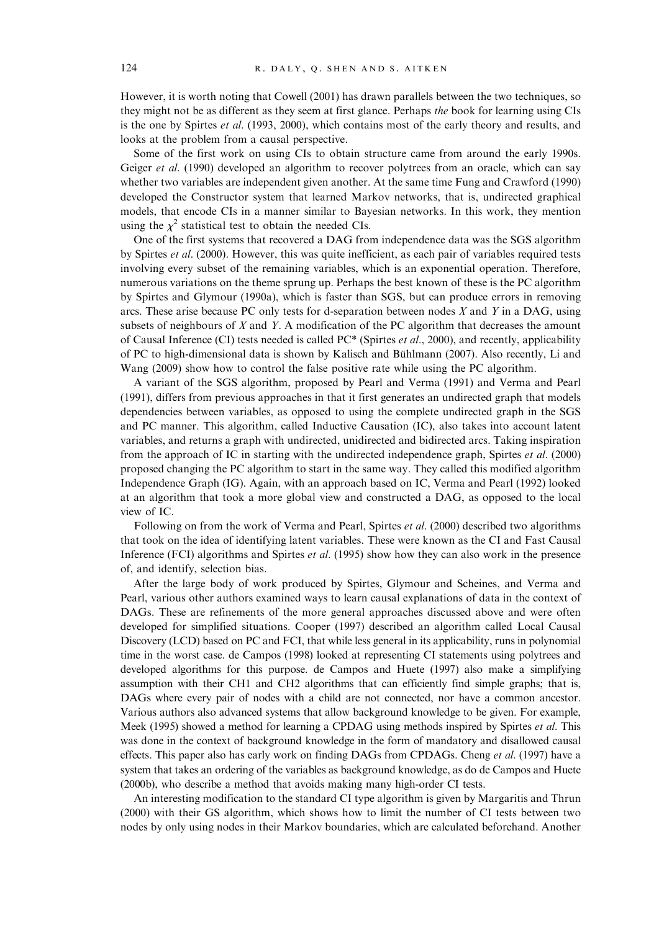However, it is worth noting that Cowell (2001) has drawn parallels between the two techniques, so they might not be as different as they seem at first glance. Perhaps the book for learning using CIs is the one by Spirtes *et al.* (1993, 2000), which contains most of the early theory and results, and looks at the problem from a causal perspective.

Some of the first work on using CIs to obtain structure came from around the early 1990s. Geiger et al. (1990) developed an algorithm to recover polytrees from an oracle, which can say whether two variables are independent given another. At the same time Fung and Crawford (1990) developed the Constructor system that learned Markov networks, that is, undirected graphical models, that encode CIs in a manner similar to Bayesian networks. In this work, they mention using the  $\chi^2$  statistical test to obtain the needed CIs.

One of the first systems that recovered a DAG from independence data was the SGS algorithm by Spirtes et al. (2000). However, this was quite inefficient, as each pair of variables required tests involving every subset of the remaining variables, which is an exponential operation. Therefore, numerous variations on the theme sprung up. Perhaps the best known of these is the PC algorithm by Spirtes and Glymour (1990a), which is faster than SGS, but can produce errors in removing arcs. These arise because PC only tests for d-separation between nodes  $X$  and  $Y$  in a DAG, using subsets of neighbours of  $X$  and  $Y$ . A modification of the PC algorithm that decreases the amount of Causal Inference (CI) tests needed is called  $PC^*$  (Spirtes *et al.*, 2000), and recently, applicability of PC to high-dimensional data is shown by Kalisch and Bühlmann (2007). Also recently, Li and Wang (2009) show how to control the false positive rate while using the PC algorithm.

A variant of the SGS algorithm, proposed by Pearl and Verma (1991) and Verma and Pearl (1991), differs from previous approaches in that it first generates an undirected graph that models dependencies between variables, as opposed to using the complete undirected graph in the SGS and PC manner. This algorithm, called Inductive Causation (IC), also takes into account latent variables, and returns a graph with undirected, unidirected and bidirected arcs. Taking inspiration from the approach of IC in starting with the undirected independence graph, Spirtes *et al.* (2000) proposed changing the PC algorithm to start in the same way. They called this modified algorithm Independence Graph (IG). Again, with an approach based on IC, Verma and Pearl (1992) looked at an algorithm that took a more global view and constructed a DAG, as opposed to the local view of IC.

Following on from the work of Verma and Pearl, Spirtes *et al.* (2000) described two algorithms that took on the idea of identifying latent variables. These were known as the CI and Fast Causal Inference (FCI) algorithms and Spirtes et al. (1995) show how they can also work in the presence of, and identify, selection bias.

After the large body of work produced by Spirtes, Glymour and Scheines, and Verma and Pearl, various other authors examined ways to learn causal explanations of data in the context of DAGs. These are refinements of the more general approaches discussed above and were often developed for simplified situations. Cooper (1997) described an algorithm called Local Causal Discovery (LCD) based on PC and FCI, that while less general in its applicability, runs in polynomial time in the worst case. de Campos (1998) looked at representing CI statements using polytrees and developed algorithms for this purpose. de Campos and Huete (1997) also make a simplifying assumption with their CH1 and CH2 algorithms that can efficiently find simple graphs; that is, DAGs where every pair of nodes with a child are not connected, nor have a common ancestor. Various authors also advanced systems that allow background knowledge to be given. For example, Meek (1995) showed a method for learning a CPDAG using methods inspired by Spirtes *et al.* This was done in the context of background knowledge in the form of mandatory and disallowed causal effects. This paper also has early work on finding DAGs from CPDAGs. Cheng et al. (1997) have a system that takes an ordering of the variables as background knowledge, as do de Campos and Huete (2000b), who describe a method that avoids making many high-order CI tests.

An interesting modification to the standard CI type algorithm is given by Margaritis and Thrun (2000) with their GS algorithm, which shows how to limit the number of CI tests between two nodes by only using nodes in their Markov boundaries, which are calculated beforehand. Another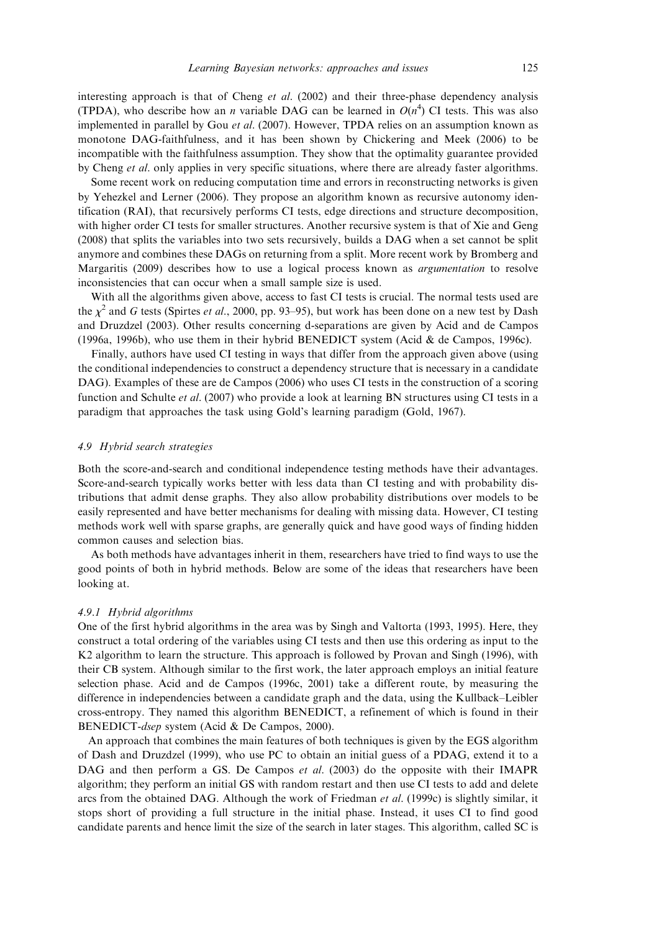interesting approach is that of Cheng et al. (2002) and their three-phase dependency analysis (TPDA), who describe how an *n* variable DAG can be learned in  $O(n^4)$  CI tests. This was also implemented in parallel by Gou et al. (2007). However, TPDA relies on an assumption known as monotone DAG-faithfulness, and it has been shown by Chickering and Meek (2006) to be incompatible with the faithfulness assumption. They show that the optimality guarantee provided by Cheng *et al.* only applies in very specific situations, where there are already faster algorithms.

Some recent work on reducing computation time and errors in reconstructing networks is given by Yehezkel and Lerner (2006). They propose an algorithm known as recursive autonomy identification (RAI), that recursively performs CI tests, edge directions and structure decomposition, with higher order CI tests for smaller structures. Another recursive system is that of Xie and Geng (2008) that splits the variables into two sets recursively, builds a DAG when a set cannot be split anymore and combines these DAGs on returning from a split. More recent work by Bromberg and Margaritis (2009) describes how to use a logical process known as argumentation to resolve inconsistencies that can occur when a small sample size is used.

With all the algorithms given above, access to fast CI tests is crucial. The normal tests used are the  $\chi^2$  and G tests (Spirtes *et al.*, 2000, pp. 93–95), but work has been done on a new test by Dash and Druzdzel (2003). Other results concerning d-separations are given by Acid and de Campos (1996a, 1996b), who use them in their hybrid BENEDICT system (Acid & de Campos, 1996c).

Finally, authors have used CI testing in ways that differ from the approach given above (using the conditional independencies to construct a dependency structure that is necessary in a candidate DAG). Examples of these are de Campos (2006) who uses CI tests in the construction of a scoring function and Schulte et al. (2007) who provide a look at learning BN structures using CI tests in a paradigm that approaches the task using Gold's learning paradigm (Gold, 1967).

# 4.9 Hybrid search strategies

Both the score-and-search and conditional independence testing methods have their advantages. Score-and-search typically works better with less data than CI testing and with probability distributions that admit dense graphs. They also allow probability distributions over models to be easily represented and have better mechanisms for dealing with missing data. However, CI testing methods work well with sparse graphs, are generally quick and have good ways of finding hidden common causes and selection bias.

As both methods have advantages inherit in them, researchers have tried to find ways to use the good points of both in hybrid methods. Below are some of the ideas that researchers have been looking at.

# 4.9.1 Hybrid algorithms

One of the first hybrid algorithms in the area was by Singh and Valtorta (1993, 1995). Here, they construct a total ordering of the variables using CI tests and then use this ordering as input to the K2 algorithm to learn the structure. This approach is followed by Provan and Singh (1996), with their CB system. Although similar to the first work, the later approach employs an initial feature selection phase. Acid and de Campos (1996c, 2001) take a different route, by measuring the difference in independencies between a candidate graph and the data, using the Kullback–Leibler cross-entropy. They named this algorithm BENEDICT, a refinement of which is found in their BENEDICT-dsep system (Acid & De Campos, 2000).

An approach that combines the main features of both techniques is given by the EGS algorithm of Dash and Druzdzel (1999), who use PC to obtain an initial guess of a PDAG, extend it to a DAG and then perform a GS. De Campos et al. (2003) do the opposite with their IMAPR algorithm; they perform an initial GS with random restart and then use CI tests to add and delete arcs from the obtained DAG. Although the work of Friedman et al. (1999c) is slightly similar, it stops short of providing a full structure in the initial phase. Instead, it uses CI to find good candidate parents and hence limit the size of the search in later stages. This algorithm, called SC is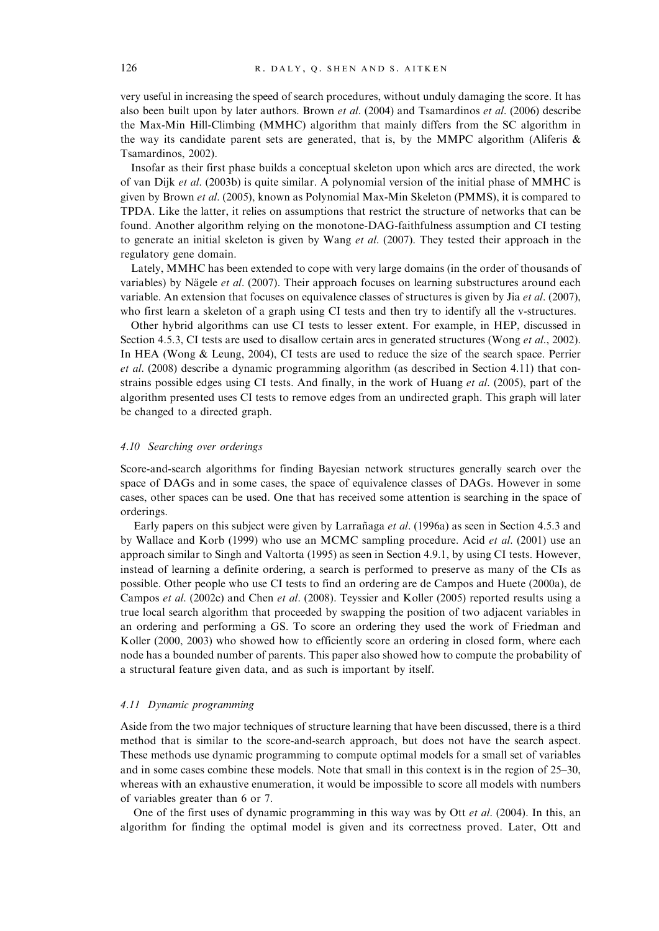very useful in increasing the speed of search procedures, without unduly damaging the score. It has also been built upon by later authors. Brown *et al.* (2004) and Tsamardinos *et al.* (2006) describe the Max-Min Hill-Climbing (MMHC) algorithm that mainly differs from the SC algorithm in the way its candidate parent sets are generated, that is, by the MMPC algorithm (Aliferis  $\&$ Tsamardinos, 2002).

Insofar as their first phase builds a conceptual skeleton upon which arcs are directed, the work of van Dijk et al. (2003b) is quite similar. A polynomial version of the initial phase of MMHC is given by Brown et al. (2005), known as Polynomial Max-Min Skeleton (PMMS), it is compared to TPDA. Like the latter, it relies on assumptions that restrict the structure of networks that can be found. Another algorithm relying on the monotone-DAG-faithfulness assumption and CI testing to generate an initial skeleton is given by Wang et al. (2007). They tested their approach in the regulatory gene domain.

Lately, MMHC has been extended to cope with very large domains (in the order of thousands of variables) by Nägele  $et$  al. (2007). Their approach focuses on learning substructures around each variable. An extension that focuses on equivalence classes of structures is given by Jia *et al.* (2007), who first learn a skeleton of a graph using CI tests and then try to identify all the v-structures.

Other hybrid algorithms can use CI tests to lesser extent. For example, in HEP, discussed in Section 4.5.3, CI tests are used to disallow certain arcs in generated structures (Wong et al., 2002). In HEA (Wong & Leung, 2004), CI tests are used to reduce the size of the search space. Perrier et al. (2008) describe a dynamic programming algorithm (as described in Section 4.11) that constrains possible edges using CI tests. And finally, in the work of Huang et al. (2005), part of the algorithm presented uses CI tests to remove edges from an undirected graph. This graph will later be changed to a directed graph.

# 4.10 Searching over orderings

Score-and-search algorithms for finding Bayesian network structures generally search over the space of DAGs and in some cases, the space of equivalence classes of DAGs. However in some cases, other spaces can be used. One that has received some attention is searching in the space of orderings.

Early papers on this subject were given by Larrañaga *et al.* (1996a) as seen in Section 4.5.3 and by Wallace and Korb (1999) who use an MCMC sampling procedure. Acid et al. (2001) use an approach similar to Singh and Valtorta (1995) as seen in Section 4.9.1, by using CI tests. However, instead of learning a definite ordering, a search is performed to preserve as many of the CIs as possible. Other people who use CI tests to find an ordering are de Campos and Huete (2000a), de Campos et al. (2002c) and Chen et al. (2008). Teyssier and Koller (2005) reported results using a true local search algorithm that proceeded by swapping the position of two adjacent variables in an ordering and performing a GS. To score an ordering they used the work of Friedman and Koller (2000, 2003) who showed how to efficiently score an ordering in closed form, where each node has a bounded number of parents. This paper also showed how to compute the probability of a structural feature given data, and as such is important by itself.

# 4.11 Dynamic programming

Aside from the two major techniques of structure learning that have been discussed, there is a third method that is similar to the score-and-search approach, but does not have the search aspect. These methods use dynamic programming to compute optimal models for a small set of variables and in some cases combine these models. Note that small in this context is in the region of 25–30, whereas with an exhaustive enumeration, it would be impossible to score all models with numbers of variables greater than 6 or 7.

One of the first uses of dynamic programming in this way was by Ott et al. (2004). In this, an algorithm for finding the optimal model is given and its correctness proved. Later, Ott and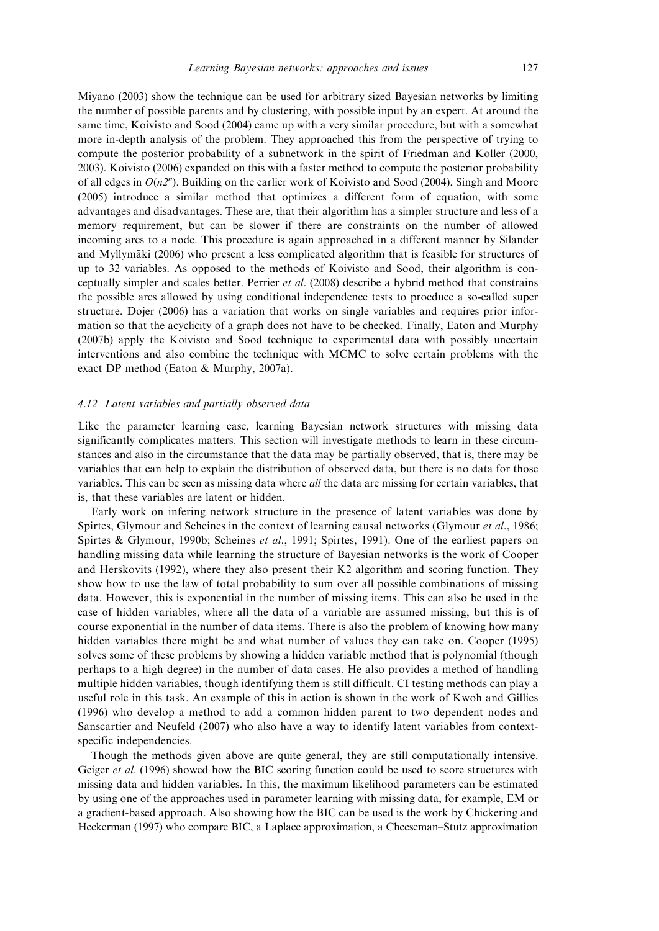Miyano (2003) show the technique can be used for arbitrary sized Bayesian networks by limiting the number of possible parents and by clustering, with possible input by an expert. At around the same time, Koivisto and Sood (2004) came up with a very similar procedure, but with a somewhat more in-depth analysis of the problem. They approached this from the perspective of trying to compute the posterior probability of a subnetwork in the spirit of Friedman and Koller (2000, 2003). Koivisto (2006) expanded on this with a faster method to compute the posterior probability of all edges in  $O(n2^n)$ . Building on the earlier work of Koivisto and Sood (2004), Singh and Moore (2005) introduce a similar method that optimizes a different form of equation, with some advantages and disadvantages. These are, that their algorithm has a simpler structure and less of a memory requirement, but can be slower if there are constraints on the number of allowed incoming arcs to a node. This procedure is again approached in a different manner by Silander and Myllymäki (2006) who present a less complicated algorithm that is feasible for structures of up to 32 variables. As opposed to the methods of Koivisto and Sood, their algorithm is conceptually simpler and scales better. Perrier et al. (2008) describe a hybrid method that constrains the possible arcs allowed by using conditional independence tests to procduce a so-called super structure. Dojer (2006) has a variation that works on single variables and requires prior information so that the acyclicity of a graph does not have to be checked. Finally, Eaton and Murphy (2007b) apply the Koivisto and Sood technique to experimental data with possibly uncertain interventions and also combine the technique with MCMC to solve certain problems with the exact DP method (Eaton & Murphy, 2007a).

# 4.12 Latent variables and partially observed data

Like the parameter learning case, learning Bayesian network structures with missing data significantly complicates matters. This section will investigate methods to learn in these circumstances and also in the circumstance that the data may be partially observed, that is, there may be variables that can help to explain the distribution of observed data, but there is no data for those variables. This can be seen as missing data where all the data are missing for certain variables, that is, that these variables are latent or hidden.

Early work on infering network structure in the presence of latent variables was done by Spirtes, Glymour and Scheines in the context of learning causal networks (Glymour et al., 1986; Spirtes & Glymour, 1990b; Scheines et al., 1991; Spirtes, 1991). One of the earliest papers on handling missing data while learning the structure of Bayesian networks is the work of Cooper and Herskovits (1992), where they also present their K2 algorithm and scoring function. They show how to use the law of total probability to sum over all possible combinations of missing data. However, this is exponential in the number of missing items. This can also be used in the case of hidden variables, where all the data of a variable are assumed missing, but this is of course exponential in the number of data items. There is also the problem of knowing how many hidden variables there might be and what number of values they can take on. Cooper (1995) solves some of these problems by showing a hidden variable method that is polynomial (though perhaps to a high degree) in the number of data cases. He also provides a method of handling multiple hidden variables, though identifying them is still difficult. CI testing methods can play a useful role in this task. An example of this in action is shown in the work of Kwoh and Gillies (1996) who develop a method to add a common hidden parent to two dependent nodes and Sanscartier and Neufeld (2007) who also have a way to identify latent variables from contextspecific independencies.

Though the methods given above are quite general, they are still computationally intensive. Geiger et al. (1996) showed how the BIC scoring function could be used to score structures with missing data and hidden variables. In this, the maximum likelihood parameters can be estimated by using one of the approaches used in parameter learning with missing data, for example, EM or a gradient-based approach. Also showing how the BIC can be used is the work by Chickering and Heckerman (1997) who compare BIC, a Laplace approximation, a Cheeseman–Stutz approximation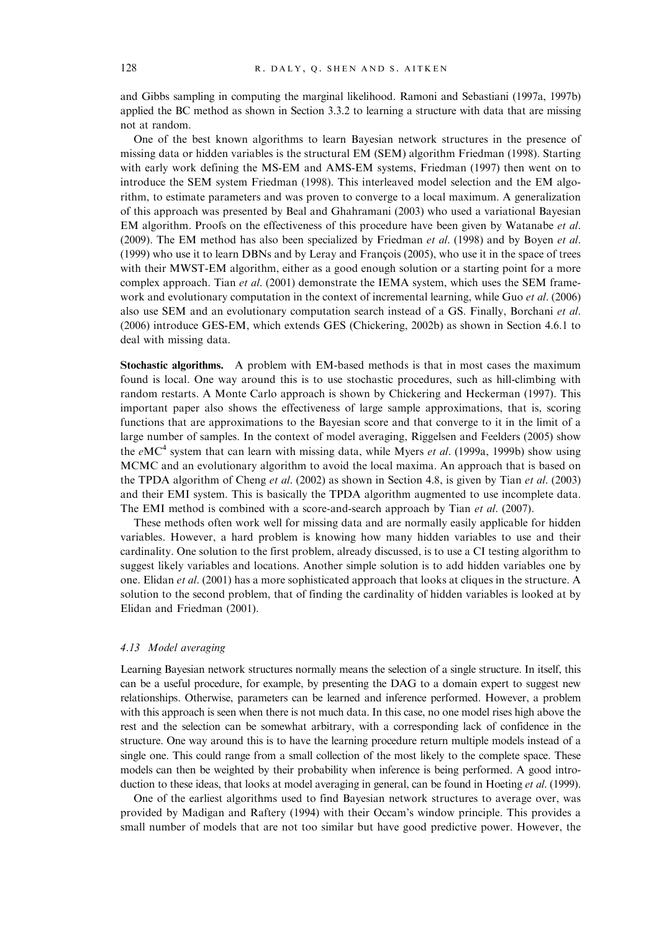and Gibbs sampling in computing the marginal likelihood. Ramoni and Sebastiani (1997a, 1997b) applied the BC method as shown in Section 3.3.2 to learning a structure with data that are missing not at random.

One of the best known algorithms to learn Bayesian network structures in the presence of missing data or hidden variables is the structural EM (SEM) algorithm Friedman (1998). Starting with early work defining the MS-EM and AMS-EM systems, Friedman (1997) then went on to introduce the SEM system Friedman (1998). This interleaved model selection and the EM algorithm, to estimate parameters and was proven to converge to a local maximum. A generalization of this approach was presented by Beal and Ghahramani (2003) who used a variational Bayesian EM algorithm. Proofs on the effectiveness of this procedure have been given by Watanabe *et al.* (2009). The EM method has also been specialized by Friedman *et al.* (1998) and by Boyen *et al.*  $(1999)$  who use it to learn DBNs and by Leray and François  $(2005)$ , who use it in the space of trees with their MWST-EM algorithm, either as a good enough solution or a starting point for a more complex approach. Tian et al. (2001) demonstrate the IEMA system, which uses the SEM framework and evolutionary computation in the context of incremental learning, while Guo *et al.* (2006) also use SEM and an evolutionary computation search instead of a GS. Finally, Borchani et al. (2006) introduce GES-EM, which extends GES (Chickering, 2002b) as shown in Section 4.6.1 to deal with missing data.

Stochastic algorithms. A problem with EM-based methods is that in most cases the maximum found is local. One way around this is to use stochastic procedures, such as hill-climbing with random restarts. A Monte Carlo approach is shown by Chickering and Heckerman (1997). This important paper also shows the effectiveness of large sample approximations, that is, scoring functions that are approximations to the Bayesian score and that converge to it in the limit of a large number of samples. In the context of model averaging, Riggelsen and Feelders (2005) show the  $eMC<sup>4</sup>$  system that can learn with missing data, while Myers *et al.* (1999a, 1999b) show using MCMC and an evolutionary algorithm to avoid the local maxima. An approach that is based on the TPDA algorithm of Cheng et al. (2002) as shown in Section 4.8, is given by Tian et al. (2003) and their EMI system. This is basically the TPDA algorithm augmented to use incomplete data. The EMI method is combined with a score-and-search approach by Tian et al. (2007).

These methods often work well for missing data and are normally easily applicable for hidden variables. However, a hard problem is knowing how many hidden variables to use and their cardinality. One solution to the first problem, already discussed, is to use a CI testing algorithm to suggest likely variables and locations. Another simple solution is to add hidden variables one by one. Elidan et al. (2001) has a more sophisticated approach that looks at cliques in the structure. A solution to the second problem, that of finding the cardinality of hidden variables is looked at by Elidan and Friedman (2001).

# 4.13 Model averaging

Learning Bayesian network structures normally means the selection of a single structure. In itself, this can be a useful procedure, for example, by presenting the DAG to a domain expert to suggest new relationships. Otherwise, parameters can be learned and inference performed. However, a problem with this approach is seen when there is not much data. In this case, no one model rises high above the rest and the selection can be somewhat arbitrary, with a corresponding lack of confidence in the structure. One way around this is to have the learning procedure return multiple models instead of a single one. This could range from a small collection of the most likely to the complete space. These models can then be weighted by their probability when inference is being performed. A good introduction to these ideas, that looks at model averaging in general, can be found in Hoeting et al. (1999).

One of the earliest algorithms used to find Bayesian network structures to average over, was provided by Madigan and Raftery (1994) with their Occam's window principle. This provides a small number of models that are not too similar but have good predictive power. However, the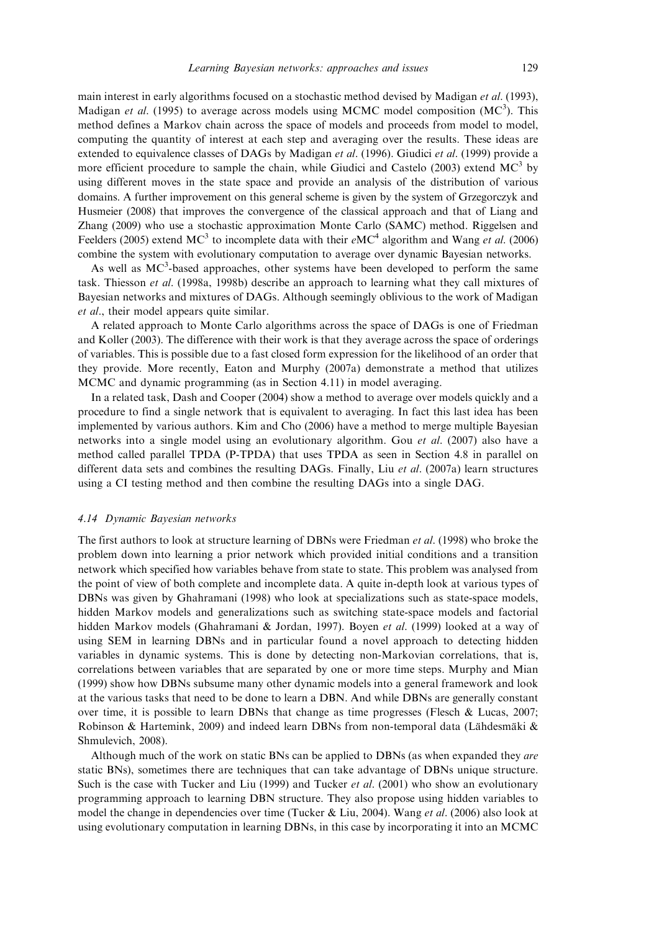main interest in early algorithms focused on a stochastic method devised by Madigan *et al.* (1993), Madigan et al. (1995) to average across models using MCMC model composition ( $MC<sup>3</sup>$ ). This method defines a Markov chain across the space of models and proceeds from model to model, computing the quantity of interest at each step and averaging over the results. These ideas are extended to equivalence classes of DAGs by Madigan et al. (1996). Giudici et al. (1999) provide a more efficient procedure to sample the chain, while Giudici and Castelo (2003) extend  $MC^3$  by using different moves in the state space and provide an analysis of the distribution of various domains. A further improvement on this general scheme is given by the system of Grzegorczyk and Husmeier (2008) that improves the convergence of the classical approach and that of Liang and Zhang (2009) who use a stochastic approximation Monte Carlo (SAMC) method. Riggelsen and Feelders (2005) extend  $MC^3$  to incomplete data with their eMC<sup>4</sup> algorithm and Wang et al. (2006) combine the system with evolutionary computation to average over dynamic Bayesian networks.

As well as  $MC<sup>3</sup>$ -based approaches, other systems have been developed to perform the same task. Thiesson et al. (1998a, 1998b) describe an approach to learning what they call mixtures of Bayesian networks and mixtures of DAGs. Although seemingly oblivious to the work of Madigan et al., their model appears quite similar.

A related approach to Monte Carlo algorithms across the space of DAGs is one of Friedman and Koller (2003). The difference with their work is that they average across the space of orderings of variables. This is possible due to a fast closed form expression for the likelihood of an order that they provide. More recently, Eaton and Murphy (2007a) demonstrate a method that utilizes MCMC and dynamic programming (as in Section 4.11) in model averaging.

In a related task, Dash and Cooper (2004) show a method to average over models quickly and a procedure to find a single network that is equivalent to averaging. In fact this last idea has been implemented by various authors. Kim and Cho (2006) have a method to merge multiple Bayesian networks into a single model using an evolutionary algorithm. Gou et al. (2007) also have a method called parallel TPDA (P-TPDA) that uses TPDA as seen in Section 4.8 in parallel on different data sets and combines the resulting DAGs. Finally, Liu et al. (2007a) learn structures using a CI testing method and then combine the resulting DAGs into a single DAG.

#### 4.14 Dynamic Bayesian networks

The first authors to look at structure learning of DBNs were Friedman *et al.* (1998) who broke the problem down into learning a prior network which provided initial conditions and a transition network which specified how variables behave from state to state. This problem was analysed from the point of view of both complete and incomplete data. A quite in-depth look at various types of DBNs was given by Ghahramani (1998) who look at specializations such as state-space models, hidden Markov models and generalizations such as switching state-space models and factorial hidden Markov models (Ghahramani & Jordan, 1997). Boyen et al. (1999) looked at a way of using SEM in learning DBNs and in particular found a novel approach to detecting hidden variables in dynamic systems. This is done by detecting non-Markovian correlations, that is, correlations between variables that are separated by one or more time steps. Murphy and Mian (1999) show how DBNs subsume many other dynamic models into a general framework and look at the various tasks that need to be done to learn a DBN. And while DBNs are generally constant over time, it is possible to learn DBNs that change as time progresses (Flesch & Lucas, 2007; Robinson & Hartemink, 2009) and indeed learn DBNs from non-temporal data (Lähdesmäki & Shmulevich, 2008).

Although much of the work on static BNs can be applied to DBNs (as when expanded they are static BNs), sometimes there are techniques that can take advantage of DBNs unique structure. Such is the case with Tucker and Liu (1999) and Tucker *et al.* (2001) who show an evolutionary programming approach to learning DBN structure. They also propose using hidden variables to model the change in dependencies over time (Tucker & Liu, 2004). Wang *et al.* (2006) also look at using evolutionary computation in learning DBNs, in this case by incorporating it into an MCMC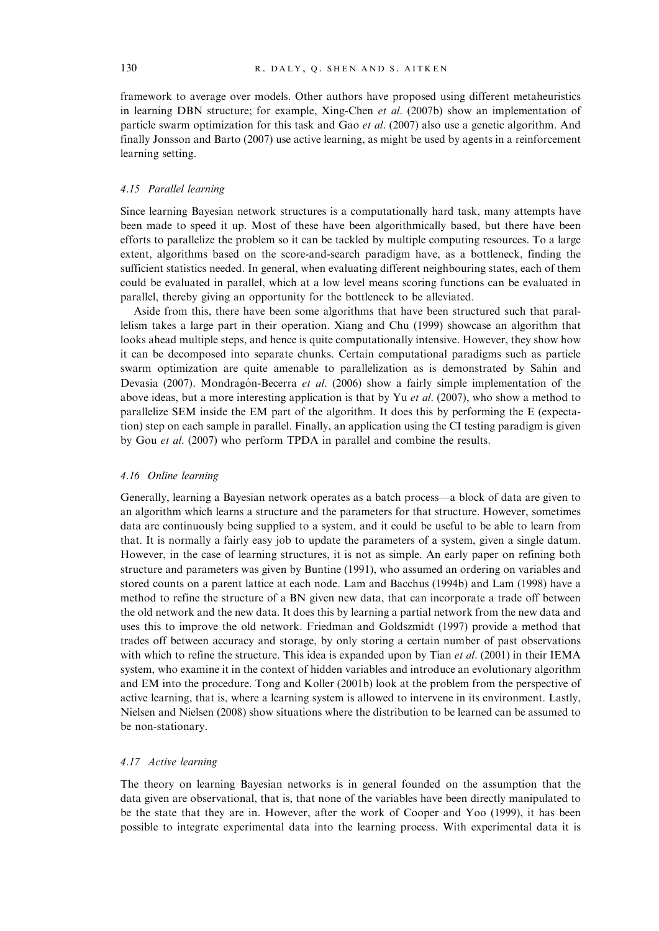framework to average over models. Other authors have proposed using different metaheuristics in learning DBN structure; for example, Xing-Chen *et al.* (2007b) show an implementation of particle swarm optimization for this task and Gao et al. (2007) also use a genetic algorithm. And finally Jonsson and Barto (2007) use active learning, as might be used by agents in a reinforcement learning setting.

## 4.15 Parallel learning

Since learning Bayesian network structures is a computationally hard task, many attempts have been made to speed it up. Most of these have been algorithmically based, but there have been efforts to parallelize the problem so it can be tackled by multiple computing resources. To a large extent, algorithms based on the score-and-search paradigm have, as a bottleneck, finding the sufficient statistics needed. In general, when evaluating different neighbouring states, each of them could be evaluated in parallel, which at a low level means scoring functions can be evaluated in parallel, thereby giving an opportunity for the bottleneck to be alleviated.

Aside from this, there have been some algorithms that have been structured such that parallelism takes a large part in their operation. Xiang and Chu (1999) showcase an algorithm that looks ahead multiple steps, and hence is quite computationally intensive. However, they show how it can be decomposed into separate chunks. Certain computational paradigms such as particle swarm optimization are quite amenable to parallelization as is demonstrated by Sahin and Devasia (2007). Mondragón-Becerra *et al.* (2006) show a fairly simple implementation of the above ideas, but a more interesting application is that by Yu *et al.* (2007), who show a method to parallelize SEM inside the EM part of the algorithm. It does this by performing the E (expectation) step on each sample in parallel. Finally, an application using the CI testing paradigm is given by Gou et al. (2007) who perform TPDA in parallel and combine the results.

# 4.16 Online learning

Generally, learning a Bayesian network operates as a batch process—a block of data are given to an algorithm which learns a structure and the parameters for that structure. However, sometimes data are continuously being supplied to a system, and it could be useful to be able to learn from that. It is normally a fairly easy job to update the parameters of a system, given a single datum. However, in the case of learning structures, it is not as simple. An early paper on refining both structure and parameters was given by Buntine (1991), who assumed an ordering on variables and stored counts on a parent lattice at each node. Lam and Bacchus (1994b) and Lam (1998) have a method to refine the structure of a BN given new data, that can incorporate a trade off between the old network and the new data. It does this by learning a partial network from the new data and uses this to improve the old network. Friedman and Goldszmidt (1997) provide a method that trades off between accuracy and storage, by only storing a certain number of past observations with which to refine the structure. This idea is expanded upon by Tian et al. (2001) in their IEMA system, who examine it in the context of hidden variables and introduce an evolutionary algorithm and EM into the procedure. Tong and Koller (2001b) look at the problem from the perspective of active learning, that is, where a learning system is allowed to intervene in its environment. Lastly, Nielsen and Nielsen (2008) show situations where the distribution to be learned can be assumed to be non-stationary.

# 4.17 Active learning

The theory on learning Bayesian networks is in general founded on the assumption that the data given are observational, that is, that none of the variables have been directly manipulated to be the state that they are in. However, after the work of Cooper and Yoo (1999), it has been possible to integrate experimental data into the learning process. With experimental data it is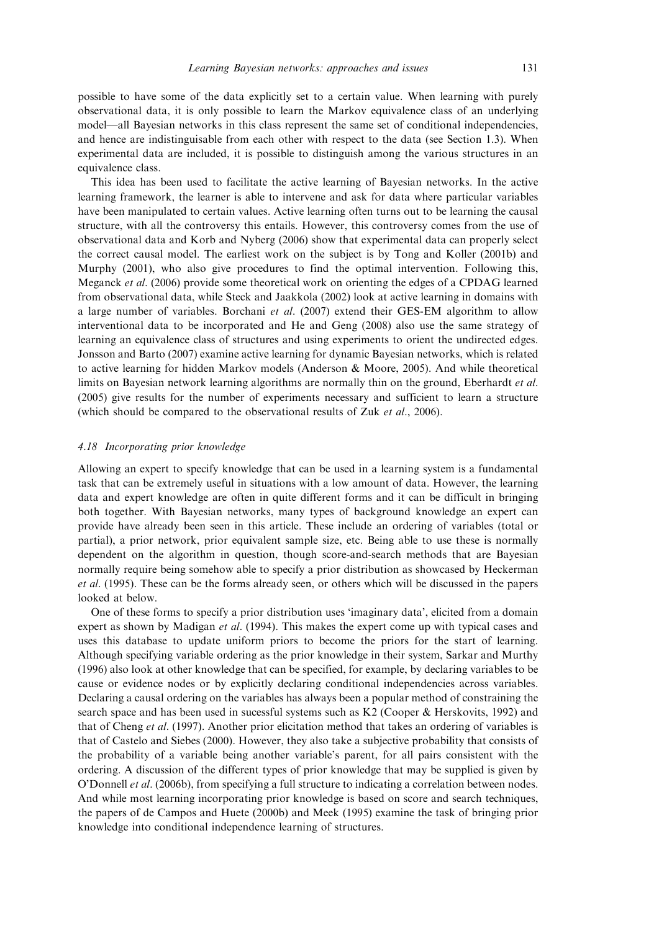possible to have some of the data explicitly set to a certain value. When learning with purely observational data, it is only possible to learn the Markov equivalence class of an underlying model—all Bayesian networks in this class represent the same set of conditional independencies, and hence are indistinguisable from each other with respect to the data (see Section 1.3). When experimental data are included, it is possible to distinguish among the various structures in an equivalence class.

This idea has been used to facilitate the active learning of Bayesian networks. In the active learning framework, the learner is able to intervene and ask for data where particular variables have been manipulated to certain values. Active learning often turns out to be learning the causal structure, with all the controversy this entails. However, this controversy comes from the use of observational data and Korb and Nyberg (2006) show that experimental data can properly select the correct causal model. The earliest work on the subject is by Tong and Koller (2001b) and Murphy (2001), who also give procedures to find the optimal intervention. Following this, Meganck et al. (2006) provide some theoretical work on orienting the edges of a CPDAG learned from observational data, while Steck and Jaakkola (2002) look at active learning in domains with a large number of variables. Borchani et al. (2007) extend their GES-EM algorithm to allow interventional data to be incorporated and He and Geng (2008) also use the same strategy of learning an equivalence class of structures and using experiments to orient the undirected edges. Jonsson and Barto (2007) examine active learning for dynamic Bayesian networks, which is related to active learning for hidden Markov models (Anderson & Moore, 2005). And while theoretical limits on Bayesian network learning algorithms are normally thin on the ground, Eberhardt et al. (2005) give results for the number of experiments necessary and sufficient to learn a structure (which should be compared to the observational results of Zuk et al., 2006).

## 4.18 Incorporating prior knowledge

Allowing an expert to specify knowledge that can be used in a learning system is a fundamental task that can be extremely useful in situations with a low amount of data. However, the learning data and expert knowledge are often in quite different forms and it can be difficult in bringing both together. With Bayesian networks, many types of background knowledge an expert can provide have already been seen in this article. These include an ordering of variables (total or partial), a prior network, prior equivalent sample size, etc. Being able to use these is normally dependent on the algorithm in question, though score-and-search methods that are Bayesian normally require being somehow able to specify a prior distribution as showcased by Heckerman et al. (1995). These can be the forms already seen, or others which will be discussed in the papers looked at below.

One of these forms to specify a prior distribution uses 'imaginary data', elicited from a domain expert as shown by Madigan *et al.* (1994). This makes the expert come up with typical cases and uses this database to update uniform priors to become the priors for the start of learning. Although specifying variable ordering as the prior knowledge in their system, Sarkar and Murthy (1996) also look at other knowledge that can be specified, for example, by declaring variables to be cause or evidence nodes or by explicitly declaring conditional independencies across variables. Declaring a causal ordering on the variables has always been a popular method of constraining the search space and has been used in sucessful systems such as K2 (Cooper & Herskovits, 1992) and that of Cheng et al. (1997). Another prior elicitation method that takes an ordering of variables is that of Castelo and Siebes (2000). However, they also take a subjective probability that consists of the probability of a variable being another variable's parent, for all pairs consistent with the ordering. A discussion of the different types of prior knowledge that may be supplied is given by O'Donnell et al. (2006b), from specifying a full structure to indicating a correlation between nodes. And while most learning incorporating prior knowledge is based on score and search techniques, the papers of de Campos and Huete (2000b) and Meek (1995) examine the task of bringing prior knowledge into conditional independence learning of structures.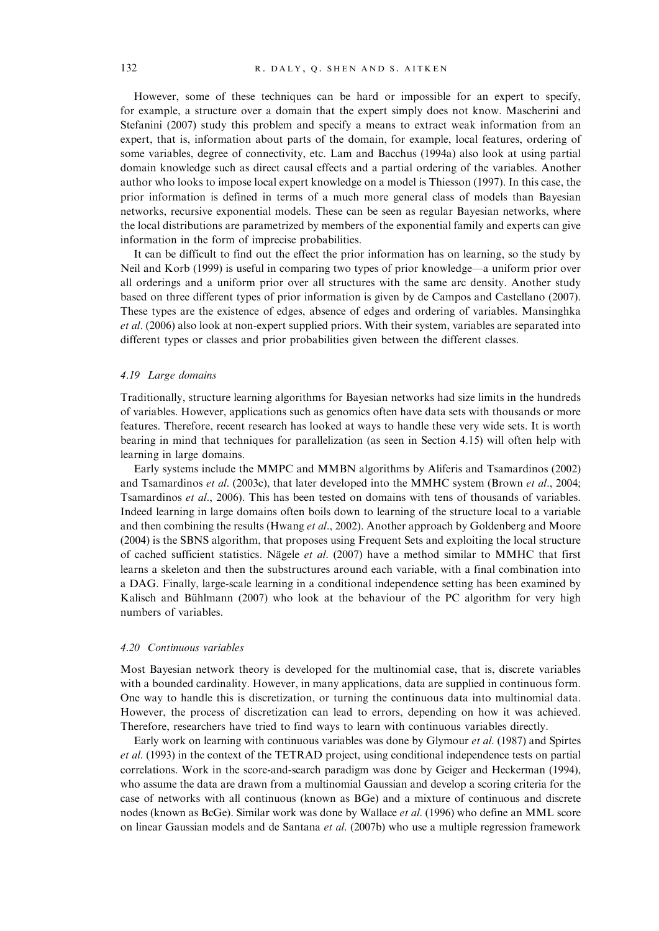However, some of these techniques can be hard or impossible for an expert to specify, for example, a structure over a domain that the expert simply does not know. Mascherini and Stefanini (2007) study this problem and specify a means to extract weak information from an expert, that is, information about parts of the domain, for example, local features, ordering of some variables, degree of connectivity, etc. Lam and Bacchus (1994a) also look at using partial domain knowledge such as direct causal effects and a partial ordering of the variables. Another author who looks to impose local expert knowledge on a model is Thiesson (1997). In this case, the prior information is defined in terms of a much more general class of models than Bayesian networks, recursive exponential models. These can be seen as regular Bayesian networks, where the local distributions are parametrized by members of the exponential family and experts can give information in the form of imprecise probabilities.

It can be difficult to find out the effect the prior information has on learning, so the study by Neil and Korb (1999) is useful in comparing two types of prior knowledge—a uniform prior over all orderings and a uniform prior over all structures with the same arc density. Another study based on three different types of prior information is given by de Campos and Castellano (2007). These types are the existence of edges, absence of edges and ordering of variables. Mansinghka et al. (2006) also look at non-expert supplied priors. With their system, variables are separated into different types or classes and prior probabilities given between the different classes.

# 4.19 Large domains

Traditionally, structure learning algorithms for Bayesian networks had size limits in the hundreds of variables. However, applications such as genomics often have data sets with thousands or more features. Therefore, recent research has looked at ways to handle these very wide sets. It is worth bearing in mind that techniques for parallelization (as seen in Section 4.15) will often help with learning in large domains.

Early systems include the MMPC and MMBN algorithms by Aliferis and Tsamardinos (2002) and Tsamardinos et al. (2003c), that later developed into the MMHC system (Brown et al., 2004; Tsamardinos et al., 2006). This has been tested on domains with tens of thousands of variables. Indeed learning in large domains often boils down to learning of the structure local to a variable and then combining the results (Hwang *et al.*, 2002). Another approach by Goldenberg and Moore (2004) is the SBNS algorithm, that proposes using Frequent Sets and exploiting the local structure of cached sufficient statistics. Nagele *et al.* (2007) have a method similar to MMHC that first learns a skeleton and then the substructures around each variable, with a final combination into a DAG. Finally, large-scale learning in a conditional independence setting has been examined by Kalisch and Bühlmann (2007) who look at the behaviour of the PC algorithm for very high numbers of variables.

#### 4.20 Continuous variables

Most Bayesian network theory is developed for the multinomial case, that is, discrete variables with a bounded cardinality. However, in many applications, data are supplied in continuous form. One way to handle this is discretization, or turning the continuous data into multinomial data. However, the process of discretization can lead to errors, depending on how it was achieved. Therefore, researchers have tried to find ways to learn with continuous variables directly.

Early work on learning with continuous variables was done by Glymour et al. (1987) and Spirtes et al. (1993) in the context of the TETRAD project, using conditional independence tests on partial correlations. Work in the score-and-search paradigm was done by Geiger and Heckerman (1994), who assume the data are drawn from a multinomial Gaussian and develop a scoring criteria for the case of networks with all continuous (known as BGe) and a mixture of continuous and discrete nodes (known as BcGe). Similar work was done by Wallace et al. (1996) who define an MML score on linear Gaussian models and de Santana et al. (2007b) who use a multiple regression framework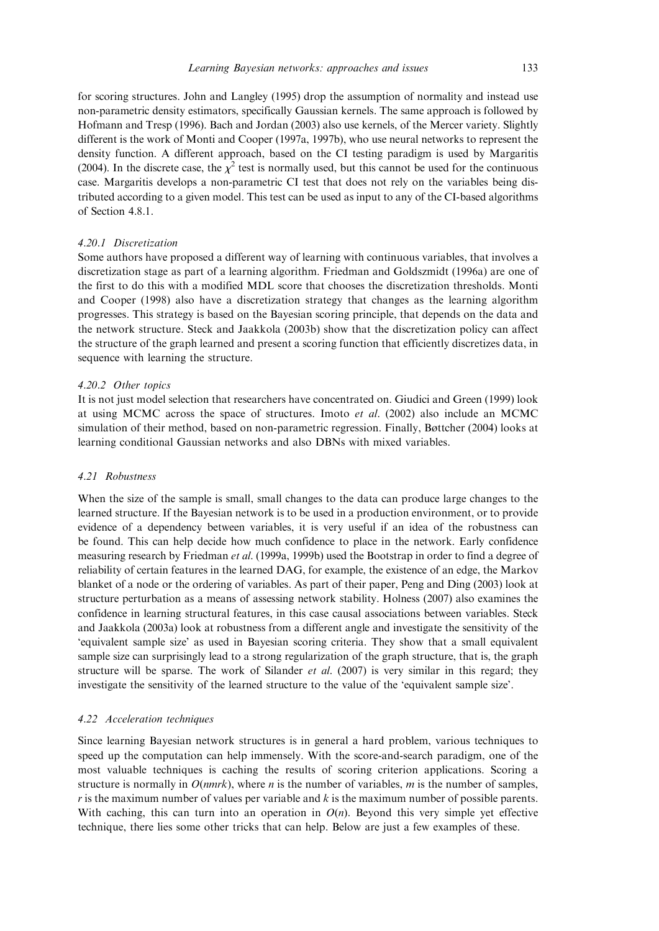for scoring structures. John and Langley (1995) drop the assumption of normality and instead use non-parametric density estimators, specifically Gaussian kernels. The same approach is followed by Hofmann and Tresp (1996). Bach and Jordan (2003) also use kernels, of the Mercer variety. Slightly different is the work of Monti and Cooper (1997a, 1997b), who use neural networks to represent the density function. A different approach, based on the CI testing paradigm is used by Margaritis (2004). In the discrete case, the  $\chi^2$  test is normally used, but this cannot be used for the continuous case. Margaritis develops a non-parametric CI test that does not rely on the variables being distributed according to a given model. This test can be used as input to any of the CI-based algorithms of Section 4.8.1.

## 4.20.1 Discretization

Some authors have proposed a different way of learning with continuous variables, that involves a discretization stage as part of a learning algorithm. Friedman and Goldszmidt (1996a) are one of the first to do this with a modified MDL score that chooses the discretization thresholds. Monti and Cooper (1998) also have a discretization strategy that changes as the learning algorithm progresses. This strategy is based on the Bayesian scoring principle, that depends on the data and the network structure. Steck and Jaakkola (2003b) show that the discretization policy can affect the structure of the graph learned and present a scoring function that efficiently discretizes data, in sequence with learning the structure.

# 4.20.2 Other topics

It is not just model selection that researchers have concentrated on. Giudici and Green (1999) look at using MCMC across the space of structures. Imoto et al. (2002) also include an MCMC simulation of their method, based on non-parametric regression. Finally, Bøttcher (2004) looks at learning conditional Gaussian networks and also DBNs with mixed variables.

# 4.21 Robustness

When the size of the sample is small, small changes to the data can produce large changes to the learned structure. If the Bayesian network is to be used in a production environment, or to provide evidence of a dependency between variables, it is very useful if an idea of the robustness can be found. This can help decide how much confidence to place in the network. Early confidence measuring research by Friedman *et al.* (1999a, 1999b) used the Bootstrap in order to find a degree of reliability of certain features in the learned DAG, for example, the existence of an edge, the Markov blanket of a node or the ordering of variables. As part of their paper, Peng and Ding (2003) look at structure perturbation as a means of assessing network stability. Holness (2007) also examines the confidence in learning structural features, in this case causal associations between variables. Steck and Jaakkola (2003a) look at robustness from a different angle and investigate the sensitivity of the 'equivalent sample size' as used in Bayesian scoring criteria. They show that a small equivalent sample size can surprisingly lead to a strong regularization of the graph structure, that is, the graph structure will be sparse. The work of Silander et al. (2007) is very similar in this regard; they investigate the sensitivity of the learned structure to the value of the 'equivalent sample size'.

# 4.22 Acceleration techniques

Since learning Bayesian network structures is in general a hard problem, various techniques to speed up the computation can help immensely. With the score-and-search paradigm, one of the most valuable techniques is caching the results of scoring criterion applications. Scoring a structure is normally in  $O(mmk)$ , where *n* is the number of variables, *m* is the number of samples,  $r$  is the maximum number of values per variable and  $k$  is the maximum number of possible parents. With caching, this can turn into an operation in  $O(n)$ . Beyond this very simple yet effective technique, there lies some other tricks that can help. Below are just a few examples of these.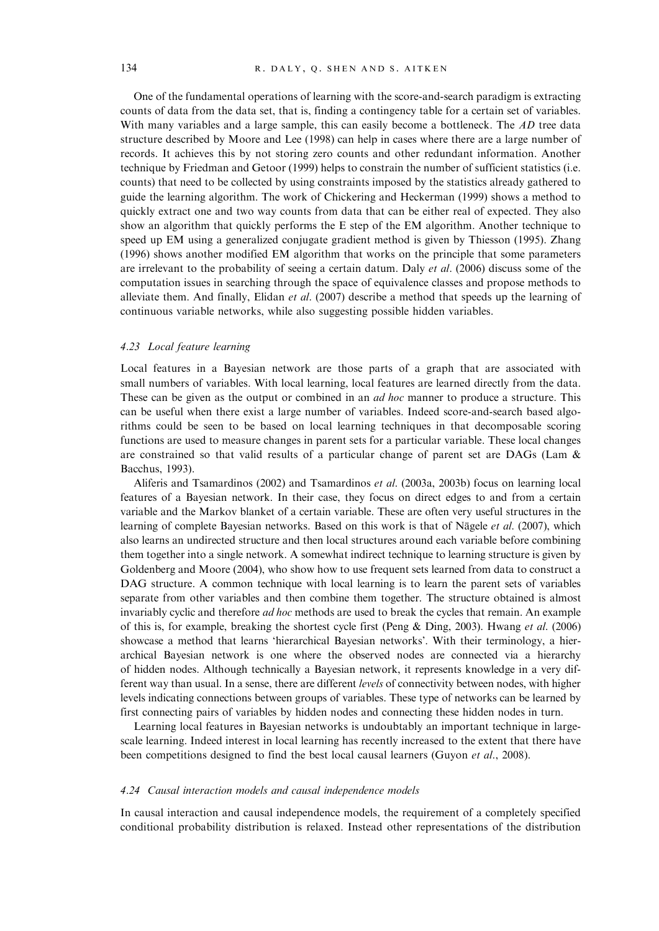One of the fundamental operations of learning with the score-and-search paradigm is extracting counts of data from the data set, that is, finding a contingency table for a certain set of variables. With many variables and a large sample, this can easily become a bottleneck. The AD tree data structure described by Moore and Lee (1998) can help in cases where there are a large number of records. It achieves this by not storing zero counts and other redundant information. Another technique by Friedman and Getoor (1999) helps to constrain the number of sufficient statistics (i.e. counts) that need to be collected by using constraints imposed by the statistics already gathered to guide the learning algorithm. The work of Chickering and Heckerman (1999) shows a method to quickly extract one and two way counts from data that can be either real of expected. They also show an algorithm that quickly performs the E step of the EM algorithm. Another technique to speed up EM using a generalized conjugate gradient method is given by Thiesson (1995). Zhang (1996) shows another modified EM algorithm that works on the principle that some parameters are irrelevant to the probability of seeing a certain datum. Daly *et al.* (2006) discuss some of the computation issues in searching through the space of equivalence classes and propose methods to alleviate them. And finally, Elidan *et al.* (2007) describe a method that speeds up the learning of continuous variable networks, while also suggesting possible hidden variables.

# 4.23 Local feature learning

Local features in a Bayesian network are those parts of a graph that are associated with small numbers of variables. With local learning, local features are learned directly from the data. These can be given as the output or combined in an *ad hoc* manner to produce a structure. This can be useful when there exist a large number of variables. Indeed score-and-search based algorithms could be seen to be based on local learning techniques in that decomposable scoring functions are used to measure changes in parent sets for a particular variable. These local changes are constrained so that valid results of a particular change of parent set are DAGs (Lam & Bacchus, 1993).

Aliferis and Tsamardinos (2002) and Tsamardinos et al. (2003a, 2003b) focus on learning local features of a Bayesian network. In their case, they focus on direct edges to and from a certain variable and the Markov blanket of a certain variable. These are often very useful structures in the learning of complete Bayesian networks. Based on this work is that of Nägele *et al.* (2007), which also learns an undirected structure and then local structures around each variable before combining them together into a single network. A somewhat indirect technique to learning structure is given by Goldenberg and Moore (2004), who show how to use frequent sets learned from data to construct a DAG structure. A common technique with local learning is to learn the parent sets of variables separate from other variables and then combine them together. The structure obtained is almost invariably cyclic and therefore *ad hoc* methods are used to break the cycles that remain. An example of this is, for example, breaking the shortest cycle first (Peng & Ding, 2003). Hwang et al. (2006) showcase a method that learns 'hierarchical Bayesian networks'. With their terminology, a hierarchical Bayesian network is one where the observed nodes are connected via a hierarchy of hidden nodes. Although technically a Bayesian network, it represents knowledge in a very different way than usual. In a sense, there are different levels of connectivity between nodes, with higher levels indicating connections between groups of variables. These type of networks can be learned by first connecting pairs of variables by hidden nodes and connecting these hidden nodes in turn.

Learning local features in Bayesian networks is undoubtably an important technique in largescale learning. Indeed interest in local learning has recently increased to the extent that there have been competitions designed to find the best local causal learners (Guyon *et al.*, 2008).

## 4.24 Causal interaction models and causal independence models

In causal interaction and causal independence models, the requirement of a completely specified conditional probability distribution is relaxed. Instead other representations of the distribution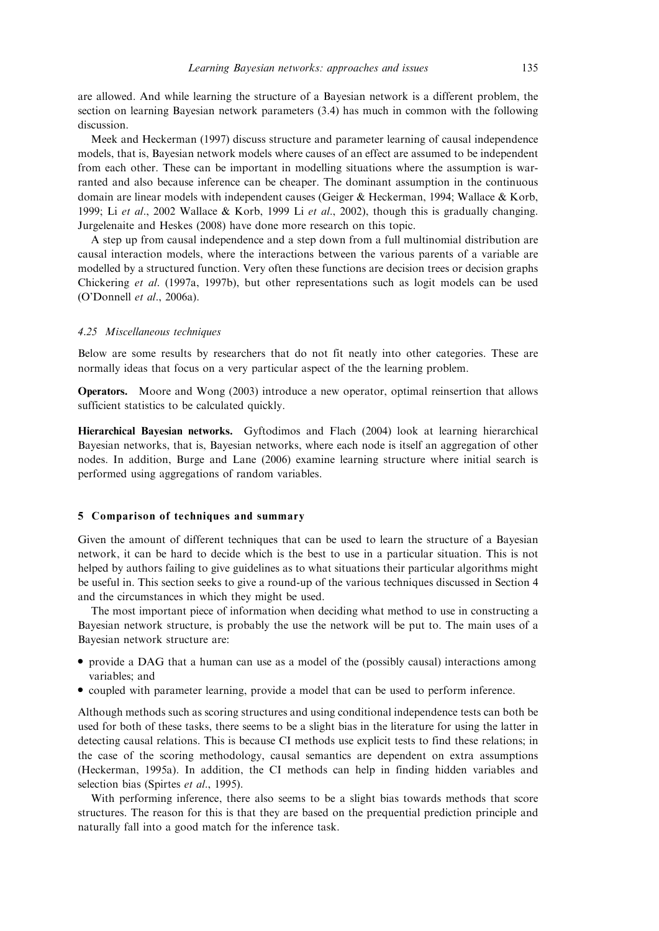are allowed. And while learning the structure of a Bayesian network is a different problem, the section on learning Bayesian network parameters (3.4) has much in common with the following discussion.

Meek and Heckerman (1997) discuss structure and parameter learning of causal independence models, that is, Bayesian network models where causes of an effect are assumed to be independent from each other. These can be important in modelling situations where the assumption is warranted and also because inference can be cheaper. The dominant assumption in the continuous domain are linear models with independent causes (Geiger & Heckerman, 1994; Wallace & Korb, 1999; Li et al., 2002 Wallace & Korb, 1999 Li et al., 2002), though this is gradually changing. Jurgelenaite and Heskes (2008) have done more research on this topic.

A step up from causal independence and a step down from a full multinomial distribution are causal interaction models, where the interactions between the various parents of a variable are modelled by a structured function. Very often these functions are decision trees or decision graphs Chickering et al. (1997a, 1997b), but other representations such as logit models can be used (O'Donnell et al., 2006a).

# 4.25 Miscellaneous techniques

Below are some results by researchers that do not fit neatly into other categories. These are normally ideas that focus on a very particular aspect of the the learning problem.

Operators. Moore and Wong (2003) introduce a new operator, optimal reinsertion that allows sufficient statistics to be calculated quickly.

Hierarchical Bayesian networks. Gyftodimos and Flach (2004) look at learning hierarchical Bayesian networks, that is, Bayesian networks, where each node is itself an aggregation of other nodes. In addition, Burge and Lane (2006) examine learning structure where initial search is performed using aggregations of random variables.

# 5 Comparison of techniques and summary

Given the amount of different techniques that can be used to learn the structure of a Bayesian network, it can be hard to decide which is the best to use in a particular situation. This is not helped by authors failing to give guidelines as to what situations their particular algorithms might be useful in. This section seeks to give a round-up of the various techniques discussed in Section 4 and the circumstances in which they might be used.

The most important piece of information when deciding what method to use in constructing a Bayesian network structure, is probably the use the network will be put to. The main uses of a Bayesian network structure are:

- <sup>&</sup>gt; provide a DAG that a human can use as a model of the (possibly causal) interactions among variables; and
- <sup>&</sup>gt; coupled with parameter learning, provide a model that can be used to perform inference.

Although methods such as scoring structures and using conditional independence tests can both be used for both of these tasks, there seems to be a slight bias in the literature for using the latter in detecting causal relations. This is because CI methods use explicit tests to find these relations; in the case of the scoring methodology, causal semantics are dependent on extra assumptions (Heckerman, 1995a). In addition, the CI methods can help in finding hidden variables and selection bias (Spirtes et al., 1995).

With performing inference, there also seems to be a slight bias towards methods that score structures. The reason for this is that they are based on the prequential prediction principle and naturally fall into a good match for the inference task.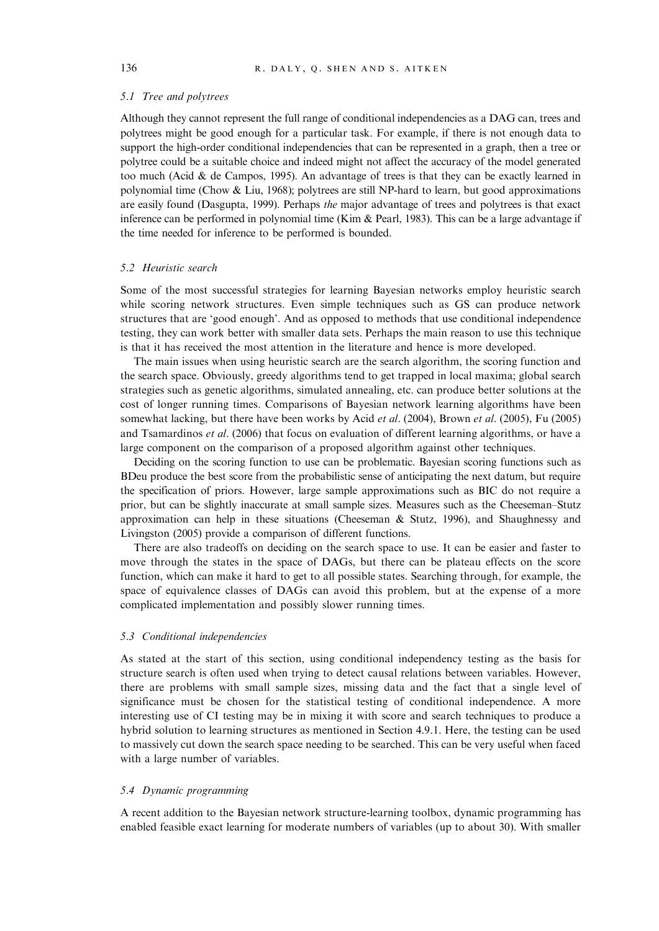# 5.1 Tree and polytrees

Although they cannot represent the full range of conditional independencies as a DAG can, trees and polytrees might be good enough for a particular task. For example, if there is not enough data to support the high-order conditional independencies that can be represented in a graph, then a tree or polytree could be a suitable choice and indeed might not affect the accuracy of the model generated too much (Acid  $\&$  de Campos, 1995). An advantage of trees is that they can be exactly learned in polynomial time (Chow & Liu, 1968); polytrees are still NP-hard to learn, but good approximations are easily found (Dasgupta, 1999). Perhaps the major advantage of trees and polytrees is that exact inference can be performed in polynomial time (Kim & Pearl, 1983). This can be a large advantage if the time needed for inference to be performed is bounded.

#### 5.2 Heuristic search

Some of the most successful strategies for learning Bayesian networks employ heuristic search while scoring network structures. Even simple techniques such as GS can produce network structures that are 'good enough'. And as opposed to methods that use conditional independence testing, they can work better with smaller data sets. Perhaps the main reason to use this technique is that it has received the most attention in the literature and hence is more developed.

The main issues when using heuristic search are the search algorithm, the scoring function and the search space. Obviously, greedy algorithms tend to get trapped in local maxima; global search strategies such as genetic algorithms, simulated annealing, etc. can produce better solutions at the cost of longer running times. Comparisons of Bayesian network learning algorithms have been somewhat lacking, but there have been works by Acid *et al.* (2004), Brown *et al.* (2005), Fu (2005) and Tsamardinos *et al.* (2006) that focus on evaluation of different learning algorithms, or have a large component on the comparison of a proposed algorithm against other techniques.

Deciding on the scoring function to use can be problematic. Bayesian scoring functions such as BDeu produce the best score from the probabilistic sense of anticipating the next datum, but require the specification of priors. However, large sample approximations such as BIC do not require a prior, but can be slightly inaccurate at small sample sizes. Measures such as the Cheeseman–Stutz approximation can help in these situations (Cheeseman & Stutz, 1996), and Shaughnessy and Livingston (2005) provide a comparison of different functions.

There are also tradeoffs on deciding on the search space to use. It can be easier and faster to move through the states in the space of DAGs, but there can be plateau effects on the score function, which can make it hard to get to all possible states. Searching through, for example, the space of equivalence classes of DAGs can avoid this problem, but at the expense of a more complicated implementation and possibly slower running times.

# 5.3 Conditional independencies

As stated at the start of this section, using conditional independency testing as the basis for structure search is often used when trying to detect causal relations between variables. However, there are problems with small sample sizes, missing data and the fact that a single level of significance must be chosen for the statistical testing of conditional independence. A more interesting use of CI testing may be in mixing it with score and search techniques to produce a hybrid solution to learning structures as mentioned in Section 4.9.1. Here, the testing can be used to massively cut down the search space needing to be searched. This can be very useful when faced with a large number of variables.

## 5.4 Dynamic programming

A recent addition to the Bayesian network structure-learning toolbox, dynamic programming has enabled feasible exact learning for moderate numbers of variables (up to about 30). With smaller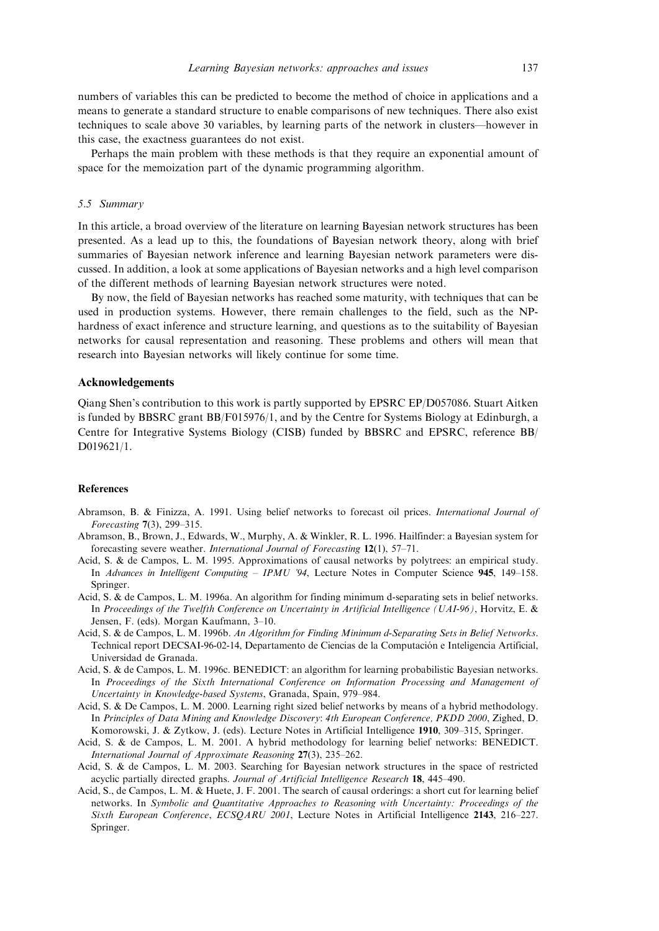numbers of variables this can be predicted to become the method of choice in applications and a means to generate a standard structure to enable comparisons of new techniques. There also exist techniques to scale above 30 variables, by learning parts of the network in clusters—however in this case, the exactness guarantees do not exist.

Perhaps the main problem with these methods is that they require an exponential amount of space for the memoization part of the dynamic programming algorithm.

## 5.5 Summary

In this article, a broad overview of the literature on learning Bayesian network structures has been presented. As a lead up to this, the foundations of Bayesian network theory, along with brief summaries of Bayesian network inference and learning Bayesian network parameters were discussed. In addition, a look at some applications of Bayesian networks and a high level comparison of the different methods of learning Bayesian network structures were noted.

By now, the field of Bayesian networks has reached some maturity, with techniques that can be used in production systems. However, there remain challenges to the field, such as the NPhardness of exact inference and structure learning, and questions as to the suitability of Bayesian networks for causal representation and reasoning. These problems and others will mean that research into Bayesian networks will likely continue for some time.

# Acknowledgements

Qiang Shen's contribution to this work is partly supported by EPSRC EP/D057086. Stuart Aitken is funded by BBSRC grant BB/F015976/1, and by the Centre for Systems Biology at Edinburgh, a Centre for Integrative Systems Biology (CISB) funded by BBSRC and EPSRC, reference BB/ D019621/1.

## References

- Abramson, B. & Finizza, A. 1991. Using belief networks to forecast oil prices. International Journal of Forecasting 7(3), 299–315.
- Abramson, B., Brown, J., Edwards, W., Murphy, A. & Winkler, R. L. 1996. Hailfinder: a Bayesian system for forecasting severe weather. International Journal of Forecasting 12(1), 57–71.
- Acid, S. & de Campos, L. M. 1995. Approximations of causal networks by polytrees: an empirical study. In Advances in Intelligent Computing – IPMU '94, Lecture Notes in Computer Science 945, 149–158. Springer.
- Acid, S. & de Campos, L. M. 1996a. An algorithm for finding minimum d-separating sets in belief networks. In Proceedings of the Twelfth Conference on Uncertainty in Artificial Intelligence (UAI-96), Horvitz, E. & Jensen, F. (eds). Morgan Kaufmann, 3–10.
- Acid, S. & de Campos, L. M. 1996b. An Algorithm for Finding Minimum d-Separating Sets in Belief Networks. Technical report DECSAI-96-02-14, Departamento de Ciencias de la Computación e Inteligencia Artificial, Universidad de Granada.
- Acid, S. & de Campos, L. M. 1996c. BENEDICT: an algorithm for learning probabilistic Bayesian networks. In Proceedings of the Sixth International Conference on Information Processing and Management of Uncertainty in Knowledge-based Systems, Granada, Spain, 979–984.
- Acid, S. & De Campos, L. M. 2000. Learning right sized belief networks by means of a hybrid methodology. In Principles of Data Mining and Knowledge Discovery: 4th European Conference, PKDD 2000, Zighed, D. Komorowski, J. & Zytkow, J. (eds). Lecture Notes in Artificial Intelligence 1910, 309–315, Springer.
- Acid, S. & de Campos, L. M. 2001. A hybrid methodology for learning belief networks: BENEDICT. International Journal of Approximate Reasoning 27(3), 235–262.
- Acid, S. & de Campos, L. M. 2003. Searching for Bayesian network structures in the space of restricted acyclic partially directed graphs. Journal of Artificial Intelligence Research 18, 445–490.
- Acid, S., de Campos, L. M. & Huete, J. F. 2001. The search of causal orderings: a short cut for learning belief networks. In Symbolic and Quantitative Approaches to Reasoning with Uncertainty: Proceedings of the Sixth European Conference, ECSQARU 2001, Lecture Notes in Artificial Intelligence 2143, 216-227. Springer.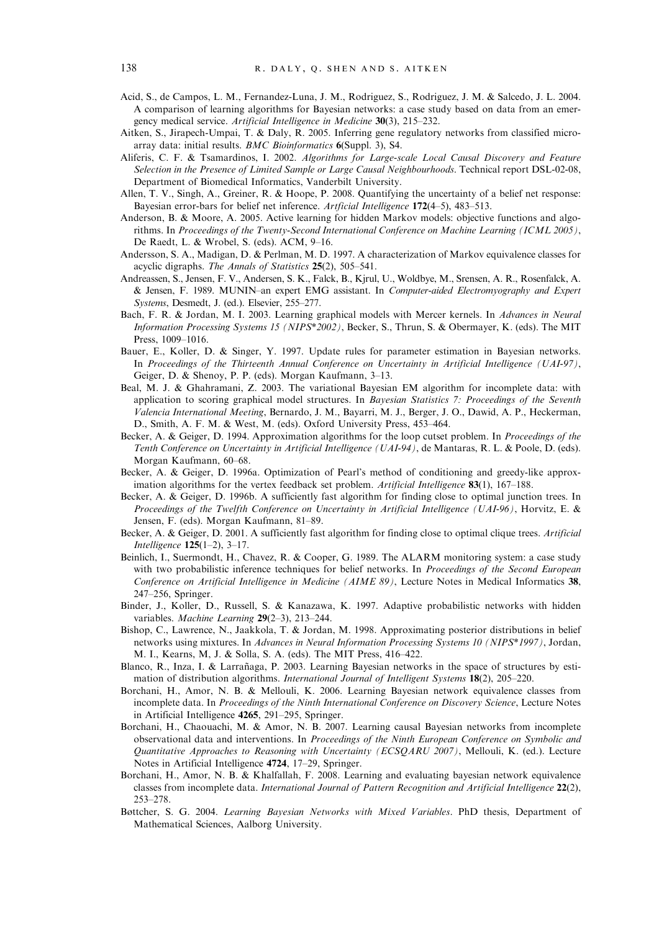- Acid, S., de Campos, L. M., Fernandez-Luna, J. M., Rodriguez, S., Rodriguez, J. M. & Salcedo, J. L. 2004. A comparison of learning algorithms for Bayesian networks: a case study based on data from an emergency medical service. Artificial Intelligence in Medicine 30(3), 215–232.
- Aitken, S., Jirapech-Umpai, T. & Daly, R. 2005. Inferring gene regulatory networks from classified microarray data: initial results. BMC Bioinformatics 6(Suppl. 3), S4.
- Aliferis, C. F. & Tsamardinos, I. 2002. Algorithms for Large-scale Local Causal Discovery and Feature Selection in the Presence of Limited Sample or Large Causal Neighbourhoods. Technical report DSL-02-08, Department of Biomedical Informatics, Vanderbilt University.
- Allen, T. V., Singh, A., Greiner, R. & Hoope, P. 2008. Quantifying the uncertainty of a belief net response: Bayesian error-bars for belief net inference. Artficial Intelligence 172(4–5), 483–513.
- Anderson, B. & Moore, A. 2005. Active learning for hidden Markov models: objective functions and algorithms. In Proceedings of the Twenty-Second International Conference on Machine Learning (ICML 2005), De Raedt, L. & Wrobel, S. (eds). ACM, 9–16.
- Andersson, S. A., Madigan, D. & Perlman, M. D. 1997. A characterization of Markov equivalence classes for acyclic digraphs. The Annals of Statistics 25(2), 505–541.
- Andreassen, S., Jensen, F. V., Andersen, S. K., Falck, B., Kjrul, U., Woldbye, M., Srensen, A. R., Rosenfalck, A. & Jensen, F. 1989. MUNIN–an expert EMG assistant. In Computer-aided Electromyography and Expert Systems, Desmedt, J. (ed.). Elsevier, 255–277.
- Bach, F. R. & Jordan, M. I. 2003. Learning graphical models with Mercer kernels. In Advances in Neural Information Processing Systems 15 (NIPS\*2002), Becker, S., Thrun, S. & Obermayer, K. (eds). The MIT Press, 1009–1016.
- Bauer, E., Koller, D. & Singer, Y. 1997. Update rules for parameter estimation in Bayesian networks. In Proceedings of the Thirteenth Annual Conference on Uncertainty in Artificial Intelligence (UAI-97), Geiger, D. & Shenoy, P. P. (eds). Morgan Kaufmann, 3–13.
- Beal, M. J. & Ghahramani, Z. 2003. The variational Bayesian EM algorithm for incomplete data: with application to scoring graphical model structures. In Bayesian Statistics 7: Proceedings of the Seventh Valencia International Meeting, Bernardo, J. M., Bayarri, M. J., Berger, J. O., Dawid, A. P., Heckerman, D., Smith, A. F. M. & West, M. (eds). Oxford University Press, 453–464.
- Becker, A. & Geiger, D. 1994. Approximation algorithms for the loop cutset problem. In *Proceedings of the* Tenth Conference on Uncertainty in Artificial Intelligence (UAI-94), de Mantaras, R. L. & Poole, D. (eds). Morgan Kaufmann, 60–68.
- Becker, A. & Geiger, D. 1996a. Optimization of Pearl's method of conditioning and greedy-like approximation algorithms for the vertex feedback set problem. Artificial Intelligence 83(1), 167–188.
- Becker, A. & Geiger, D. 1996b. A sufficiently fast algorithm for finding close to optimal junction trees. In Proceedings of the Twelfth Conference on Uncertainty in Artificial Intelligence (UAI-96), Horvitz, E. & Jensen, F. (eds). Morgan Kaufmann, 81–89.
- Becker, A. & Geiger, D. 2001. A sufficiently fast algorithm for finding close to optimal clique trees. Artificial Intelligence 125(1–2), 3–17.
- Beinlich, I., Suermondt, H., Chavez, R. & Cooper, G. 1989. The ALARM monitoring system: a case study with two probabilistic inference techniques for belief networks. In *Proceedings of the Second European* Conference on Artificial Intelligence in Medicine (AIME 89), Lecture Notes in Medical Informatics 38, 247–256, Springer.
- Binder, J., Koller, D., Russell, S. & Kanazawa, K. 1997. Adaptive probabilistic networks with hidden variables. Machine Learning 29(2–3), 213–244.
- Bishop, C., Lawrence, N., Jaakkola, T. & Jordan, M. 1998. Approximating posterior distributions in belief networks using mixtures. In Advances in Neural Information Processing Systems 10 (NIPS\*1997), Jordan, M. I., Kearns, M, J. & Solla, S. A. (eds). The MIT Press, 416–422.
- Blanco, R., Inza, I. & Larrañaga, P. 2003. Learning Bayesian networks in the space of structures by estimation of distribution algorithms. *International Journal of Intelligent Systems* 18(2), 205–220.
- Borchani, H., Amor, N. B. & Mellouli, K. 2006. Learning Bayesian network equivalence classes from incomplete data. In Proceedings of the Ninth International Conference on Discovery Science, Lecture Notes in Artificial Intelligence 4265, 291–295, Springer.
- Borchani, H., Chaouachi, M. & Amor, N. B. 2007. Learning causal Bayesian networks from incomplete observational data and interventions. In Proceedings of the Ninth European Conference on Symbolic and Quantitative Approaches to Reasoning with Uncertainty (ECSQARU 2007), Mellouli, K. (ed.). Lecture Notes in Artificial Intelligence 4724, 17–29, Springer.
- Borchani, H., Amor, N. B. & Khalfallah, F. 2008. Learning and evaluating bayesian network equivalence classes from incomplete data. International Journal of Pattern Recognition and Artificial Intelligence 22(2), 253–278.
- Bøttcher, S. G. 2004. Learning Bayesian Networks with Mixed Variables. PhD thesis, Department of Mathematical Sciences, Aalborg University.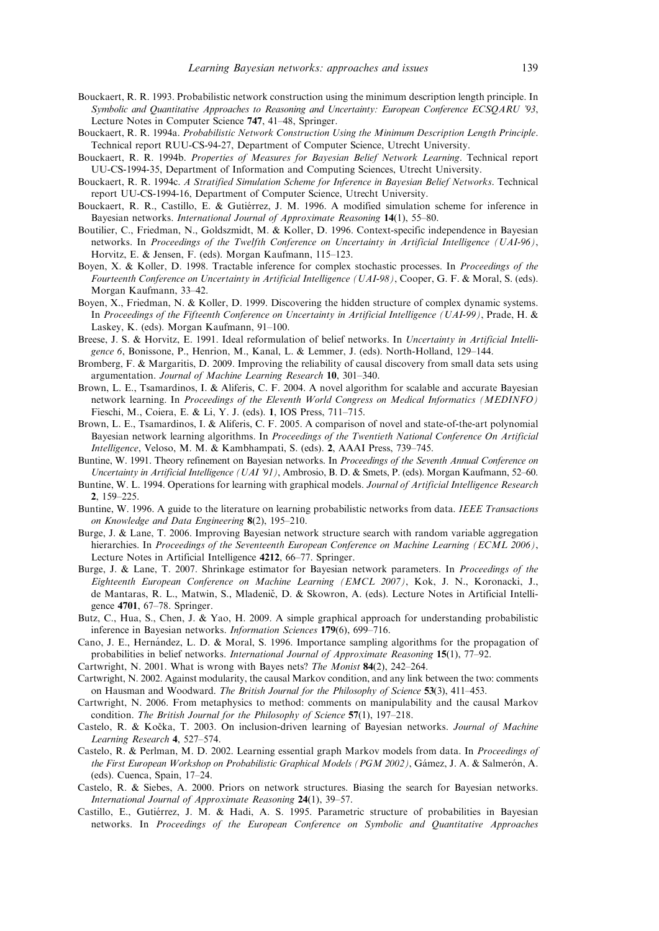- Bouckaert, R. R. 1993. Probabilistic network construction using the minimum description length principle. In Symbolic and Quantitative Approaches to Reasoning and Uncertainty: European Conference ECSQARU '93, Lecture Notes in Computer Science 747, 41–48, Springer.
- Bouckaert, R. R. 1994a. Probabilistic Network Construction Using the Minimum Description Length Principle. Technical report RUU-CS-94-27, Department of Computer Science, Utrecht University.
- Bouckaert, R. R. 1994b. Properties of Measures for Bayesian Belief Network Learning. Technical report UU-CS-1994-35, Department of Information and Computing Sciences, Utrecht University.
- Bouckaert, R. R. 1994c. A Stratified Simulation Scheme for Inference in Bayesian Belief Networks. Technical report UU-CS-1994-16, Department of Computer Science, Utrecht University.
- Bouckaert, R. R., Castillo, E. & Gutiérrez, J. M. 1996. A modified simulation scheme for inference in Bayesian networks. International Journal of Approximate Reasoning 14(1), 55–80.
- Boutilier, C., Friedman, N., Goldszmidt, M. & Koller, D. 1996. Context-specific independence in Bayesian networks. In Proceedings of the Twelfth Conference on Uncertainty in Artificial Intelligence (UAI-96), Horvitz, E. & Jensen, F. (eds). Morgan Kaufmann, 115–123.
- Boyen, X. & Koller, D. 1998. Tractable inference for complex stochastic processes. In Proceedings of the Fourteenth Conference on Uncertainty in Artificial Intelligence (UAI-98), Cooper, G. F. & Moral, S. (eds). Morgan Kaufmann, 33–42.
- Boyen, X., Friedman, N. & Koller, D. 1999. Discovering the hidden structure of complex dynamic systems. In Proceedings of the Fifteenth Conference on Uncertainty in Artificial Intelligence (UAI-99), Prade, H. & Laskey, K. (eds). Morgan Kaufmann, 91–100.
- Breese, J. S. & Horvitz, E. 1991. Ideal reformulation of belief networks. In Uncertainty in Artificial Intelligence 6, Bonissone, P., Henrion, M., Kanal, L. & Lemmer, J. (eds). North-Holland, 129–144.
- Bromberg, F. & Margaritis, D. 2009. Improving the reliability of causal discovery from small data sets using argumentation. Journal of Machine Learning Research 10, 301–340.
- Brown, L. E., Tsamardinos, I. & Aliferis, C. F. 2004. A novel algorithm for scalable and accurate Bayesian network learning. In Proceedings of the Eleventh World Congress on Medical Informatics (MEDINFO) Fieschi, M., Coiera, E. & Li, Y. J. (eds). 1, IOS Press, 711–715.
- Brown, L. E., Tsamardinos, I. & Aliferis, C. F. 2005. A comparison of novel and state-of-the-art polynomial Bayesian network learning algorithms. In Proceedings of the Twentieth National Conference On Artificial Intelligence, Veloso, M. M. & Kambhampati, S. (eds). 2, AAAI Press, 739–745.
- Buntine, W. 1991. Theory refinement on Bayesian networks. In Proceedings of the Seventh Annual Conference on Uncertainty in Artificial Intelligence (UAI '91), Ambrosio, B. D. & Smets, P. (eds). Morgan Kaufmann, 52–60.
- Buntine, W. L. 1994. Operations for learning with graphical models. Journal of Artificial Intelligence Research 2, 159–225.
- Buntine, W. 1996. A guide to the literature on learning probabilistic networks from data. IEEE Transactions on Knowledge and Data Engineering 8(2), 195–210.
- Burge, J. & Lane, T. 2006. Improving Bayesian network structure search with random variable aggregation hierarchies. In Proceedings of the Seventeenth European Conference on Machine Learning (ECML 2006), Lecture Notes in Artificial Intelligence 4212, 66–77. Springer.
- Burge, J. & Lane, T. 2007. Shrinkage estimator for Bayesian network parameters. In Proceedings of the Eighteenth European Conference on Machine Learning (EMCL 2007), Kok, J. N., Koronacki, J., de Mantaras, R. L., Matwin, S., Mladenič, D. & Skowron, A. (eds). Lecture Notes in Artificial Intelligence 4701, 67–78. Springer.
- Butz, C., Hua, S., Chen, J. & Yao, H. 2009. A simple graphical approach for understanding probabilistic inference in Bayesian networks. Information Sciences 179(6), 699–716.
- Cano, J. E., Hernández, L. D. & Moral, S. 1996. Importance sampling algorithms for the propagation of probabilities in belief networks. International Journal of Approximate Reasoning 15(1), 77–92.
- Cartwright, N. 2001. What is wrong with Bayes nets? The Monist 84(2), 242–264.
- Cartwright, N. 2002. Against modularity, the causal Markov condition, and any link between the two: comments on Hausman and Woodward. The British Journal for the Philosophy of Science 53(3), 411–453.
- Cartwright, N. 2006. From metaphysics to method: comments on manipulability and the causal Markov condition. The British Journal for the Philosophy of Science 57(1), 197-218.
- Castelo, R. & Kočka, T. 2003. On inclusion-driven learning of Bayesian networks. Journal of Machine Learning Research 4, 527–574.
- Castelo, R. & Perlman, M. D. 2002. Learning essential graph Markov models from data. In Proceedings of the First European Workshop on Probabilistic Graphical Models (PGM 2002), Gámez, J. A. & Salmerón, A. (eds). Cuenca, Spain, 17–24.
- Castelo, R. & Siebes, A. 2000. Priors on network structures. Biasing the search for Bayesian networks. International Journal of Approximate Reasoning 24(1), 39–57.
- Castillo, E., Gutiérrez, J. M. & Hadi, A. S. 1995. Parametric structure of probabilities in Bayesian networks. In Proceedings of the European Conference on Symbolic and Quantitative Approaches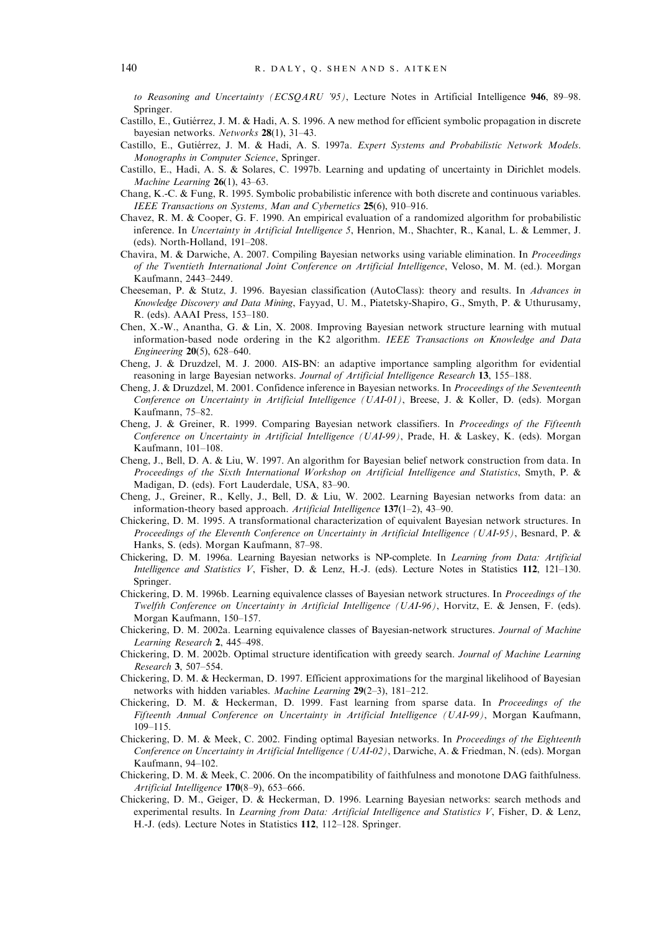to Reasoning and Uncertainty (ECSQARU '95), Lecture Notes in Artificial Intelligence 946, 89-98. Springer.

- Castillo, E., Gutiérrez, J. M. & Hadi, A. S. 1996. A new method for efficient symbolic propagation in discrete bayesian networks. Networks 28(1), 31–43.
- Castillo, E., Gutiérrez, J. M. & Hadi, A. S. 1997a. Expert Systems and Probabilistic Network Models. Monographs in Computer Science, Springer.
- Castillo, E., Hadi, A. S. & Solares, C. 1997b. Learning and updating of uncertainty in Dirichlet models. Machine Learning 26(1), 43–63.
- Chang, K.-C. & Fung, R. 1995. Symbolic probabilistic inference with both discrete and continuous variables. IEEE Transactions on Systems, Man and Cybernetics 25(6), 910–916.
- Chavez, R. M. & Cooper, G. F. 1990. An empirical evaluation of a randomized algorithm for probabilistic inference. In Uncertainty in Artificial Intelligence 5, Henrion, M., Shachter, R., Kanal, L. & Lemmer, J. (eds). North-Holland, 191–208.
- Chavira, M. & Darwiche, A. 2007. Compiling Bayesian networks using variable elimination. In Proceedings of the Twentieth International Joint Conference on Artificial Intelligence, Veloso, M. M. (ed.). Morgan Kaufmann, 2443–2449.
- Cheeseman, P. & Stutz, J. 1996. Bayesian classification (AutoClass): theory and results. In Advances in Knowledge Discovery and Data Mining, Fayyad, U. M., Piatetsky-Shapiro, G., Smyth, P. & Uthurusamy, R. (eds). AAAI Press, 153–180.
- Chen, X.-W., Anantha, G. & Lin, X. 2008. Improving Bayesian network structure learning with mutual information-based node ordering in the K2 algorithm. IEEE Transactions on Knowledge and Data Engineering 20(5), 628–640.
- Cheng, J. & Druzdzel, M. J. 2000. AIS-BN: an adaptive importance sampling algorithm for evidential reasoning in large Bayesian networks. Journal of Artificial Intelligence Research 13, 155–188.
- Cheng, J. & Druzdzel, M. 2001. Confidence inference in Bayesian networks. In Proceedings of the Seventeenth Conference on Uncertainty in Artificial Intelligence (UAI-01), Breese, J. & Koller, D. (eds). Morgan Kaufmann, 75–82.
- Cheng, J. & Greiner, R. 1999. Comparing Bayesian network classifiers. In Proceedings of the Fifteenth Conference on Uncertainty in Artificial Intelligence (UAI-99), Prade, H. & Laskey, K. (eds). Morgan Kaufmann, 101–108.
- Cheng, J., Bell, D. A. & Liu, W. 1997. An algorithm for Bayesian belief network construction from data. In Proceedings of the Sixth International Workshop on Artificial Intelligence and Statistics, Smyth, P. & Madigan, D. (eds). Fort Lauderdale, USA, 83–90.
- Cheng, J., Greiner, R., Kelly, J., Bell, D. & Liu, W. 2002. Learning Bayesian networks from data: an information-theory based approach. Artificial Intelligence 137(1–2), 43–90.
- Chickering, D. M. 1995. A transformational characterization of equivalent Bayesian network structures. In Proceedings of the Eleventh Conference on Uncertainty in Artificial Intelligence (UAI-95), Besnard, P. & Hanks, S. (eds). Morgan Kaufmann, 87–98.
- Chickering, D. M. 1996a. Learning Bayesian networks is NP-complete. In Learning from Data: Artificial Intelligence and Statistics V, Fisher, D. & Lenz, H.-J. (eds). Lecture Notes in Statistics 112, 121–130. Springer.
- Chickering, D. M. 1996b. Learning equivalence classes of Bayesian network structures. In Proceedings of the Twelfth Conference on Uncertainty in Artificial Intelligence (UAI-96), Horvitz, E. & Jensen, F. (eds). Morgan Kaufmann, 150–157.
- Chickering, D. M. 2002a. Learning equivalence classes of Bayesian-network structures. Journal of Machine Learning Research 2, 445–498.
- Chickering, D. M. 2002b. Optimal structure identification with greedy search. Journal of Machine Learning Research 3, 507–554.
- Chickering, D. M. & Heckerman, D. 1997. Efficient approximations for the marginal likelihood of Bayesian networks with hidden variables. Machine Learning 29(2–3), 181–212.
- Chickering, D. M. & Heckerman, D. 1999. Fast learning from sparse data. In Proceedings of the Fifteenth Annual Conference on Uncertainty in Artificial Intelligence (UAI-99), Morgan Kaufmann, 109–115.
- Chickering, D. M. & Meek, C. 2002. Finding optimal Bayesian networks. In Proceedings of the Eighteenth Conference on Uncertainty in Artificial Intelligence (UAI-02), Darwiche, A. & Friedman, N. (eds). Morgan Kaufmann, 94–102.
- Chickering, D. M. & Meek, C. 2006. On the incompatibility of faithfulness and monotone DAG faithfulness. Artificial Intelligence 170(8–9), 653–666.
- Chickering, D. M., Geiger, D. & Heckerman, D. 1996. Learning Bayesian networks: search methods and experimental results. In Learning from Data: Artificial Intelligence and Statistics V, Fisher, D. & Lenz, H.-J. (eds). Lecture Notes in Statistics 112, 112–128. Springer.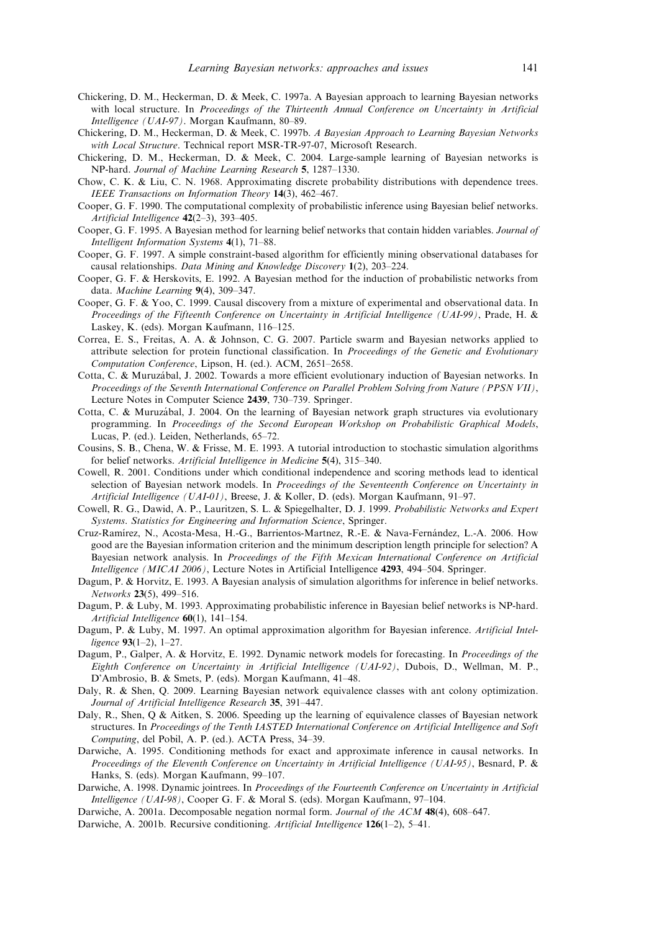- Chickering, D. M., Heckerman, D. & Meek, C. 1997a. A Bayesian approach to learning Bayesian networks with local structure. In Proceedings of the Thirteenth Annual Conference on Uncertainty in Artificial Intelligence (UAI-97). Morgan Kaufmann, 80–89.
- Chickering, D. M., Heckerman, D. & Meek, C. 1997b. A Bayesian Approach to Learning Bayesian Networks with Local Structure. Technical report MSR-TR-97-07, Microsoft Research.
- Chickering, D. M., Heckerman, D. & Meek, C. 2004. Large-sample learning of Bayesian networks is NP-hard. Journal of Machine Learning Research 5, 1287–1330.
- Chow, C. K. & Liu, C. N. 1968. Approximating discrete probability distributions with dependence trees. IEEE Transactions on Information Theory 14(3), 462-467.
- Cooper, G. F. 1990. The computational complexity of probabilistic inference using Bayesian belief networks. Artificial Intelligence 42(2–3), 393–405.
- Cooper, G. F. 1995. A Bayesian method for learning belief networks that contain hidden variables. Journal of Intelligent Information Systems 4(1), 71–88.
- Cooper, G. F. 1997. A simple constraint-based algorithm for efficiently mining observational databases for causal relationships. Data Mining and Knowledge Discovery 1(2), 203–224.
- Cooper, G. F. & Herskovits, E. 1992. A Bayesian method for the induction of probabilistic networks from data. Machine Learning 9(4), 309–347.
- Cooper, G. F. & Yoo, C. 1999. Causal discovery from a mixture of experimental and observational data. In Proceedings of the Fifteenth Conference on Uncertainty in Artificial Intelligence (UAI-99), Prade, H. & Laskey, K. (eds). Morgan Kaufmann, 116–125.
- Correa, E. S., Freitas, A. A. & Johnson, C. G. 2007. Particle swarm and Bayesian networks applied to attribute selection for protein functional classification. In Proceedings of the Genetic and Evolutionary Computation Conference, Lipson, H. (ed.). ACM, 2651–2658.
- Cotta, C. & Muruzábal, J. 2002. Towards a more efficient evolutionary induction of Bayesian networks. In Proceedings of the Seventh International Conference on Parallel Problem Solving from Nature (PPSN VII), Lecture Notes in Computer Science 2439, 730–739. Springer.
- Cotta, C. & Muruzábal, J. 2004. On the learning of Bayesian network graph structures via evolutionary programming. In Proceedings of the Second European Workshop on Probabilistic Graphical Models, Lucas, P. (ed.). Leiden, Netherlands, 65–72.
- Cousins, S. B., Chena, W. & Frisse, M. E. 1993. A tutorial introduction to stochastic simulation algorithms for belief networks. Artificial Intelligence in Medicine 5(4), 315–340.
- Cowell, R. 2001. Conditions under which conditional independence and scoring methods lead to identical selection of Bayesian network models. In Proceedings of the Seventeenth Conference on Uncertainty in Artificial Intelligence (UAI-01), Breese, J. & Koller, D. (eds). Morgan Kaufmann, 91–97.
- Cowell, R. G., Dawid, A. P., Lauritzen, S. L. & Spiegelhalter, D. J. 1999. Probabilistic Networks and Expert Systems. Statistics for Engineering and Information Science, Springer.
- Cruz-Ramı´rez, N., Acosta-Mesa, H.-G., Barrientos-Martnez, R.-E. & Nava-Ferna´ndez, L.-A. 2006. How good are the Bayesian information criterion and the minimum description length principle for selection? A Bayesian network analysis. In Proceedings of the Fifth Mexican International Conference on Artificial Intelligence (MICAI 2006), Lecture Notes in Artificial Intelligence 4293, 494–504. Springer.
- Dagum, P. & Horvitz, E. 1993. A Bayesian analysis of simulation algorithms for inference in belief networks. Networks 23(5), 499–516.
- Dagum, P. & Luby, M. 1993. Approximating probabilistic inference in Bayesian belief networks is NP-hard. Artificial Intelligence 60(1), 141–154.
- Dagum, P. & Luby, M. 1997. An optimal approximation algorithm for Bayesian inference. Artificial Intelligence  $93(1-2)$ , 1-27.
- Dagum, P., Galper, A. & Horvitz, E. 1992. Dynamic network models for forecasting. In Proceedings of the Eighth Conference on Uncertainty in Artificial Intelligence (UAI-92), Dubois, D., Wellman, M. P., D'Ambrosio, B. & Smets, P. (eds). Morgan Kaufmann, 41–48.
- Daly, R. & Shen, Q. 2009. Learning Bayesian network equivalence classes with ant colony optimization. Journal of Artificial Intelligence Research 35, 391–447.
- Daly, R., Shen, Q & Aitken, S. 2006. Speeding up the learning of equivalence classes of Bayesian network structures. In Proceedings of the Tenth IASTED International Conference on Artificial Intelligence and Soft Computing, del Pobil, A. P. (ed.). ACTA Press, 34–39.
- Darwiche, A. 1995. Conditioning methods for exact and approximate inference in causal networks. In Proceedings of the Eleventh Conference on Uncertainty in Artificial Intelligence (UAI-95), Besnard, P. & Hanks, S. (eds). Morgan Kaufmann, 99–107.
- Darwiche, A. 1998. Dynamic jointrees. In Proceedings of the Fourteenth Conference on Uncertainty in Artificial Intelligence (UAI-98), Cooper G. F. & Moral S. (eds). Morgan Kaufmann, 97–104.
- Darwiche, A. 2001a. Decomposable negation normal form. Journal of the ACM 48(4), 608–647.
- Darwiche, A. 2001b. Recursive conditioning. Artificial Intelligence  $126(1-2)$ , 5–41.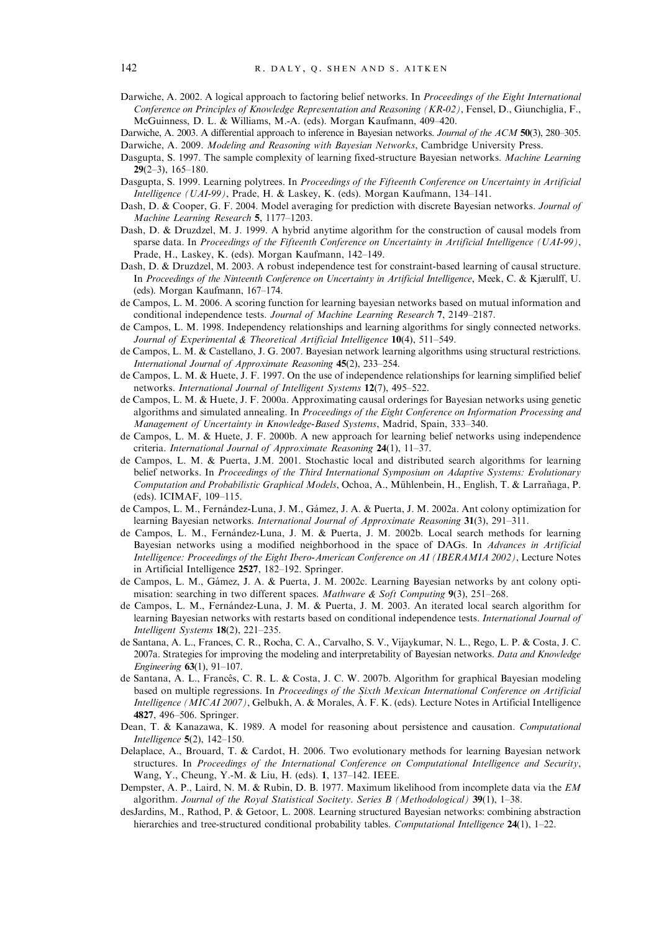- Darwiche, A. 2002. A logical approach to factoring belief networks. In Proceedings of the Eight International Conference on Principles of Knowledge Representation and Reasoning (KR-02), Fensel, D., Giunchiglia, F., McGuinness, D. L. & Williams, M.-A. (eds). Morgan Kaufmann, 409–420.
- Darwiche, A. 2003. A differential approach to inference in Bayesian networks. Journal of the ACM 50(3), 280–305.
- Darwiche, A. 2009. Modeling and Reasoning with Bayesian Networks, Cambridge University Press.
- Dasgupta, S. 1997. The sample complexity of learning fixed-structure Bayesian networks. Machine Learning  $29(2-3)$ , 165-180.
- Dasgupta, S. 1999. Learning polytrees. In Proceedings of the Fifteenth Conference on Uncertainty in Artificial Intelligence (UAI-99), Prade, H. & Laskey, K. (eds). Morgan Kaufmann, 134–141.
- Dash, D. & Cooper, G. F. 2004. Model averaging for prediction with discrete Bayesian networks. Journal of Machine Learning Research 5, 1177–1203.
- Dash, D. & Druzdzel, M. J. 1999. A hybrid anytime algorithm for the construction of causal models from sparse data. In Proceedings of the Fifteenth Conference on Uncertainty in Artificial Intelligence (UAI-99), Prade, H., Laskey, K. (eds). Morgan Kaufmann, 142–149.
- Dash, D. & Druzdzel, M. 2003. A robust independence test for constraint-based learning of causal structure. In Proceedings of the Ninteenth Conference on Uncertainty in Artificial Intelligence, Meek, C. & Kjærulff, U. (eds). Morgan Kaufmann, 167–174.
- de Campos, L. M. 2006. A scoring function for learning bayesian networks based on mutual information and conditional independence tests. Journal of Machine Learning Research 7, 2149–2187.
- de Campos, L. M. 1998. Independency relationships and learning algorithms for singly connected networks. Journal of Experimental & Theoretical Artificial Intelligence 10(4), 511–549.
- de Campos, L. M. & Castellano, J. G. 2007. Bayesian network learning algorithms using structural restrictions. International Journal of Approximate Reasoning 45(2), 233–254.
- de Campos, L. M. & Huete, J. F. 1997. On the use of independence relationships for learning simplified belief networks. International Journal of Intelligent Systems 12(7), 495–522.
- de Campos, L. M. & Huete, J. F. 2000a. Approximating causal orderings for Bayesian networks using genetic algorithms and simulated annealing. In Proceedings of the Eight Conference on Information Processing and Management of Uncertainty in Knowledge-Based Systems, Madrid, Spain, 333–340.
- de Campos, L. M. & Huete, J. F. 2000b. A new approach for learning belief networks using independence criteria. International Journal of Approximate Reasoning 24(1), 11–37.
- de Campos, L. M. & Puerta, J.M. 2001. Stochastic local and distributed search algorithms for learning belief networks. In Proceedings of the Third International Symposium on Adaptive Systems: Evolutionary Computation and Probabilistic Graphical Models, Ochoa, A., Mühlenbein, H., English, T. & Larrañaga, P. (eds). ICIMAF, 109–115.
- de Campos, L. M., Fernández-Luna, J. M., Gámez, J. A. & Puerta, J. M. 2002a. Ant colony optimization for learning Bayesian networks. *International Journal of Approximate Reasoning* 31(3), 291–311.
- de Campos, L. M., Fernández-Luna, J. M. & Puerta, J. M. 2002b. Local search methods for learning Bayesian networks using a modified neighborhood in the space of DAGs. In Advances in Artificial Intelligence: Proceedings of the Eight Ibero-American Conference on AI (IBERAMIA 2002), Lecture Notes in Artificial Intelligence 2527, 182–192. Springer.
- de Campos, L. M., Gámez, J. A. & Puerta, J. M. 2002c. Learning Bayesian networks by ant colony optimisation: searching in two different spaces. Mathware & Soft Computing 9(3), 251-268.
- de Campos, L. M., Fernández-Luna, J. M. & Puerta, J. M. 2003. An iterated local search algorithm for learning Bayesian networks with restarts based on conditional independence tests. International Journal of Intelligent Systems 18(2), 221–235.
- de Santana, A. L., Frances, C. R., Rocha, C. A., Carvalho, S. V., Vijaykumar, N. L., Rego, L. P. & Costa, J. C. 2007a. Strategies for improving the modeling and interpretability of Bayesian networks. Data and Knowledge Engineering 63(1), 91–107.
- de Santana, A. L., Francês, C. R. L. & Costa, J. C. W. 2007b. Algorithm for graphical Bayesian modeling based on multiple regressions. In Proceedings of the Sixth Mexican International Conference on Artificial Intelligence (MICAI 2007), Gelbukh, A. & Morales, A. F. K. (eds). Lecture Notes in Artificial Intelligence 4827, 496–506. Springer.
- Dean, T. & Kanazawa, K. 1989. A model for reasoning about persistence and causation. Computational Intelligence 5(2), 142–150.
- Delaplace, A., Brouard, T. & Cardot, H. 2006. Two evolutionary methods for learning Bayesian network structures. In Proceedings of the International Conference on Computational Intelligence and Security, Wang, Y., Cheung, Y.-M. & Liu, H. (eds). 1, 137–142. IEEE.
- Dempster, A. P., Laird, N. M. & Rubin, D. B. 1977. Maximum likelihood from incomplete data via the EM algorithm. Journal of the Royal Statistical Socitety. Series B (Methodological) 39(1), 1–38.
- desJardins, M., Rathod, P. & Getoor, L. 2008. Learning structured Bayesian networks: combining abstraction hierarchies and tree-structured conditional probability tables. Computational Intelligence 24(1), 1–22.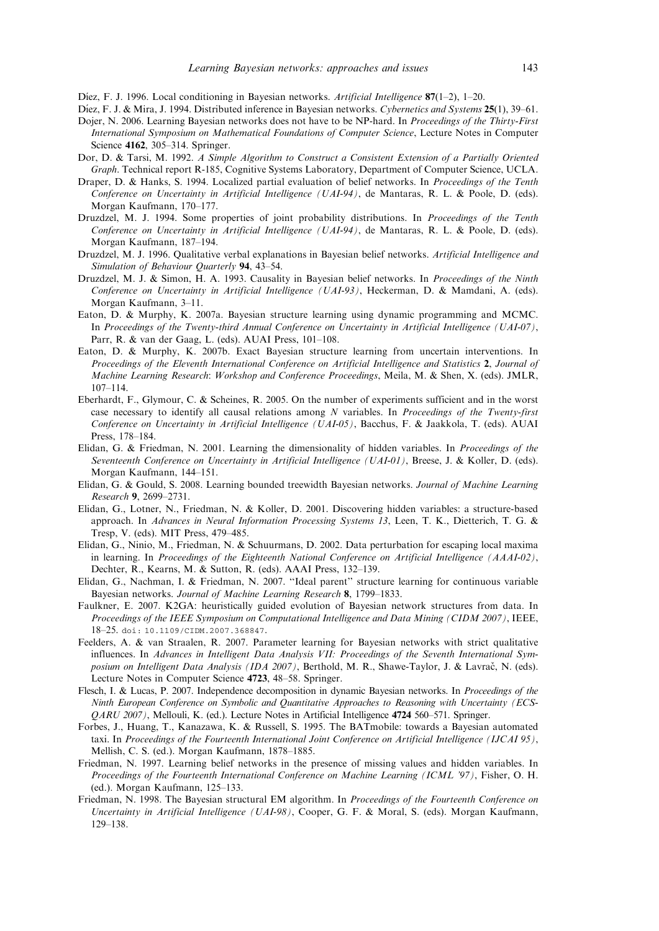Diez, F. J. 1996. Local conditioning in Bayesian networks. Artificial Intelligence  $87(1-2)$ , 1–20.

- Díez, F. J. & Mira, J. 1994. Distributed inference in Bayesian networks. Cybernetics and Systems 25(1), 39–61.
- Dojer, N. 2006. Learning Bayesian networks does not have to be NP-hard. In *Proceedings of the Thirty-First* International Symposium on Mathematical Foundations of Computer Science, Lecture Notes in Computer Science 4162, 305–314. Springer.
- Dor, D. & Tarsi, M. 1992. A Simple Algorithm to Construct a Consistent Extension of a Partially Oriented Graph. Technical report R-185, Cognitive Systems Laboratory, Department of Computer Science, UCLA.
- Draper, D. & Hanks, S. 1994. Localized partial evaluation of belief networks. In *Proceedings of the Tenth* Conference on Uncertainty in Artificial Intelligence (UAI-94), de Mantaras, R. L. & Poole, D. (eds). Morgan Kaufmann, 170–177.
- Druzdzel, M. J. 1994. Some properties of joint probability distributions. In Proceedings of the Tenth Conference on Uncertainty in Artificial Intelligence (UAI-94), de Mantaras, R. L. & Poole, D. (eds). Morgan Kaufmann, 187–194.
- Druzdzel, M. J. 1996. Qualitative verbal explanations in Bayesian belief networks. Artificial Intelligence and Simulation of Behaviour Quarterly 94, 43–54.
- Druzdzel, M. J. & Simon, H. A. 1993. Causality in Bayesian belief networks. In Proceedings of the Ninth Conference on Uncertainty in Artificial Intelligence (UAI-93), Heckerman, D. & Mamdani, A. (eds). Morgan Kaufmann, 3–11.
- Eaton, D. & Murphy, K. 2007a. Bayesian structure learning using dynamic programming and MCMC. In Proceedings of the Twenty-third Annual Conference on Uncertainty in Artificial Intelligence (UAI-07), Parr, R. & van der Gaag, L. (eds). AUAI Press, 101–108.
- Eaton, D. & Murphy, K. 2007b. Exact Bayesian structure learning from uncertain interventions. In Proceedings of the Eleventh International Conference on Artificial Intelligence and Statistics 2, Journal of Machine Learning Research: Workshop and Conference Proceedings, Meila, M. & Shen, X. (eds). JMLR, 107–114.
- Eberhardt, F., Glymour, C. & Scheines, R. 2005. On the number of experiments sufficient and in the worst case necessary to identify all causal relations among N variables. In Proceedings of the Twenty-first Conference on Uncertainty in Artificial Intelligence (UAI-05), Bacchus, F. & Jaakkola, T. (eds). AUAI Press, 178–184.
- Elidan, G. & Friedman, N. 2001. Learning the dimensionality of hidden variables. In Proceedings of the Seventeenth Conference on Uncertainty in Artificial Intelligence (UAI-01), Breese, J. & Koller, D. (eds). Morgan Kaufmann, 144–151.
- Elidan, G. & Gould, S. 2008. Learning bounded treewidth Bayesian networks. Journal of Machine Learning Research 9, 2699–2731.
- Elidan, G., Lotner, N., Friedman, N. & Koller, D. 2001. Discovering hidden variables: a structure-based approach. In Advances in Neural Information Processing Systems 13, Leen, T. K., Dietterich, T. G. & Tresp, V. (eds). MIT Press, 479–485.
- Elidan, G., Ninio, M., Friedman, N. & Schuurmans, D. 2002. Data perturbation for escaping local maxima in learning. In Proceedings of the Eighteenth National Conference on Artificial Intelligence (AAAI-02), Dechter, R., Kearns, M. & Sutton, R. (eds). AAAI Press, 132–139.
- Elidan, G., Nachman, I. & Friedman, N. 2007. ''Ideal parent'' structure learning for continuous variable Bayesian networks. Journal of Machine Learning Research 8, 1799–1833.
- Faulkner, E. 2007. K2GA: heuristically guided evolution of Bayesian network structures from data. In Proceedings of the IEEE Symposium on Computational Intelligence and Data Mining (CIDM 2007), IEEE, 18–25. doi: 10.1109/CIDM.2007.368847.
- Feelders, A. & van Straalen, R. 2007. Parameter learning for Bayesian networks with strict qualitative influences. In Advances in Intelligent Data Analysis VII: Proceedings of the Seventh International Symposium on Intelligent Data Analysis (IDA 2007), Berthold, M. R., Shawe-Taylor, J. & Lavrač, N. (eds). Lecture Notes in Computer Science 4723, 48–58. Springer.
- Flesch, I. & Lucas, P. 2007. Independence decomposition in dynamic Bayesian networks. In Proceedings of the Ninth European Conference on Symbolic and Quantitative Approaches to Reasoning with Uncertainty (ECS-QARU 2007), Mellouli, K. (ed.). Lecture Notes in Artificial Intelligence 4724 560–571. Springer.
- Forbes, J., Huang, T., Kanazawa, K. & Russell, S. 1995. The BATmobile: towards a Bayesian automated taxi. In Proceedings of the Fourteenth International Joint Conference on Artificial Intelligence (IJCAI 95), Mellish, C. S. (ed.). Morgan Kaufmann, 1878–1885.
- Friedman, N. 1997. Learning belief networks in the presence of missing values and hidden variables. In Proceedings of the Fourteenth International Conference on Machine Learning (ICML '97), Fisher, O. H. (ed.). Morgan Kaufmann, 125–133.
- Friedman, N. 1998. The Bayesian structural EM algorithm. In Proceedings of the Fourteenth Conference on Uncertainty in Artificial Intelligence (UAI-98), Cooper, G. F. & Moral, S. (eds). Morgan Kaufmann, 129–138.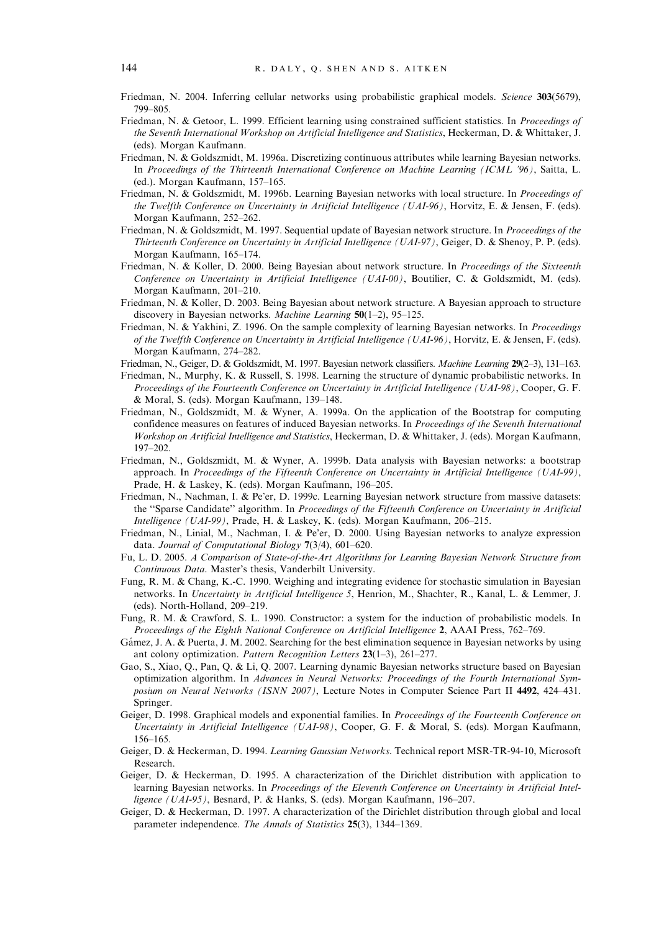- Friedman, N. 2004. Inferring cellular networks using probabilistic graphical models. Science 303(5679), 799–805.
- Friedman, N. & Getoor, L. 1999. Efficient learning using constrained sufficient statistics. In Proceedings of the Seventh International Workshop on Artificial Intelligence and Statistics, Heckerman, D. & Whittaker, J. (eds). Morgan Kaufmann.
- Friedman, N. & Goldszmidt, M. 1996a. Discretizing continuous attributes while learning Bayesian networks. In Proceedings of the Thirteenth International Conference on Machine Learning (ICML '96), Saitta, L. (ed.). Morgan Kaufmann, 157–165.
- Friedman, N. & Goldszmidt, M. 1996b. Learning Bayesian networks with local structure. In Proceedings of the Twelfth Conference on Uncertainty in Artificial Intelligence (UAI-96), Horvitz, E. & Jensen, F. (eds). Morgan Kaufmann, 252–262.
- Friedman, N. & Goldszmidt, M. 1997. Sequential update of Bayesian network structure. In *Proceedings of the* Thirteenth Conference on Uncertainty in Artificial Intelligence (UAI-97), Geiger, D. & Shenoy, P. P. (eds). Morgan Kaufmann, 165–174.
- Friedman, N. & Koller, D. 2000. Being Bayesian about network structure. In Proceedings of the Sixteenth Conference on Uncertainty in Artificial Intelligence (UAI-00), Boutilier, C. & Goldszmidt, M. (eds). Morgan Kaufmann, 201–210.
- Friedman, N. & Koller, D. 2003. Being Bayesian about network structure. A Bayesian approach to structure discovery in Bayesian networks. Machine Learning 50(1–2), 95–125.
- Friedman, N. & Yakhini, Z. 1996. On the sample complexity of learning Bayesian networks. In Proceedings of the Twelfth Conference on Uncertainty in Artificial Intelligence (UAI-96), Horvitz, E. & Jensen, F. (eds). Morgan Kaufmann, 274–282.
- Friedman, N., Geiger, D. & Goldszmidt, M. 1997. Bayesian network classifiers. Machine Learning 29(2–3), 131–163.
- Friedman, N., Murphy, K. & Russell, S. 1998. Learning the structure of dynamic probabilistic networks. In Proceedings of the Fourteenth Conference on Uncertainty in Artificial Intelligence (UAI-98), Cooper, G. F. & Moral, S. (eds). Morgan Kaufmann, 139–148.
- Friedman, N., Goldszmidt, M. & Wyner, A. 1999a. On the application of the Bootstrap for computing confidence measures on features of induced Bayesian networks. In Proceedings of the Seventh International Workshop on Artificial Intelligence and Statistics, Heckerman, D. & Whittaker, J. (eds). Morgan Kaufmann, 197–202.
- Friedman, N., Goldszmidt, M. & Wyner, A. 1999b. Data analysis with Bayesian networks: a bootstrap approach. In Proceedings of the Fifteenth Conference on Uncertainty in Artificial Intelligence (UAI-99), Prade, H. & Laskey, K. (eds). Morgan Kaufmann, 196–205.
- Friedman, N., Nachman, I. & Pe'er, D. 1999c. Learning Bayesian network structure from massive datasets: the "Sparse Candidate" algorithm. In Proceedings of the Fifteenth Conference on Uncertainty in Artificial Intelligence (UAI-99), Prade, H. & Laskey, K. (eds). Morgan Kaufmann, 206–215.
- Friedman, N., Linial, M., Nachman, I. & Pe'er, D. 2000. Using Bayesian networks to analyze expression data. Journal of Computational Biology 7(3/4), 601-620.
- Fu, L. D. 2005. A Comparison of State-of-the-Art Algorithms for Learning Bayesian Network Structure from Continuous Data. Master's thesis, Vanderbilt University.
- Fung, R. M. & Chang, K.-C. 1990. Weighing and integrating evidence for stochastic simulation in Bayesian networks. In Uncertainty in Artificial Intelligence 5, Henrion, M., Shachter, R., Kanal, L. & Lemmer, J. (eds). North-Holland, 209–219.
- Fung, R. M. & Crawford, S. L. 1990. Constructor: a system for the induction of probabilistic models. In Proceedings of the Eighth National Conference on Artificial Intelligence 2, AAAI Press, 762–769.
- Gámez, J. A. & Puerta, J. M. 2002. Searching for the best elimination sequence in Bayesian networks by using ant colony optimization. Pattern Recognition Letters 23(1–3), 261–277.
- Gao, S., Xiao, Q., Pan, Q. & Li, Q. 2007. Learning dynamic Bayesian networks structure based on Bayesian optimization algorithm. In Advances in Neural Networks: Proceedings of the Fourth International Symposium on Neural Networks (ISNN 2007), Lecture Notes in Computer Science Part II 4492, 424–431. Springer.
- Geiger, D. 1998. Graphical models and exponential families. In Proceedings of the Fourteenth Conference on Uncertainty in Artificial Intelligence (UAI-98), Cooper, G. F. & Moral, S. (eds). Morgan Kaufmann, 156–165.
- Geiger, D. & Heckerman, D. 1994. Learning Gaussian Networks. Technical report MSR-TR-94-10, Microsoft Research.
- Geiger, D. & Heckerman, D. 1995. A characterization of the Dirichlet distribution with application to learning Bayesian networks. In Proceedings of the Eleventh Conference on Uncertainty in Artificial Intelligence (UAI-95), Besnard, P. & Hanks, S. (eds). Morgan Kaufmann, 196-207.
- Geiger, D. & Heckerman, D. 1997. A characterization of the Dirichlet distribution through global and local parameter independence. The Annals of Statistics 25(3), 1344–1369.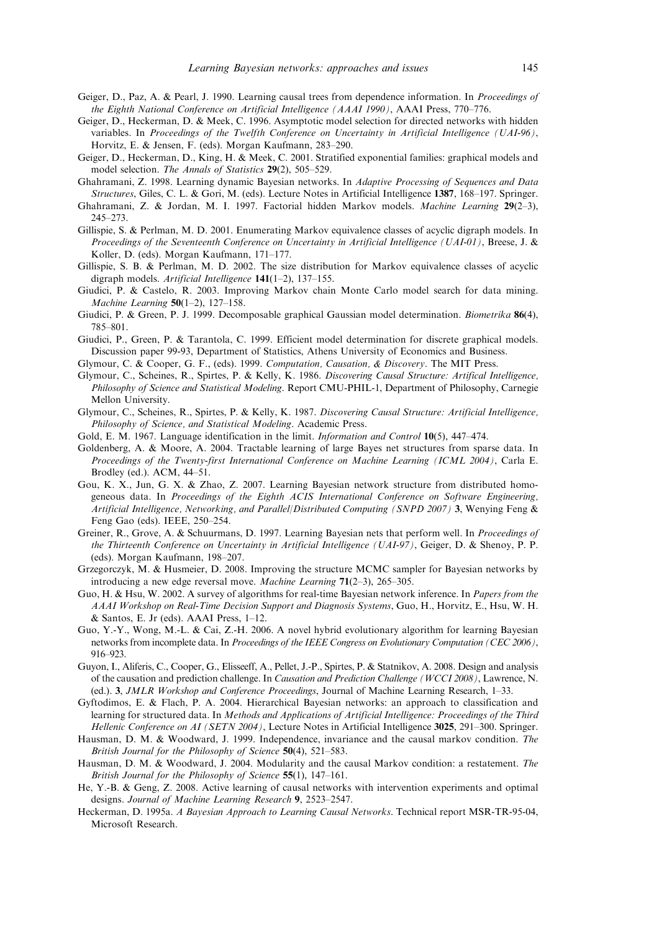- Geiger, D., Paz, A. & Pearl, J. 1990. Learning causal trees from dependence information. In Proceedings of the Eighth National Conference on Artificial Intelligence (AAAI 1990), AAAI Press, 770–776.
- Geiger, D., Heckerman, D. & Meek, C. 1996. Asymptotic model selection for directed networks with hidden variables. In Proceedings of the Twelfth Conference on Uncertainty in Artificial Intelligence (UAI-96), Horvitz, E. & Jensen, F. (eds). Morgan Kaufmann, 283–290.
- Geiger, D., Heckerman, D., King, H. & Meek, C. 2001. Stratified exponential families: graphical models and model selection. The Annals of Statistics 29(2), 505–529.
- Ghahramani, Z. 1998. Learning dynamic Bayesian networks. In Adaptive Processing of Sequences and Data
- Structures, Giles, C. L. & Gori, M. (eds). Lecture Notes in Artificial Intelligence 1387, 168–197. Springer. Ghahramani, Z. & Jordan, M. I. 1997. Factorial hidden Markov models. Machine Learning 29(2-3), 245–273.
- Gillispie, S. & Perlman, M. D. 2001. Enumerating Markov equivalence classes of acyclic digraph models. In Proceedings of the Seventeenth Conference on Uncertainty in Artificial Intelligence (UAI-01), Breese, J. & Koller, D. (eds). Morgan Kaufmann, 171–177.
- Gillispie, S. B. & Perlman, M. D. 2002. The size distribution for Markov equivalence classes of acyclic digraph models. Artificial Intelligence 141(1–2), 137–155.
- Giudici, P. & Castelo, R. 2003. Improving Markov chain Monte Carlo model search for data mining. Machine Learning 50(1–2), 127–158.
- Giudici, P. & Green, P. J. 1999. Decomposable graphical Gaussian model determination. Biometrika 86(4), 785–801.
- Giudici, P., Green, P. & Tarantola, C. 1999. Efficient model determination for discrete graphical models. Discussion paper 99-93, Department of Statistics, Athens University of Economics and Business.
- Glymour, C. & Cooper, G. F., (eds). 1999. Computation, Causation, & Discovery. The MIT Press.
- Glymour, C., Scheines, R., Spirtes, P. & Kelly, K. 1986. Discovering Causal Structure: Artifical Intelligence, Philosophy of Science and Statistical Modeling. Report CMU-PHIL-1, Department of Philosophy, Carnegie Mellon University.
- Glymour, C., Scheines, R., Spirtes, P. & Kelly, K. 1987. Discovering Causal Structure: Artificial Intelligence, Philosophy of Science, and Statistical Modeling. Academic Press.
- Gold, E. M. 1967. Language identification in the limit. *Information and Control* 10(5), 447–474.
- Goldenberg, A. & Moore, A. 2004. Tractable learning of large Bayes net structures from sparse data. In Proceedings of the Twenty-first International Conference on Machine Learning (ICML 2004), Carla E. Brodley (ed.). ACM, 44–51.
- Gou, K. X., Jun, G. X. & Zhao, Z. 2007. Learning Bayesian network structure from distributed homogeneous data. In Proceedings of the Eighth ACIS International Conference on Software Engineering, Artificial Intelligence, Networking, and Parallel/Distributed Computing (SNPD 2007) 3, Wenying Feng & Feng Gao (eds). IEEE, 250–254.
- Greiner, R., Grove, A. & Schuurmans, D. 1997. Learning Bayesian nets that perform well. In Proceedings of the Thirteenth Conference on Uncertainty in Artificial Intelligence (UAI-97), Geiger, D. & Shenoy, P. P. (eds). Morgan Kaufmann, 198–207.
- Grzegorczyk, M. & Husmeier, D. 2008. Improving the structure MCMC sampler for Bayesian networks by introducing a new edge reversal move. Machine Learning 71(2–3), 265–305.
- Guo, H. & Hsu, W. 2002. A survey of algorithms for real-time Bayesian network inference. In Papers from the AAAI Workshop on Real-Time Decision Support and Diagnosis Systems, Guo, H., Horvitz, E., Hsu, W. H. & Santos, E. Jr (eds). AAAI Press, 1–12.
- Guo, Y.-Y., Wong, M.-L. & Cai, Z.-H. 2006. A novel hybrid evolutionary algorithm for learning Bayesian networks from incomplete data. In Proceedings of the IEEE Congress on Evolutionary Computation (CEC 2006), 916–923.
- Guyon, I., Aliferis, C., Cooper, G., Elisseeff, A., Pellet, J.-P., Spirtes, P. & Statnikov, A. 2008. Design and analysis of the causation and prediction challenge. In Causation and Prediction Challenge (WCCI 2008), Lawrence, N. (ed.). 3, JMLR Workshop and Conference Proceedings, Journal of Machine Learning Research, 1–33.
- Gyftodimos, E. & Flach, P. A. 2004. Hierarchical Bayesian networks: an approach to classification and learning for structured data. In Methods and Applications of Artificial Intelligence: Proceedings of the Third Hellenic Conference on AI (SETN 2004), Lecture Notes in Artificial Intelligence 3025, 291–300. Springer.
- Hausman, D. M. & Woodward, J. 1999. Independence, invariance and the causal markov condition. The British Journal for the Philosophy of Science 50(4), 521–583.
- Hausman, D. M. & Woodward, J. 2004. Modularity and the causal Markov condition: a restatement. The British Journal for the Philosophy of Science 55(1), 147–161.
- He, Y.-B. & Geng, Z. 2008. Active learning of causal networks with intervention experiments and optimal designs. Journal of Machine Learning Research 9, 2523–2547.
- Heckerman, D. 1995a. A Bayesian Approach to Learning Causal Networks. Technical report MSR-TR-95-04, Microsoft Research.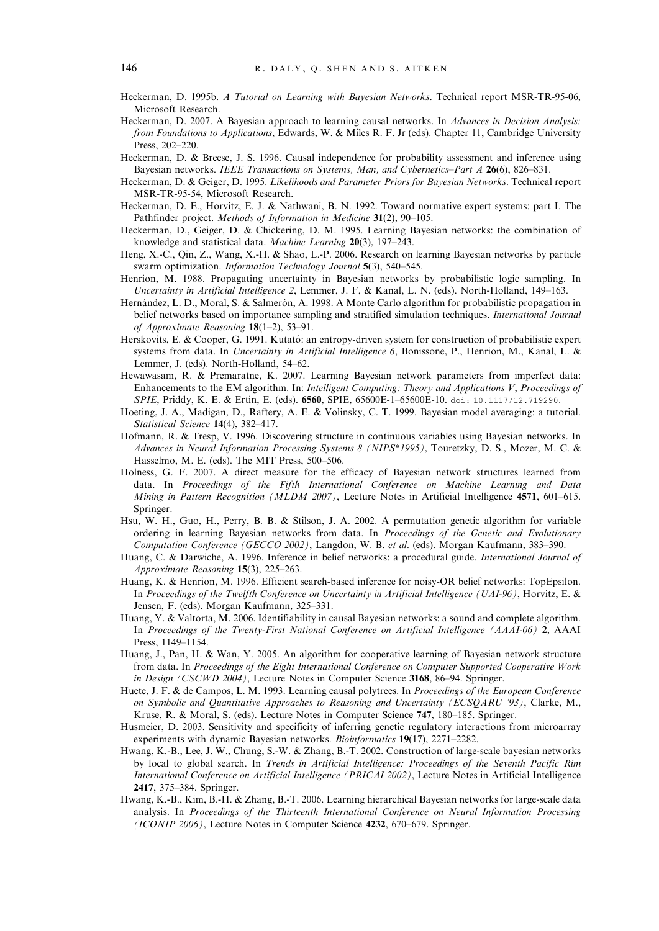- Heckerman, D. 1995b. A Tutorial on Learning with Bayesian Networks. Technical report MSR-TR-95-06, Microsoft Research.
- Heckerman, D. 2007. A Bayesian approach to learning causal networks. In Advances in Decision Analysis: from Foundations to Applications, Edwards, W. & Miles R. F. Jr (eds). Chapter 11, Cambridge University Press, 202–220.
- Heckerman, D. & Breese, J. S. 1996. Causal independence for probability assessment and inference using Bayesian networks. IEEE Transactions on Systems, Man, and Cybernetics–Part A 26(6), 826–831.
- Heckerman, D. & Geiger, D. 1995. Likelihoods and Parameter Priors for Bayesian Networks. Technical report MSR-TR-95-54, Microsoft Research.
- Heckerman, D. E., Horvitz, E. J. & Nathwani, B. N. 1992. Toward normative expert systems: part I. The Pathfinder project. Methods of Information in Medicine 31(2), 90-105.
- Heckerman, D., Geiger, D. & Chickering, D. M. 1995. Learning Bayesian networks: the combination of knowledge and statistical data. Machine Learning 20(3), 197–243.
- Heng, X.-C., Qin, Z., Wang, X.-H. & Shao, L.-P. 2006. Research on learning Bayesian networks by particle swarm optimization. Information Technology Journal 5(3), 540–545.
- Henrion, M. 1988. Propagating uncertainty in Bayesian networks by probabilistic logic sampling. In Uncertainty in Artificial Intelligence 2, Lemmer, J. F, & Kanal, L. N. (eds). North-Holland, 149–163.
- Hernández, L. D., Moral, S. & Salmerón, A. 1998. A Monte Carlo algorithm for probabilistic propagation in belief networks based on importance sampling and stratified simulation techniques. International Journal of Approximate Reasoning 18(1–2), 53–91.
- Herskovits, E. & Cooper, G. 1991. Kutató: an entropy-driven system for construction of probabilistic expert systems from data. In Uncertainty in Artificial Intelligence 6, Bonissone, P., Henrion, M., Kanal, L. & Lemmer, J. (eds). North-Holland, 54–62.
- Hewawasam, R. & Premaratne, K. 2007. Learning Bayesian network parameters from imperfect data: Enhancements to the EM algorithm. In: Intelligent Computing: Theory and Applications V, Proceedings of SPIE, Priddy, K. E. & Ertin, E. (eds). 6560, SPIE, 65600E-1–65600E-10. doi: 10.1117/12.719290.
- Hoeting, J. A., Madigan, D., Raftery, A. E. & Volinsky, C. T. 1999. Bayesian model averaging: a tutorial. Statistical Science 14(4), 382–417.
- Hofmann, R. & Tresp, V. 1996. Discovering structure in continuous variables using Bayesian networks. In Advances in Neural Information Processing Systems 8 (NIPS\*1995), Touretzky, D. S., Mozer, M. C. & Hasselmo, M. E. (eds). The MIT Press, 500–506.
- Holness, G. F. 2007. A direct measure for the efficacy of Bayesian network structures learned from data. In Proceedings of the Fifth International Conference on Machine Learning and Data Mining in Pattern Recognition (MLDM 2007), Lecture Notes in Artificial Intelligence 4571, 601–615. Springer.
- Hsu, W. H., Guo, H., Perry, B. B. & Stilson, J. A. 2002. A permutation genetic algorithm for variable ordering in learning Bayesian networks from data. In Proceedings of the Genetic and Evolutionary Computation Conference (GECCO 2002), Langdon, W. B. et al. (eds). Morgan Kaufmann, 383–390.
- Huang, C. & Darwiche, A. 1996. Inference in belief networks: a procedural guide. International Journal of Approximate Reasoning 15(3), 225–263.
- Huang, K. & Henrion, M. 1996. Efficient search-based inference for noisy-OR belief networks: TopEpsilon. In Proceedings of the Twelfth Conference on Uncertainty in Artificial Intelligence (UAI-96), Horvitz, E.  $\&$ Jensen, F. (eds). Morgan Kaufmann, 325–331.
- Huang, Y. & Valtorta, M. 2006. Identifiability in causal Bayesian networks: a sound and complete algorithm. In Proceedings of the Twenty-First National Conference on Artificial Intelligence (AAAI-06) 2, AAAI Press, 1149–1154.
- Huang, J., Pan, H. & Wan, Y. 2005. An algorithm for cooperative learning of Bayesian network structure from data. In Proceedings of the Eight International Conference on Computer Supported Cooperative Work in Design (CSCWD 2004), Lecture Notes in Computer Science 3168, 86–94. Springer.
- Huete, J. F. & de Campos, L. M. 1993. Learning causal polytrees. In *Proceedings of the European Conference* on Symbolic and Quantitative Approaches to Reasoning and Uncertainty (ECSQARU '93), Clarke, M., Kruse, R. & Moral, S. (eds). Lecture Notes in Computer Science 747, 180–185. Springer.
- Husmeier, D. 2003. Sensitivity and specificity of inferring genetic regulatory interactions from microarray experiments with dynamic Bayesian networks. Bioinformatics 19(17), 2271–2282.
- Hwang, K.-B., Lee, J. W., Chung, S.-W. & Zhang, B.-T. 2002. Construction of large-scale bayesian networks by local to global search. In Trends in Artificial Intelligence: Proceedings of the Seventh Pacific Rim International Conference on Artificial Intelligence (PRICAI 2002), Lecture Notes in Artificial Intelligence 2417, 375–384. Springer.
- Hwang, K.-B., Kim, B.-H. & Zhang, B.-T. 2006. Learning hierarchical Bayesian networks for large-scale data analysis. In Proceedings of the Thirteenth International Conference on Neural Information Processing (ICONIP 2006), Lecture Notes in Computer Science 4232, 670–679. Springer.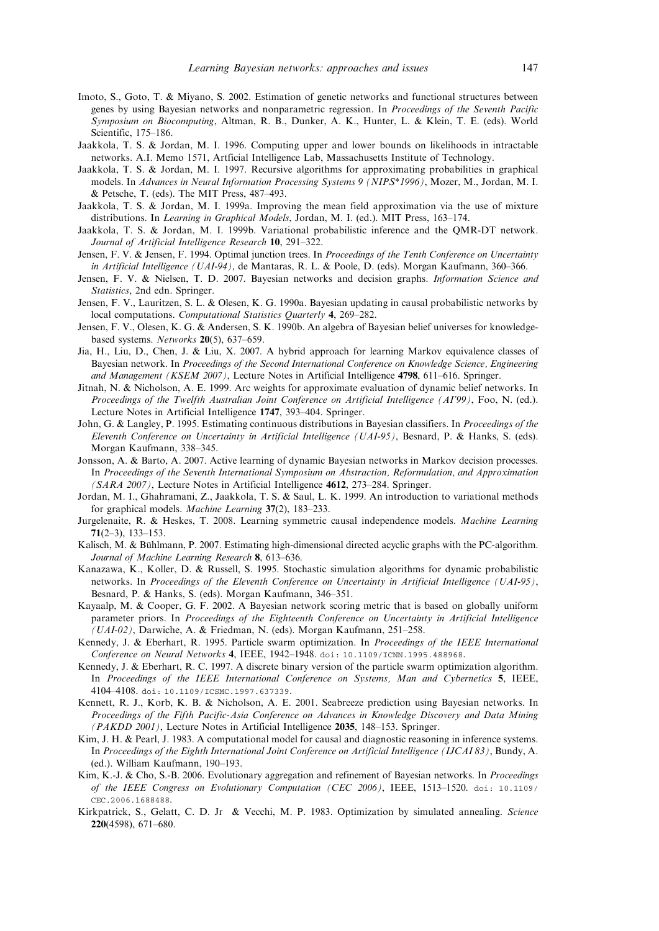- Imoto, S., Goto, T. & Miyano, S. 2002. Estimation of genetic networks and functional structures between genes by using Bayesian networks and nonparametric regression. In Proceedings of the Seventh Pacific Symposium on Biocomputing, Altman, R. B., Dunker, A. K., Hunter, L. & Klein, T. E. (eds). World Scientific, 175–186.
- Jaakkola, T. S. & Jordan, M. I. 1996. Computing upper and lower bounds on likelihoods in intractable networks. A.I. Memo 1571, Artficial Intelligence Lab, Massachusetts Institute of Technology.
- Jaakkola, T. S. & Jordan, M. I. 1997. Recursive algorithms for approximating probabilities in graphical models. In Advances in Neural Information Processing Systems 9 (NIPS\*1996), Mozer, M., Jordan, M. I. & Petsche, T. (eds). The MIT Press, 487–493.
- Jaakkola, T. S. & Jordan, M. I. 1999a. Improving the mean field approximation via the use of mixture distributions. In Learning in Graphical Models, Jordan, M. I. (ed.). MIT Press, 163–174.
- Jaakkola, T. S. & Jordan, M. I. 1999b. Variational probabilistic inference and the QMR-DT network. Journal of Artificial Intelligence Research 10, 291–322.
- Jensen, F. V. & Jensen, F. 1994. Optimal junction trees. In Proceedings of the Tenth Conference on Uncertainty in Artificial Intelligence (UAI-94), de Mantaras, R. L. & Poole, D. (eds). Morgan Kaufmann, 360–366.
- Jensen, F. V. & Nielsen, T. D. 2007. Bayesian networks and decision graphs. Information Science and Statistics, 2nd edn. Springer.
- Jensen, F. V., Lauritzen, S. L. & Olesen, K. G. 1990a. Bayesian updating in causal probabilistic networks by local computations. Computational Statistics Quarterly 4, 269–282.
- Jensen, F. V., Olesen, K. G. & Andersen, S. K. 1990b. An algebra of Bayesian belief universes for knowledgebased systems. Networks 20(5), 637–659.
- Jia, H., Liu, D., Chen, J. & Liu, X. 2007. A hybrid approach for learning Markov equivalence classes of Bayesian network. In Proceedings of the Second International Conference on Knowledge Science, Engineering and Management (KSEM 2007), Lecture Notes in Artificial Intelligence 4798, 611–616. Springer.
- Jitnah, N. & Nicholson, A. E. 1999. Arc weights for approximate evaluation of dynamic belief networks. In Proceedings of the Twelfth Australian Joint Conference on Artificial Intelligence (AI'99), Foo, N. (ed.). Lecture Notes in Artificial Intelligence 1747, 393–404. Springer.
- John, G. & Langley, P. 1995. Estimating continuous distributions in Bayesian classifiers. In Proceedings of the Eleventh Conference on Uncertainty in Artificial Intelligence (UAI-95), Besnard, P. & Hanks, S. (eds). Morgan Kaufmann, 338–345.
- Jonsson, A. & Barto, A. 2007. Active learning of dynamic Bayesian networks in Markov decision processes. In Proceedings of the Seventh International Symposium on Abstraction, Reformulation, and Approximation (SARA 2007), Lecture Notes in Artificial Intelligence 4612, 273–284. Springer.
- Jordan, M. I., Ghahramani, Z., Jaakkola, T. S. & Saul, L. K. 1999. An introduction to variational methods for graphical models. Machine Learning 37(2), 183–233.
- Jurgelenaite, R. & Heskes, T. 2008. Learning symmetric causal independence models. Machine Learning 71(2–3), 133–153.
- Kalisch, M. & Bühlmann, P. 2007. Estimating high-dimensional directed acyclic graphs with the PC-algorithm. Journal of Machine Learning Research 8, 613–636.
- Kanazawa, K., Koller, D. & Russell, S. 1995. Stochastic simulation algorithms for dynamic probabilistic networks. In Proceedings of the Eleventh Conference on Uncertainty in Artificial Intelligence (UAI-95), Besnard, P. & Hanks, S. (eds). Morgan Kaufmann, 346–351.
- Kayaalp, M. & Cooper, G. F. 2002. A Bayesian network scoring metric that is based on globally uniform parameter priors. In Proceedings of the Eighteenth Conference on Uncertainty in Artificial Intelligence (UAI-02), Darwiche, A. & Friedman, N. (eds). Morgan Kaufmann, 251–258.
- Kennedy, J. & Eberhart, R. 1995. Particle swarm optimization. In Proceedings of the IEEE International Conference on Neural Networks 4, IEEE, 1942-1948. doi: 10.1109/ICNN.1995.488968.
- Kennedy, J. & Eberhart, R. C. 1997. A discrete binary version of the particle swarm optimization algorithm. In Proceedings of the IEEE International Conference on Systems, Man and Cybernetics 5, IEEE, 4104–4108. doi: 10.1109/ICSMC.1997.637339.
- Kennett, R. J., Korb, K. B. & Nicholson, A. E. 2001. Seabreeze prediction using Bayesian networks. In Proceedings of the Fifth Pacific-Asia Conference on Advances in Knowledge Discovery and Data Mining (PAKDD 2001), Lecture Notes in Artificial Intelligence 2035, 148–153. Springer.
- Kim, J. H. & Pearl, J. 1983. A computational model for causal and diagnostic reasoning in inference systems. In Proceedings of the Eighth International Joint Conference on Artificial Intelligence (IJCAI 83), Bundy, A. (ed.). William Kaufmann, 190–193.
- Kim, K.-J. & Cho, S.-B. 2006. Evolutionary aggregation and refinement of Bayesian networks. In Proceedings of the IEEE Congress on Evolutionary Computation (CEC 2006), IEEE, 1513–1520. doi: 10.1109/ CEC.2006.1688488.
- Kirkpatrick, S., Gelatt, C. D. Jr & Vecchi, M. P. 1983. Optimization by simulated annealing. Science 220(4598), 671–680.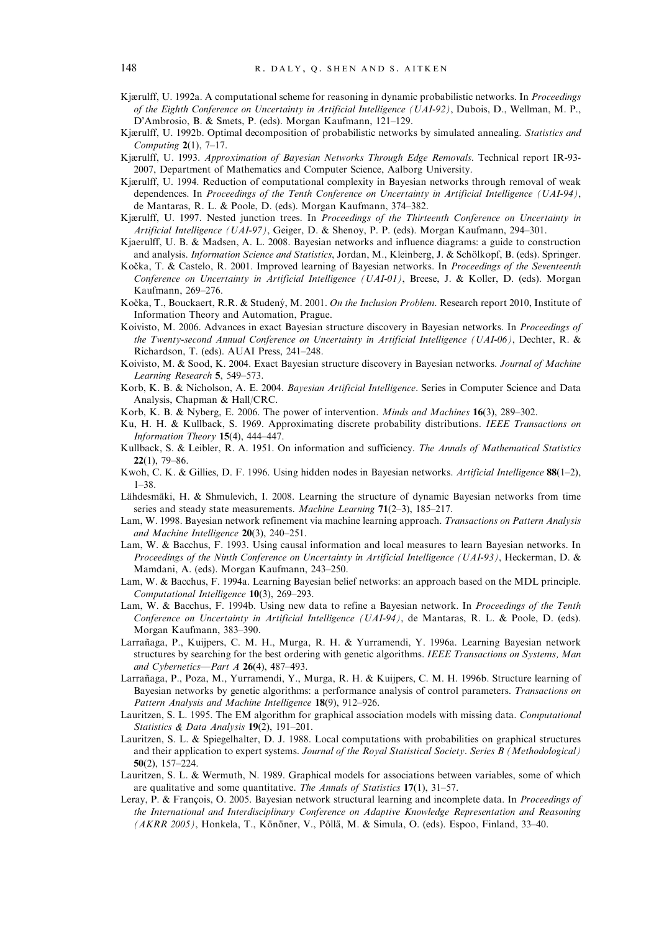- Kjærulff, U. 1992a. A computational scheme for reasoning in dynamic probabilistic networks. In Proceedings of the Eighth Conference on Uncertainty in Artificial Intelligence (UAI-92), Dubois, D., Wellman, M. P., D'Ambrosio, B. & Smets, P. (eds). Morgan Kaufmann, 121–129.
- Kjærulff, U. 1992b. Optimal decomposition of probabilistic networks by simulated annealing. Statistics and Computing 2(1), 7–17.
- Kjærulff, U. 1993. Approximation of Bayesian Networks Through Edge Removals. Technical report IR-93- 2007, Department of Mathematics and Computer Science, Aalborg University.
- Kjærulff, U. 1994. Reduction of computational complexity in Bayesian networks through removal of weak dependences. In Proceedings of the Tenth Conference on Uncertainty in Artificial Intelligence (UAI-94), de Mantaras, R. L. & Poole, D. (eds). Morgan Kaufmann, 374–382.
- Kjærulff, U. 1997. Nested junction trees. In Proceedings of the Thirteenth Conference on Uncertainty in Artificial Intelligence (UAI-97), Geiger, D. & Shenoy, P. P. (eds). Morgan Kaufmann, 294–301.
- Kjaerulff, U. B. & Madsen, A. L. 2008. Bayesian networks and influence diagrams: a guide to construction and analysis. Information Science and Statistics, Jordan, M., Kleinberg, J. & Schölkopf, B. (eds). Springer.
- Kočka, T. & Castelo, R. 2001. Improved learning of Bayesian networks. In *Proceedings of the Seventeenth* Conference on Uncertainty in Artificial Intelligence (UAI-01), Breese, J. & Koller, D. (eds). Morgan Kaufmann, 269–276.
- Kočka, T., Bouckaert, R.R. & Studený, M. 2001. On the Inclusion Problem. Research report 2010, Institute of Information Theory and Automation, Prague.
- Koivisto, M. 2006. Advances in exact Bayesian structure discovery in Bayesian networks. In Proceedings of the Twenty-second Annual Conference on Uncertainty in Artificial Intelligence (UAI-06), Dechter, R. & Richardson, T. (eds). AUAI Press, 241–248.
- Koivisto, M. & Sood, K. 2004. Exact Bayesian structure discovery in Bayesian networks. Journal of Machine Learning Research 5, 549–573.
- Korb, K. B. & Nicholson, A. E. 2004. Bayesian Artificial Intelligence. Series in Computer Science and Data Analysis, Chapman & Hall/CRC.
- Korb, K. B. & Nyberg, E. 2006. The power of intervention. Minds and Machines 16(3), 289–302.
- Ku, H. H. & Kullback, S. 1969. Approximating discrete probability distributions. IEEE Transactions on Information Theory  $15(4)$ ,  $444-447$ .
- Kullback, S. & Leibler, R. A. 1951. On information and sufficiency. The Annals of Mathematical Statistics 22(1), 79–86.
- Kwoh, C. K. & Gillies, D. F. 1996. Using hidden nodes in Bayesian networks. Artificial Intelligence 88(1-2), 1–38.
- Lähdesmäki, H. & Shmulevich, I. 2008. Learning the structure of dynamic Bayesian networks from time series and steady state measurements. *Machine Learning* 71(2–3), 185–217.
- Lam, W. 1998. Bayesian network refinement via machine learning approach. Transactions on Pattern Analysis and Machine Intelligence 20(3), 240–251.
- Lam, W. & Bacchus, F. 1993. Using causal information and local measures to learn Bayesian networks. In Proceedings of the Ninth Conference on Uncertainty in Artificial Intelligence (UAI-93), Heckerman, D. & Mamdani, A. (eds). Morgan Kaufmann, 243–250.
- Lam, W. & Bacchus, F. 1994a. Learning Bayesian belief networks: an approach based on the MDL principle. Computational Intelligence 10(3), 269–293.
- Lam, W. & Bacchus, F. 1994b. Using new data to refine a Bayesian network. In Proceedings of the Tenth Conference on Uncertainty in Artificial Intelligence (UAI-94), de Mantaras, R. L. & Poole, D. (eds). Morgan Kaufmann, 383–390.
- Larrañaga, P., Kuijpers, C. M. H., Murga, R. H. & Yurramendi, Y. 1996a. Learning Bayesian network structures by searching for the best ordering with genetic algorithms. IEEE Transactions on Systems, Man and Cybernetics--- $Part A 26(4)$ , 487-493.
- Larrañaga, P., Poza, M., Yurramendi, Y., Murga, R. H. & Kuijpers, C. M. H. 1996b. Structure learning of Bayesian networks by genetic algorithms: a performance analysis of control parameters. Transactions on Pattern Analysis and Machine Intelligence 18(9), 912–926.
- Lauritzen, S. L. 1995. The EM algorithm for graphical association models with missing data. Computational Statistics & Data Analysis 19(2), 191-201.
- Lauritzen, S. L. & Spiegelhalter, D. J. 1988. Local computations with probabilities on graphical structures and their application to expert systems. Journal of the Royal Statistical Society. Series B (Methodological) 50(2), 157–224.
- Lauritzen, S. L. & Wermuth, N. 1989. Graphical models for associations between variables, some of which are qualitative and some quantitative. The Annals of Statistics 17(1), 31–57.
- Leray, P. & François, O. 2005. Bayesian network structural learning and incomplete data. In Proceedings of the International and Interdisciplinary Conference on Adaptive Knowledge Representation and Reasoning  $(AKRR 2005)$ , Honkela, T., Könöner, V., Pöllä, M. & Simula, O. (eds). Espoo, Finland, 33–40.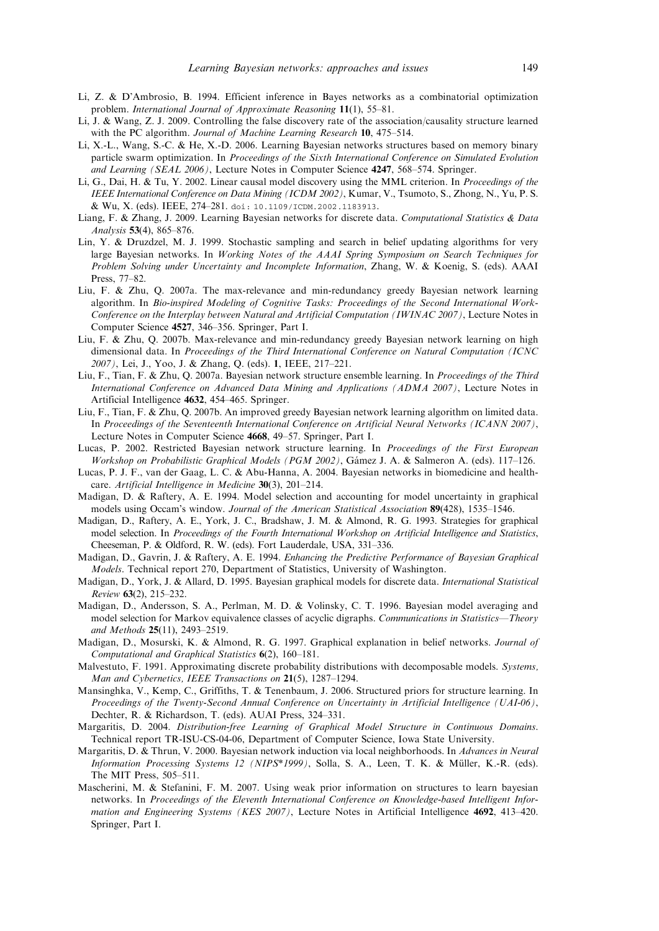- Li, Z. & D'Ambrosio, B. 1994. Efficient inference in Bayes networks as a combinatorial optimization problem. International Journal of Approximate Reasoning 11(1), 55–81.
- Li, J. & Wang, Z. J. 2009. Controlling the false discovery rate of the association/causality structure learned with the PC algorithm. *Journal of Machine Learning Research* 10, 475–514.
- Li, X.-L., Wang, S.-C. & He, X.-D. 2006. Learning Bayesian networks structures based on memory binary particle swarm optimization. In Proceedings of the Sixth International Conference on Simulated Evolution and Learning (SEAL 2006), Lecture Notes in Computer Science 4247, 568–574. Springer.
- Li, G., Dai, H. & Tu, Y. 2002. Linear causal model discovery using the MML criterion. In Proceedings of the IEEE International Conference on Data Mining (ICDM 2002), Kumar, V., Tsumoto, S., Zhong, N., Yu, P. S. & Wu, X. (eds). IEEE, 274–281. doi: 10.1109/ICDM.2002.1183913.
- Liang, F. & Zhang, J. 2009. Learning Bayesian networks for discrete data. Computational Statistics & Data Analysis 53(4), 865–876.
- Lin, Y. & Druzdzel, M. J. 1999. Stochastic sampling and search in belief updating algorithms for very large Bayesian networks. In Working Notes of the AAAI Spring Symposium on Search Techniques for Problem Solving under Uncertainty and Incomplete Information, Zhang, W. & Koenig, S. (eds). AAAI Press, 77–82.
- Liu, F. & Zhu, Q. 2007a. The max-relevance and min-redundancy greedy Bayesian network learning algorithm. In Bio-inspired Modeling of Cognitive Tasks: Proceedings of the Second International Work-Conference on the Interplay between Natural and Artificial Computation (IWINAC 2007), Lecture Notes in Computer Science 4527, 346–356. Springer, Part I.
- Liu, F. & Zhu, Q. 2007b. Max-relevance and min-redundancy greedy Bayesian network learning on high dimensional data. In Proceedings of the Third International Conference on Natural Computation (ICNC 2007), Lei, J., Yoo, J. & Zhang, Q. (eds). 1, IEEE, 217–221.
- Liu, F., Tian, F. & Zhu, Q. 2007a. Bayesian network structure ensemble learning. In Proceedings of the Third International Conference on Advanced Data Mining and Applications (ADMA 2007), Lecture Notes in Artificial Intelligence 4632, 454–465. Springer.
- Liu, F., Tian, F. & Zhu, Q. 2007b. An improved greedy Bayesian network learning algorithm on limited data. In Proceedings of the Seventeenth International Conference on Artificial Neural Networks (ICANN 2007), Lecture Notes in Computer Science 4668, 49–57. Springer, Part I.
- Lucas, P. 2002. Restricted Bayesian network structure learning. In Proceedings of the First European Workshop on Probabilistic Graphical Models (PGM 2002), Gámez J. A. & Salmeron A. (eds). 117-126.
- Lucas, P. J. F., van der Gaag, L. C. & Abu-Hanna, A. 2004. Bayesian networks in biomedicine and healthcare. Artificial Intelligence in Medicine 30(3), 201–214.
- Madigan, D. & Raftery, A. E. 1994. Model selection and accounting for model uncertainty in graphical models using Occam's window. Journal of the American Statistical Association 89(428), 1535–1546.
- Madigan, D., Raftery, A. E., York, J. C., Bradshaw, J. M. & Almond, R. G. 1993. Strategies for graphical model selection. In Proceedings of the Fourth International Workshop on Artificial Intelligence and Statistics, Cheeseman, P. & Oldford, R. W. (eds). Fort Lauderdale, USA, 331–336.
- Madigan, D., Gavrin, J. & Raftery, A. E. 1994. Enhancing the Predictive Performance of Bayesian Graphical Models. Technical report 270, Department of Statistics, University of Washington.
- Madigan, D., York, J. & Allard, D. 1995. Bayesian graphical models for discrete data. International Statistical Review 63(2), 215–232.
- Madigan, D., Andersson, S. A., Perlman, M. D. & Volinsky, C. T. 1996. Bayesian model averaging and model selection for Markov equivalence classes of acyclic digraphs. Communications in Statistics—Theory and Methods 25(11), 2493–2519.
- Madigan, D., Mosurski, K. & Almond, R. G. 1997. Graphical explanation in belief networks. Journal of Computational and Graphical Statistics 6(2), 160–181.
- Malvestuto, F. 1991. Approximating discrete probability distributions with decomposable models. Systems, Man and Cybernetics, IEEE Transactions on 21(5), 1287-1294.
- Mansinghka, V., Kemp, C., Griffiths, T. & Tenenbaum, J. 2006. Structured priors for structure learning. In Proceedings of the Twenty-Second Annual Conference on Uncertainty in Artificial Intelligence (UAI-06), Dechter, R. & Richardson, T. (eds). AUAI Press, 324–331.
- Margaritis, D. 2004. Distribution-free Learning of Graphical Model Structure in Continuous Domains. Technical report TR-ISU-CS-04-06, Department of Computer Science, Iowa State University.
- Margaritis, D. & Thrun, V. 2000. Bayesian network induction via local neighborhoods. In Advances in Neural Information Processing Systems 12 (NIPS\*1999), Solla, S. A., Leen, T. K. & Müller, K.-R. (eds). The MIT Press, 505–511.
- Mascherini, M. & Stefanini, F. M. 2007. Using weak prior information on structures to learn bayesian networks. In Proceedings of the Eleventh International Conference on Knowledge-based Intelligent Information and Engineering Systems (KES 2007), Lecture Notes in Artificial Intelligence **4692**, 413–420. Springer, Part I.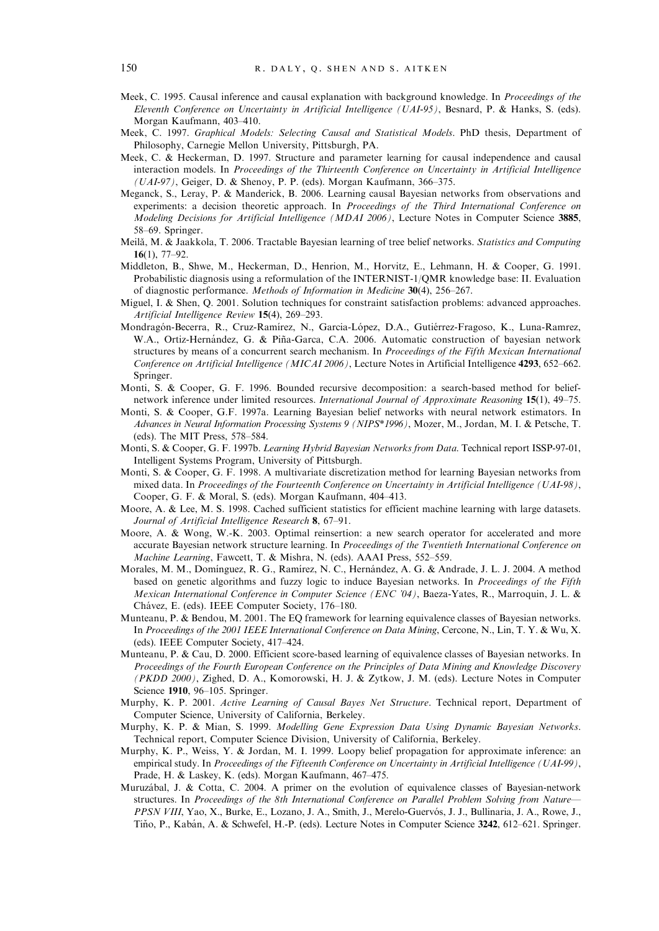- Meek, C. 1995. Causal inference and causal explanation with background knowledge. In *Proceedings of the* Eleventh Conference on Uncertainty in Artificial Intelligence (UAI-95), Besnard, P. & Hanks, S. (eds). Morgan Kaufmann, 403–410.
- Meek, C. 1997. Graphical Models: Selecting Causal and Statistical Models. PhD thesis, Department of Philosophy, Carnegie Mellon University, Pittsburgh, PA.
- Meek, C. & Heckerman, D. 1997. Structure and parameter learning for causal independence and causal interaction models. In Proceedings of the Thirteenth Conference on Uncertainty in Artificial Intelligence  $(UAI-97)$ , Geiger, D. & Shenoy, P. P. (eds). Morgan Kaufmann, 366–375.
- Meganck, S., Leray, P. & Manderick, B. 2006. Learning causal Bayesian networks from observations and experiments: a decision theoretic approach. In Proceedings of the Third International Conference on Modeling Decisions for Artificial Intelligence (MDAI 2006), Lecture Notes in Computer Science 3885, 58–69. Springer.
- Meilă, M. & Jaakkola, T. 2006. Tractable Bayesian learning of tree belief networks. Statistics and Computing 16(1), 77–92.
- Middleton, B., Shwe, M., Heckerman, D., Henrion, M., Horvitz, E., Lehmann, H. & Cooper, G. 1991. Probabilistic diagnosis using a reformulation of the INTERNIST-1/QMR knowledge base: II. Evaluation of diagnostic performance. Methods of Information in Medicine 30(4), 256–267.
- Miguel, I. & Shen, Q. 2001. Solution techniques for constraint satisfaction problems: advanced approaches. Artificial Intelligence Review 15(4), 269–293.
- Mondragón-Becerra, R., Cruz-Ramírez, N., Garcia-López, D.A., Gutiérrez-Fragoso, K., Luna-Ramrez, W.A., Ortiz-Hernández, G. & Piña-Garca, C.A. 2006. Automatic construction of bayesian network structures by means of a concurrent search mechanism. In Proceedings of the Fifth Mexican International Conference on Artificial Intelligence (MICAI 2006), Lecture Notes in Artificial Intelligence 4293, 652–662. Springer.
- Monti, S. & Cooper, G. F. 1996. Bounded recursive decomposition: a search-based method for beliefnetwork inference under limited resources. International Journal of Approximate Reasoning 15(1), 49–75.
- Monti, S. & Cooper, G.F. 1997a. Learning Bayesian belief networks with neural network estimators. In Advances in Neural Information Processing Systems 9 (NIPS\*1996), Mozer, M., Jordan, M. I. & Petsche, T. (eds). The MIT Press, 578–584.
- Monti, S. & Cooper, G. F. 1997b. Learning Hybrid Bayesian Networks from Data. Technical report ISSP-97-01, Intelligent Systems Program, University of Pittsburgh.
- Monti, S. & Cooper, G. F. 1998. A multivariate discretization method for learning Bayesian networks from mixed data. In Proceedings of the Fourteenth Conference on Uncertainty in Artificial Intelligence (UAI-98), Cooper, G. F. & Moral, S. (eds). Morgan Kaufmann, 404–413.
- Moore, A. & Lee, M. S. 1998. Cached sufficient statistics for efficient machine learning with large datasets. Journal of Artificial Intelligence Research 8, 67–91.
- Moore, A. & Wong, W.-K. 2003. Optimal reinsertion: a new search operator for accelerated and more accurate Bayesian network structure learning. In Proceedings of the Twentieth International Conference on Machine Learning, Fawcett, T. & Mishra, N. (eds). AAAI Press, 552–559.
- Morales, M. M., Domínguez, R. G., Ramírez, N. C., Hernández, A. G. & Andrade, J. L. J. 2004. A method based on genetic algorithms and fuzzy logic to induce Bayesian networks. In Proceedings of the Fifth Mexican International Conference in Computer Science (ENC '04), Baeza-Yates, R., Marroquin, J. L. & Chávez, E. (eds). IEEE Computer Society, 176-180.
- Munteanu, P. & Bendou, M. 2001. The EQ framework for learning equivalence classes of Bayesian networks. In Proceedings of the 2001 IEEE International Conference on Data Mining, Cercone, N., Lin, T. Y. & Wu, X. (eds). IEEE Computer Society, 417–424.
- Munteanu, P. & Cau, D. 2000. Efficient score-based learning of equivalence classes of Bayesian networks. In Proceedings of the Fourth European Conference on the Principles of Data Mining and Knowledge Discovery (PKDD 2000), Zighed, D. A., Komorowski, H. J. & Zytkow, J. M. (eds). Lecture Notes in Computer Science 1910, 96–105. Springer.
- Murphy, K. P. 2001. Active Learning of Causal Bayes Net Structure. Technical report, Department of Computer Science, University of California, Berkeley.
- Murphy, K. P. & Mian, S. 1999. Modelling Gene Expression Data Using Dynamic Bayesian Networks. Technical report, Computer Science Division, University of California, Berkeley.
- Murphy, K. P., Weiss, Y. & Jordan, M. I. 1999. Loopy belief propagation for approximate inference: an empirical study. In Proceedings of the Fifteenth Conference on Uncertainty in Artificial Intelligence (UAI-99), Prade, H. & Laskey, K. (eds). Morgan Kaufmann, 467–475.
- Muruza´bal, J. & Cotta, C. 2004. A primer on the evolution of equivalence classes of Bayesian-network structures. In Proceedings of the 8th International Conference on Parallel Problem Solving from Nature-PPSN VIII, Yao, X., Burke, E., Lozano, J. A., Smith, J., Merelo-Guervós, J. J., Bullinaria, J. A., Rowe, J., Tiňo, P., Kabán, A. & Schwefel, H.-P. (eds). Lecture Notes in Computer Science 3242, 612–621. Springer.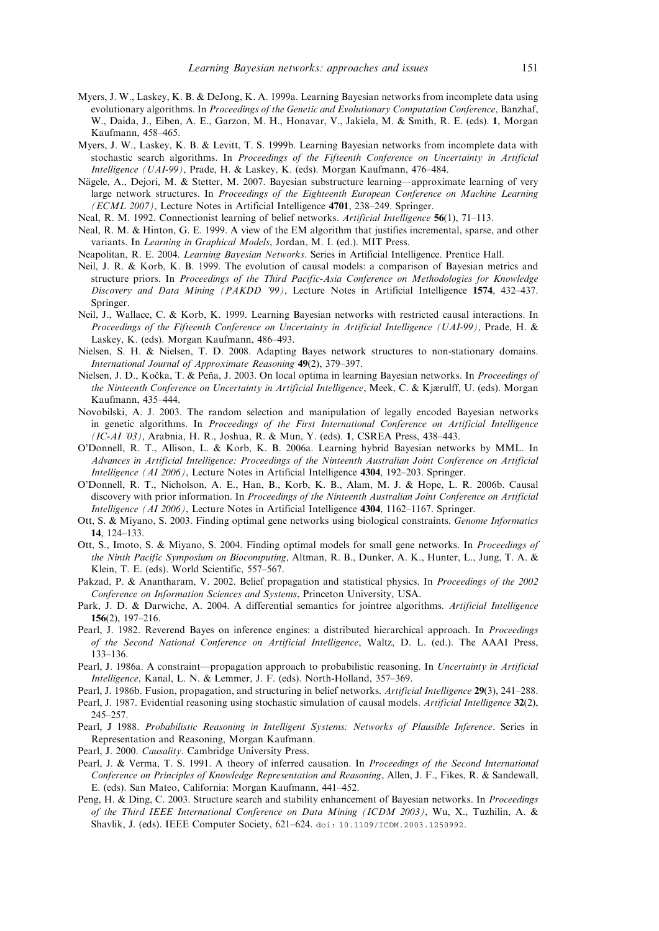- Myers, J. W., Laskey, K. B. & DeJong, K. A. 1999a. Learning Bayesian networks from incomplete data using evolutionary algorithms. In Proceedings of the Genetic and Evolutionary Computation Conference, Banzhaf, W., Daida, J., Eiben, A. E., Garzon, M. H., Honavar, V., Jakiela, M. & Smith, R. E. (eds). 1, Morgan Kaufmann, 458–465.
- Myers, J. W., Laskey, K. B. & Levitt, T. S. 1999b. Learning Bayesian networks from incomplete data with stochastic search algorithms. In Proceedings of the Fifteenth Conference on Uncertainty in Artificial Intelligence (UAI-99), Prade, H. & Laskey, K. (eds). Morgan Kaufmann, 476–484.
- Nägele, A., Dejori, M. & Stetter, M. 2007. Bayesian substructure learning—approximate learning of very large network structures. In Proceedings of the Eighteenth European Conference on Machine Learning (ECML 2007), Lecture Notes in Artificial Intelligence 4701, 238–249. Springer.
- Neal, R. M. 1992. Connectionist learning of belief networks. Artificial Intelligence 56(1), 71–113.
- Neal, R. M. & Hinton, G. E. 1999. A view of the EM algorithm that justifies incremental, sparse, and other variants. In Learning in Graphical Models, Jordan, M. I. (ed.). MIT Press.
- Neapolitan, R. E. 2004. Learning Bayesian Networks. Series in Artificial Intelligence. Prentice Hall.
- Neil, J. R. & Korb, K. B. 1999. The evolution of causal models: a comparison of Bayesian metrics and structure priors. In Proceedings of the Third Pacific-Asia Conference on Methodologies for Knowledge Discovery and Data Mining (PAKDD '99), Lecture Notes in Artificial Intelligence 1574, 432-437. Springer.
- Neil, J., Wallace, C. & Korb, K. 1999. Learning Bayesian networks with restricted causal interactions. In Proceedings of the Fifteenth Conference on Uncertainty in Artificial Intelligence (UAI-99), Prade, H. & Laskey, K. (eds). Morgan Kaufmann, 486–493.
- Nielsen, S. H. & Nielsen, T. D. 2008. Adapting Bayes network structures to non-stationary domains. International Journal of Approximate Reasoning 49(2), 379–397.
- Nielsen, J. D., Kočka, T. & Peña, J. 2003. On local optima in learning Bayesian networks. In *Proceedings of* the Ninteenth Conference on Uncertainty in Artificial Intelligence, Meek, C. & Kjærulff, U. (eds). Morgan Kaufmann, 435–444.
- Novobilski, A. J. 2003. The random selection and manipulation of legally encoded Bayesian networks in genetic algorithms. In Proceedings of the First International Conference on Artificial Intelligence (IC-AI '03), Arabnia, H. R., Joshua, R. & Mun, Y. (eds). 1, CSREA Press, 438–443.
- O'Donnell, R. T., Allison, L. & Korb, K. B. 2006a. Learning hybrid Bayesian networks by MML. In Advances in Artificial Intelligence: Proceedings of the Ninteenth Australian Joint Conference on Artificial Intelligence (AI 2006), Lecture Notes in Artificial Intelligence 4304, 192–203. Springer.
- O'Donnell, R. T., Nicholson, A. E., Han, B., Korb, K. B., Alam, M. J. & Hope, L. R. 2006b. Causal discovery with prior information. In Proceedings of the Ninteenth Australian Joint Conference on Artificial Intelligence (AI 2006), Lecture Notes in Artificial Intelligence 4304, 1162–1167. Springer.
- Ott, S. & Miyano, S. 2003. Finding optimal gene networks using biological constraints. Genome Informatics 14, 124–133.
- Ott, S., Imoto, S. & Miyano, S. 2004. Finding optimal models for small gene networks. In Proceedings of the Ninth Pacific Symposium on Biocomputing, Altman, R. B., Dunker, A. K., Hunter, L., Jung, T. A. & Klein, T. E. (eds). World Scientific, 557–567.
- Pakzad, P. & Anantharam, V. 2002. Belief propagation and statistical physics. In Proceedings of the 2002 Conference on Information Sciences and Systems, Princeton University, USA.
- Park, J. D. & Darwiche, A. 2004. A differential semantics for jointree algorithms. Artificial Intelligence 156(2), 197–216.
- Pearl, J. 1982. Reverend Bayes on inference engines: a distributed hierarchical approach. In Proceedings of the Second National Conference on Artificial Intelligence, Waltz, D. L. (ed.). The AAAI Press, 133–136.
- Pearl, J. 1986a. A constraint—propagation approach to probabilistic reasoning. In Uncertainty in Artificial Intelligence, Kanal, L. N. & Lemmer, J. F. (eds). North-Holland, 357–369.
- Pearl, J. 1986b. Fusion, propagation, and structuring in belief networks. Artificial Intelligence 29(3), 241–288. Pearl, J. 1987. Evidential reasoning using stochastic simulation of causal models. Artificial Intelligence 32(2), 245–257.
- Pearl, J 1988. Probabilistic Reasoning in Intelligent Systems: Networks of Plausible Inference. Series in Representation and Reasoning, Morgan Kaufmann.
- Pearl, J. 2000. Causality. Cambridge University Press.
- Pearl, J. & Verma, T. S. 1991. A theory of inferred causation. In Proceedings of the Second International Conference on Principles of Knowledge Representation and Reasoning, Allen, J. F., Fikes, R. & Sandewall, E. (eds). San Mateo, California: Morgan Kaufmann, 441–452.
- Peng, H. & Ding, C. 2003. Structure search and stability enhancement of Bayesian networks. In Proceedings of the Third IEEE International Conference on Data Mining (ICDM 2003), Wu, X., Tuzhilin, A. & Shavlik, J. (eds). IEEE Computer Society, 621–624. doi: 10.1109/ICDM.2003.1250992.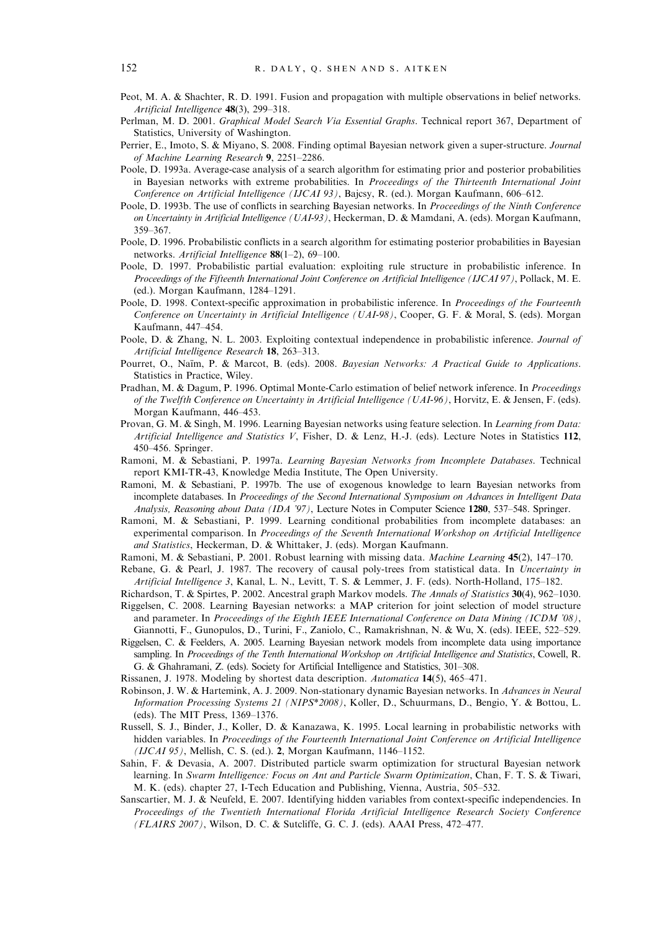- Peot, M. A. & Shachter, R. D. 1991. Fusion and propagation with multiple observations in belief networks. Artificial Intelligence 48(3), 299–318.
- Perlman, M. D. 2001. Graphical Model Search Via Essential Graphs. Technical report 367, Department of Statistics, University of Washington.
- Perrier, E., Imoto, S. & Miyano, S. 2008. Finding optimal Bayesian network given a super-structure. Journal of Machine Learning Research 9, 2251–2286.
- Poole, D. 1993a. Average-case analysis of a search algorithm for estimating prior and posterior probabilities in Bayesian networks with extreme probabilities. In *Proceedings of the Thirteenth International Joint* Conference on Artificial Intelligence (IJCAI 93), Bajcsy, R. (ed.). Morgan Kaufmann, 606–612.
- Poole, D. 1993b. The use of conflicts in searching Bayesian networks. In *Proceedings of the Ninth Conference* on Uncertainty in Artificial Intelligence (UAI-93), Heckerman, D. & Mamdani, A. (eds). Morgan Kaufmann, 359–367.
- Poole, D. 1996. Probabilistic conflicts in a search algorithm for estimating posterior probabilities in Bayesian networks. Artificial Intelligence 88(1–2), 69–100.
- Poole, D. 1997. Probabilistic partial evaluation: exploiting rule structure in probabilistic inference. In Proceedings of the Fifteenth International Joint Conference on Artificial Intelligence (IJCAI 97), Pollack, M. E. (ed.). Morgan Kaufmann, 1284–1291.
- Poole, D. 1998. Context-specific approximation in probabilistic inference. In Proceedings of the Fourteenth Conference on Uncertainty in Artificial Intelligence (UAI-98), Cooper, G. F. & Moral, S. (eds). Morgan Kaufmann, 447–454.
- Poole, D. & Zhang, N. L. 2003. Exploiting contextual independence in probabilistic inference. Journal of Artificial Intelligence Research 18, 263–313.
- Pourret, O., Naïm, P. & Marcot, B. (eds). 2008. Bayesian Networks: A Practical Guide to Applications. Statistics in Practice, Wiley.
- Pradhan, M. & Dagum, P. 1996. Optimal Monte-Carlo estimation of belief network inference. In Proceedings of the Twelfth Conference on Uncertainty in Artificial Intelligence (UAI-96), Horvitz, E. & Jensen, F. (eds). Morgan Kaufmann, 446–453.
- Provan, G. M. & Singh, M. 1996. Learning Bayesian networks using feature selection. In Learning from Data: Artificial Intelligence and Statistics V, Fisher, D. & Lenz, H.-J. (eds). Lecture Notes in Statistics 112, 450–456. Springer.
- Ramoni, M. & Sebastiani, P. 1997a. Learning Bayesian Networks from Incomplete Databases. Technical report KMI-TR-43, Knowledge Media Institute, The Open University.
- Ramoni, M. & Sebastiani, P. 1997b. The use of exogenous knowledge to learn Bayesian networks from incomplete databases. In Proceedings of the Second International Symposium on Advances in Intelligent Data Analysis, Reasoning about Data (IDA '97), Lecture Notes in Computer Science 1280, 537–548. Springer.
- Ramoni, M. & Sebastiani, P. 1999. Learning conditional probabilities from incomplete databases: an experimental comparison. In Proceedings of the Seventh International Workshop on Artificial Intelligence and Statistics, Heckerman, D. & Whittaker, J. (eds). Morgan Kaufmann.
- Ramoni, M. & Sebastiani, P. 2001. Robust learning with missing data. Machine Learning 45(2), 147–170.
- Rebane, G. & Pearl, J. 1987. The recovery of causal poly-trees from statistical data. In Uncertainty in Artificial Intelligence 3, Kanal, L. N., Levitt, T. S. & Lemmer, J. F. (eds). North-Holland, 175–182.
- Richardson, T. & Spirtes, P. 2002. Ancestral graph Markov models. The Annals of Statistics 30(4), 962–1030. Riggelsen, C. 2008. Learning Bayesian networks: a MAP criterion for joint selection of model structure and parameter. In Proceedings of the Eighth IEEE International Conference on Data Mining (ICDM '08),
- Giannotti, F., Gunopulos, D., Turini, F., Zaniolo, C., Ramakrishnan, N. & Wu, X. (eds). IEEE, 522–529. Riggelsen, C. & Feelders, A. 2005. Learning Bayesian network models from incomplete data using importance sampling. In Proceedings of the Tenth International Workshop on Artificial Intelligence and Statistics, Cowell, R. G. & Ghahramani, Z. (eds). Society for Artificial Intelligence and Statistics, 301–308.
- Rissanen, J. 1978. Modeling by shortest data description. Automatica 14(5), 465–471.
- Robinson, J. W. & Hartemink, A. J. 2009. Non-stationary dynamic Bayesian networks. In Advances in Neural Information Processing Systems 21 (NIPS\*2008), Koller, D., Schuurmans, D., Bengio, Y. & Bottou, L. (eds). The MIT Press, 1369–1376.
- Russell, S. J., Binder, J., Koller, D. & Kanazawa, K. 1995. Local learning in probabilistic networks with hidden variables. In Proceedings of the Fourteenth International Joint Conference on Artificial Intelligence (IJCAI 95), Mellish, C. S. (ed.). 2, Morgan Kaufmann, 1146–1152.
- Sahin, F. & Devasia, A. 2007. Distributed particle swarm optimization for structural Bayesian network learning. In Swarm Intelligence: Focus on Ant and Particle Swarm Optimization, Chan, F. T. S. & Tiwari, M. K. (eds). chapter 27, I-Tech Education and Publishing, Vienna, Austria, 505–532.
- Sanscartier, M. J. & Neufeld, E. 2007. Identifying hidden variables from context-specific independencies. In Proceedings of the Twentieth International Florida Artificial Intelligence Research Society Conference (FLAIRS 2007), Wilson, D. C. & Sutcliffe, G. C. J. (eds). AAAI Press, 472–477.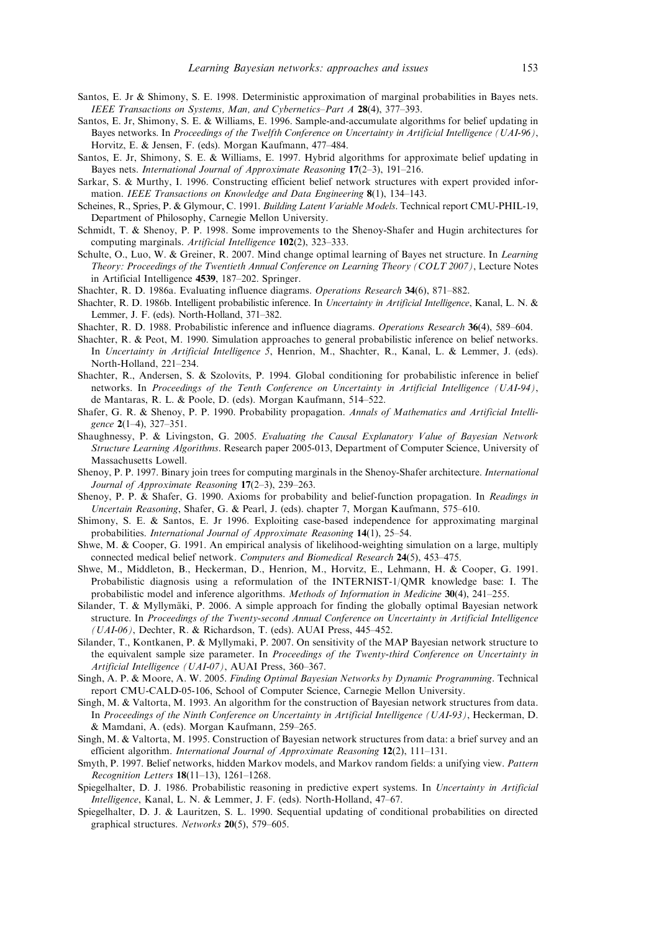- Santos, E. Jr & Shimony, S. E. 1998. Deterministic approximation of marginal probabilities in Bayes nets. IEEE Transactions on Systems, Man, and Cybernetics–Part A 28(4), 377–393.
- Santos, E. Jr, Shimony, S. E. & Williams, E. 1996. Sample-and-accumulate algorithms for belief updating in Bayes networks. In Proceedings of the Twelfth Conference on Uncertainty in Artificial Intelligence (UAI-96), Horvitz, E. & Jensen, F. (eds). Morgan Kaufmann, 477–484.
- Santos, E. Jr, Shimony, S. E. & Williams, E. 1997. Hybrid algorithms for approximate belief updating in Bayes nets. International Journal of Approximate Reasoning 17(2–3), 191–216.
- Sarkar, S. & Murthy, I. 1996. Constructing efficient belief network structures with expert provided information. IEEE Transactions on Knowledge and Data Engineering 8(1), 134–143.
- Scheines, R., Spries, P. & Glymour, C. 1991. Building Latent Variable Models. Technical report CMU-PHIL-19, Department of Philosophy, Carnegie Mellon University.
- Schmidt, T. & Shenoy, P. P. 1998. Some improvements to the Shenoy-Shafer and Hugin architectures for computing marginals. Artificial Intelligence 102(2), 323–333.
- Schulte, O., Luo, W. & Greiner, R. 2007. Mind change optimal learning of Bayes net structure. In Learning Theory: Proceedings of the Twentieth Annual Conference on Learning Theory (COLT 2007), Lecture Notes in Artificial Intelligence 4539, 187–202. Springer.
- Shachter, R. D. 1986a. Evaluating influence diagrams. Operations Research 34(6), 871–882.
- Shachter, R. D. 1986b. Intelligent probabilistic inference. In Uncertainty in Artificial Intelligence, Kanal, L. N. & Lemmer, J. F. (eds). North-Holland, 371–382.
- Shachter, R. D. 1988. Probabilistic inference and influence diagrams. Operations Research 36(4), 589–604.
- Shachter, R. & Peot, M. 1990. Simulation approaches to general probabilistic inference on belief networks. In Uncertainty in Artificial Intelligence 5, Henrion, M., Shachter, R., Kanal, L. & Lemmer, J. (eds). North-Holland, 221–234.
- Shachter, R., Andersen, S. & Szolovits, P. 1994. Global conditioning for probabilistic inference in belief networks. In Proceedings of the Tenth Conference on Uncertainty in Artificial Intelligence (UAI-94), de Mantaras, R. L. & Poole, D. (eds). Morgan Kaufmann, 514–522.
- Shafer, G. R. & Shenoy, P. P. 1990. Probability propagation. Annals of Mathematics and Artificial Intelligence 2(1–4), 327–351.
- Shaughnessy, P. & Livingston, G. 2005. Evaluating the Causal Explanatory Value of Bayesian Network Structure Learning Algorithms. Research paper 2005-013, Department of Computer Science, University of Massachusetts Lowell.
- Shenoy, P. P. 1997. Binary join trees for computing marginals in the Shenoy-Shafer architecture. International Journal of Approximate Reasoning 17(2–3), 239–263.
- Shenoy, P. P. & Shafer, G. 1990. Axioms for probability and belief-function propagation. In Readings in Uncertain Reasoning, Shafer, G. & Pearl, J. (eds). chapter 7, Morgan Kaufmann, 575–610.
- Shimony, S. E. & Santos, E. Jr 1996. Exploiting case-based independence for approximating marginal probabilities. International Journal of Approximate Reasoning 14(1), 25–54.
- Shwe, M. & Cooper, G. 1991. An empirical analysis of likelihood-weighting simulation on a large, multiply connected medical belief network. Computers and Biomedical Research 24(5), 453–475.
- Shwe, M., Middleton, B., Heckerman, D., Henrion, M., Horvitz, E., Lehmann, H. & Cooper, G. 1991. Probabilistic diagnosis using a reformulation of the INTERNIST-1/QMR knowledge base: I. The probabilistic model and inference algorithms. Methods of Information in Medicine 30(4), 241–255.
- Silander, T. & Myllymäki, P. 2006. A simple approach for finding the globally optimal Bayesian network structure. In Proceedings of the Twenty-second Annual Conference on Uncertainty in Artificial Intelligence  $(UAI-06)$ , Dechter, R. & Richardson, T. (eds). AUAI Press, 445–452.
- Silander, T., Kontkanen, P. & Myllymaki, P. 2007. On sensitivity of the MAP Bayesian network structure to the equivalent sample size parameter. In *Proceedings of the Twenty-third Conference on Uncertainty in* Artificial Intelligence (UAI-07), AUAI Press, 360–367.
- Singh, A. P. & Moore, A. W. 2005. Finding Optimal Bayesian Networks by Dynamic Programming. Technical report CMU-CALD-05-106, School of Computer Science, Carnegie Mellon University.
- Singh, M. & Valtorta, M. 1993. An algorithm for the construction of Bayesian network structures from data. In Proceedings of the Ninth Conference on Uncertainty in Artificial Intelligence (UAI-93), Heckerman, D. & Mamdani, A. (eds). Morgan Kaufmann, 259–265.
- Singh, M. & Valtorta, M. 1995. Construction of Bayesian network structures from data: a brief survey and an efficient algorithm. International Journal of Approximate Reasoning  $12(2)$ , 111–131.
- Smyth, P. 1997. Belief networks, hidden Markov models, and Markov random fields: a unifying view. Pattern Recognition Letters 18(11–13), 1261–1268.
- Spiegelhalter, D. J. 1986. Probabilistic reasoning in predictive expert systems. In Uncertainty in Artificial Intelligence, Kanal, L. N. & Lemmer, J. F. (eds). North-Holland, 47–67.
- Spiegelhalter, D. J. & Lauritzen, S. L. 1990. Sequential updating of conditional probabilities on directed graphical structures. Networks 20(5), 579–605.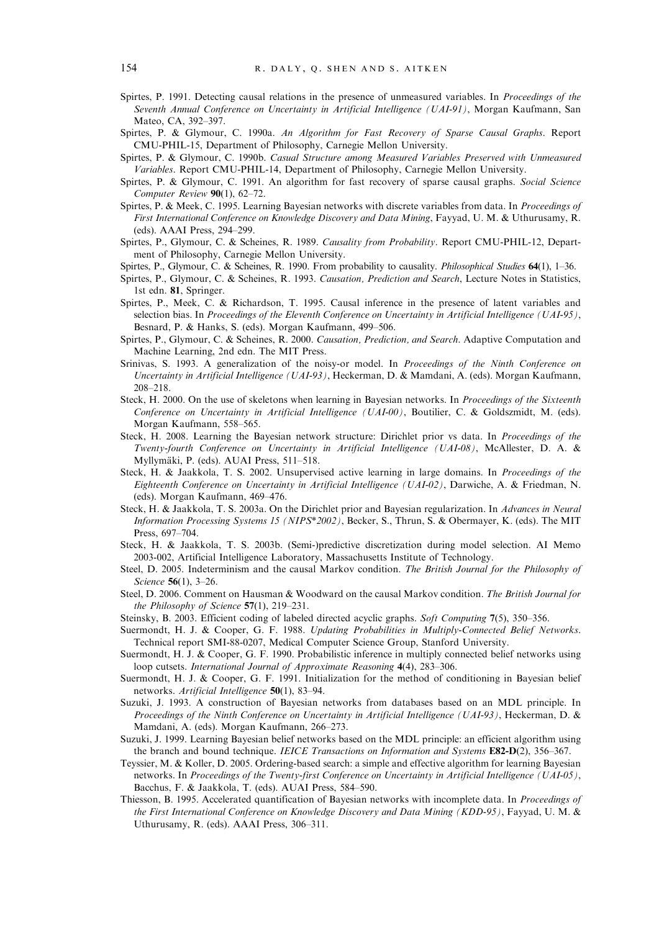- Spirtes, P. 1991. Detecting causal relations in the presence of unmeasured variables. In Proceedings of the Seventh Annual Conference on Uncertainty in Artificial Intelligence (UAI-91), Morgan Kaufmann, San Mateo, CA, 392–397.
- Spirtes, P. & Glymour, C. 1990a. An Algorithm for Fast Recovery of Sparse Causal Graphs. Report CMU-PHIL-15, Department of Philosophy, Carnegie Mellon University.
- Spirtes, P. & Glymour, C. 1990b. Casual Structure among Measured Variables Preserved with Unmeasured Variables. Report CMU-PHIL-14, Department of Philosophy, Carnegie Mellon University.
- Spirtes, P. & Glymour, C. 1991. An algorithm for fast recovery of sparse causal graphs. Social Science Computer Review 90(1), 62–72.
- Spirtes, P. & Meek, C. 1995. Learning Bayesian networks with discrete variables from data. In Proceedings of First International Conference on Knowledge Discovery and Data Mining, Fayyad, U. M. & Uthurusamy, R. (eds). AAAI Press, 294–299.
- Spirtes, P., Glymour, C. & Scheines, R. 1989. Causality from Probability. Report CMU-PHIL-12, Department of Philosophy, Carnegie Mellon University.
- Spirtes, P., Glymour, C. & Scheines, R. 1990. From probability to causality. *Philosophical Studies* 64(1), 1–36.
- Spirtes, P., Glymour, C. & Scheines, R. 1993. Causation, Prediction and Search, Lecture Notes in Statistics, 1st edn. 81, Springer.
- Spirtes, P., Meek, C. & Richardson, T. 1995. Causal inference in the presence of latent variables and selection bias. In Proceedings of the Eleventh Conference on Uncertainty in Artificial Intelligence (UAI-95), Besnard, P. & Hanks, S. (eds). Morgan Kaufmann, 499–506.
- Spirtes, P., Glymour, C. & Scheines, R. 2000. Causation, Prediction, and Search. Adaptive Computation and Machine Learning, 2nd edn. The MIT Press.
- Srinivas, S. 1993. A generalization of the noisy-or model. In Proceedings of the Ninth Conference on Uncertainty in Artificial Intelligence (UAI-93), Heckerman, D. & Mamdani, A. (eds). Morgan Kaufmann, 208–218.
- Steck, H. 2000. On the use of skeletons when learning in Bayesian networks. In Proceedings of the Sixteenth Conference on Uncertainty in Artificial Intelligence (UAI-00), Boutilier, C. & Goldszmidt, M. (eds). Morgan Kaufmann, 558–565.
- Steck, H. 2008. Learning the Bayesian network structure: Dirichlet prior vs data. In Proceedings of the Twenty-fourth Conference on Uncertainty in Artificial Intelligence (UAI-08), McAllester, D. A. & Myllymäki, P. (eds). AUAI Press, 511-518.
- Steck, H. & Jaakkola, T. S. 2002. Unsupervised active learning in large domains. In Proceedings of the Eighteenth Conference on Uncertainty in Artificial Intelligence (UAI-02), Darwiche, A. & Friedman, N. (eds). Morgan Kaufmann, 469–476.
- Steck, H. & Jaakkola, T. S. 2003a. On the Dirichlet prior and Bayesian regularization. In Advances in Neural Information Processing Systems 15 (NIPS\*2002), Becker, S., Thrun, S. & Obermayer, K. (eds). The MIT Press, 697–704.
- Steck, H. & Jaakkola, T. S. 2003b. (Semi-)predictive discretization during model selection. AI Memo 2003-002, Artificial Intelligence Laboratory, Massachusetts Institute of Technology.
- Steel, D. 2005. Indeterminism and the causal Markov condition. The British Journal for the Philosophy of Science **56**(1), 3–26.
- Steel, D. 2006. Comment on Hausman & Woodward on the causal Markov condition. The British Journal for the Philosophy of Science  $57(1)$ , 219-231.
- Steinsky, B. 2003. Efficient coding of labeled directed acyclic graphs. Soft Computing 7(5), 350–356.
- Suermondt, H. J. & Cooper, G. F. 1988. Updating Probabilities in Multiply-Connected Belief Networks. Technical report SMI-88-0207, Medical Computer Science Group, Stanford University.
- Suermondt, H. J. & Cooper, G. F. 1990. Probabilistic inference in multiply connected belief networks using loop cutsets. International Journal of Approximate Reasoning 4(4), 283-306.
- Suermondt, H. J. & Cooper, G. F. 1991. Initialization for the method of conditioning in Bayesian belief networks. Artificial Intelligence 50(1), 83–94.
- Suzuki, J. 1993. A construction of Bayesian networks from databases based on an MDL principle. In Proceedings of the Ninth Conference on Uncertainty in Artificial Intelligence (UAI-93), Heckerman, D. & Mamdani, A. (eds). Morgan Kaufmann, 266–273.
- Suzuki, J. 1999. Learning Bayesian belief networks based on the MDL principle: an efficient algorithm using the branch and bound technique. IEICE Transactions on Information and Systems E82-D(2), 356-367.
- Teyssier, M. & Koller, D. 2005. Ordering-based search: a simple and effective algorithm for learning Bayesian networks. In Proceedings of the Twenty-first Conference on Uncertainty in Artificial Intelligence (UAI-05), Bacchus, F. & Jaakkola, T. (eds). AUAI Press, 584–590.
- Thiesson, B. 1995. Accelerated quantification of Bayesian networks with incomplete data. In Proceedings of the First International Conference on Knowledge Discovery and Data Mining (KDD-95), Fayyad, U. M. & Uthurusamy, R. (eds). AAAI Press, 306–311.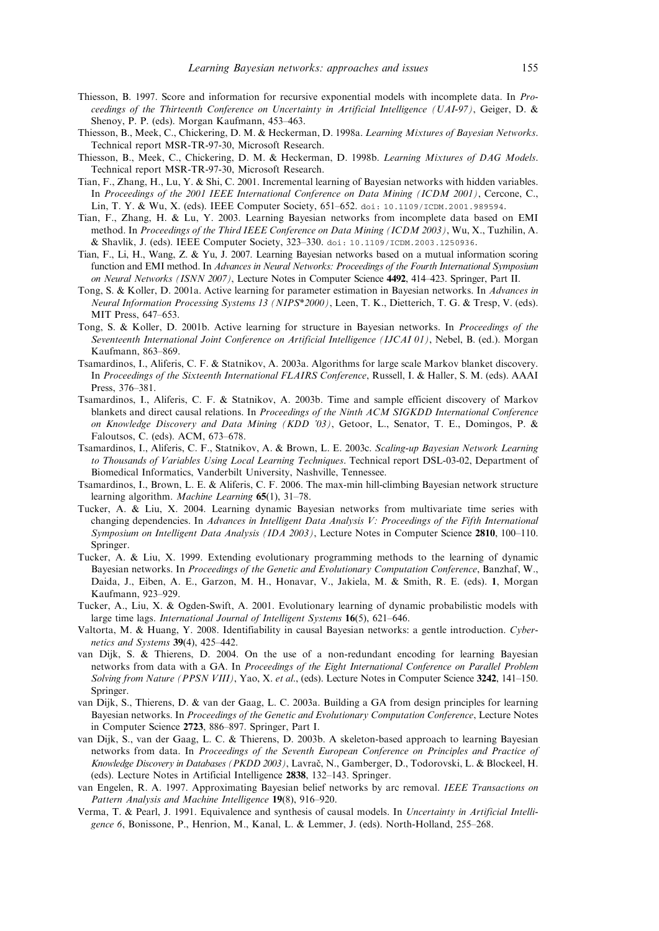- Thiesson, B. 1997. Score and information for recursive exponential models with incomplete data. In Proceedings of the Thirteenth Conference on Uncertainty in Artificial Intelligence (UAI-97), Geiger, D. & Shenoy, P. P. (eds). Morgan Kaufmann, 453–463.
- Thiesson, B., Meek, C., Chickering, D. M. & Heckerman, D. 1998a. Learning Mixtures of Bayesian Networks. Technical report MSR-TR-97-30, Microsoft Research.
- Thiesson, B., Meek, C., Chickering, D. M. & Heckerman, D. 1998b. Learning Mixtures of DAG Models. Technical report MSR-TR-97-30, Microsoft Research.
- Tian, F., Zhang, H., Lu, Y. & Shi, C. 2001. Incremental learning of Bayesian networks with hidden variables. In Proceedings of the 2001 IEEE International Conference on Data Mining (ICDM 2001), Cercone, C., Lin, T. Y. & Wu, X. (eds). IEEE Computer Society, 651–652. doi: 10.1109/ICDM.2001.989594.
- Tian, F., Zhang, H. & Lu, Y. 2003. Learning Bayesian networks from incomplete data based on EMI method. In Proceedings of the Third IEEE Conference on Data Mining (ICDM 2003), Wu, X., Tuzhilin, A. & Shavlik, J. (eds). IEEE Computer Society, 323–330. doi: 10.1109/ICDM.2003.1250936.
- Tian, F., Li, H., Wang, Z. & Yu, J. 2007. Learning Bayesian networks based on a mutual information scoring function and EMI method. In Advances in Neural Networks: Proceedings of the Fourth International Symposium on Neural Networks (ISNN 2007), Lecture Notes in Computer Science 4492, 414-423. Springer, Part II.
- Tong, S. & Koller, D. 2001a. Active learning for parameter estimation in Bayesian networks. In Advances in Neural Information Processing Systems 13 (NIPS\*2000), Leen, T. K., Dietterich, T. G. & Tresp, V. (eds). MIT Press, 647–653.
- Tong, S. & Koller, D. 2001b. Active learning for structure in Bayesian networks. In Proceedings of the Seventeenth International Joint Conference on Artificial Intelligence (IJCAI 01), Nebel, B. (ed.). Morgan Kaufmann, 863–869.
- Tsamardinos, I., Aliferis, C. F. & Statnikov, A. 2003a. Algorithms for large scale Markov blanket discovery. In Proceedings of the Sixteenth International FLAIRS Conference, Russell, I. & Haller, S. M. (eds). AAAI Press, 376–381.
- Tsamardinos, I., Aliferis, C. F. & Statnikov, A. 2003b. Time and sample efficient discovery of Markov blankets and direct causal relations. In Proceedings of the Ninth ACM SIGKDD International Conference on Knowledge Discovery and Data Mining (KDD '03), Getoor, L., Senator, T. E., Domingos, P. & Faloutsos, C. (eds). ACM, 673–678.
- Tsamardinos, I., Aliferis, C. F., Statnikov, A. & Brown, L. E. 2003c. Scaling-up Bayesian Network Learning to Thousands of Variables Using Local Learning Techniques. Technical report DSL-03-02, Department of Biomedical Informatics, Vanderbilt University, Nashville, Tennessee.
- Tsamardinos, I., Brown, L. E. & Aliferis, C. F. 2006. The max-min hill-climbing Bayesian network structure learning algorithm. Machine Learning 65(1), 31–78.
- Tucker, A. & Liu, X. 2004. Learning dynamic Bayesian networks from multivariate time series with changing dependencies. In Advances in Intelligent Data Analysis V: Proceedings of the Fifth International Symposium on Intelligent Data Analysis (IDA 2003), Lecture Notes in Computer Science 2810, 100–110. Springer.
- Tucker, A. & Liu, X. 1999. Extending evolutionary programming methods to the learning of dynamic Bayesian networks. In Proceedings of the Genetic and Evolutionary Computation Conference, Banzhaf, W., Daida, J., Eiben, A. E., Garzon, M. H., Honavar, V., Jakiela, M. & Smith, R. E. (eds). 1, Morgan Kaufmann, 923–929.
- Tucker, A., Liu, X. & Ogden-Swift, A. 2001. Evolutionary learning of dynamic probabilistic models with large time lags. International Journal of Intelligent Systems 16(5), 621–646.
- Valtorta, M. & Huang, Y. 2008. Identifiability in causal Bayesian networks: a gentle introduction. Cybernetics and Systems 39(4), 425–442.
- van Dijk, S. & Thierens, D. 2004. On the use of a non-redundant encoding for learning Bayesian networks from data with a GA. In Proceedings of the Eight International Conference on Parallel Problem Solving from Nature (PPSN VIII), Yao, X. et al., (eds). Lecture Notes in Computer Science 3242, 141–150. Springer.
- van Dijk, S., Thierens, D. & van der Gaag, L. C. 2003a. Building a GA from design principles for learning Bayesian networks. In Proceedings of the Genetic and Evolutionary Computation Conference, Lecture Notes in Computer Science 2723, 886–897. Springer, Part I.
- van Dijk, S., van der Gaag, L. C. & Thierens, D. 2003b. A skeleton-based approach to learning Bayesian networks from data. In Proceedings of the Seventh European Conference on Principles and Practice of Knowledge Discovery in Databases (PKDD 2003), Lavrač, N., Gamberger, D., Todorovski, L. & Blockeel, H. (eds). Lecture Notes in Artificial Intelligence 2838, 132–143. Springer.
- van Engelen, R. A. 1997. Approximating Bayesian belief networks by arc removal. IEEE Transactions on Pattern Analysis and Machine Intelligence 19(8), 916–920.
- Verma, T. & Pearl, J. 1991. Equivalence and synthesis of causal models. In Uncertainty in Artificial Intelligence 6, Bonissone, P., Henrion, M., Kanal, L. & Lemmer, J. (eds). North-Holland, 255–268.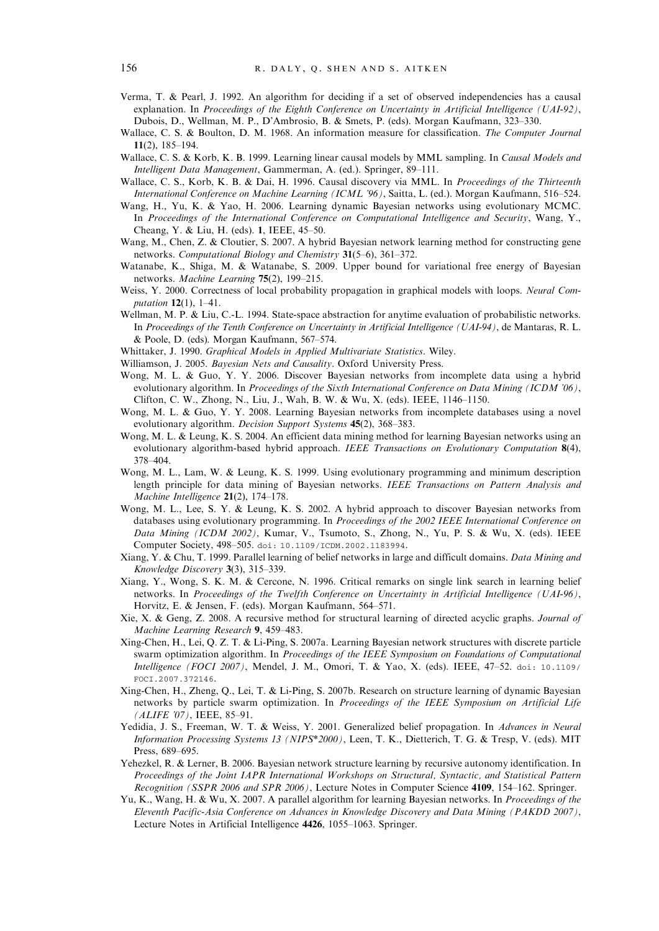- Verma, T. & Pearl, J. 1992. An algorithm for deciding if a set of observed independencies has a causal explanation. In Proceedings of the Eighth Conference on Uncertainty in Artificial Intelligence (UAI-92), Dubois, D., Wellman, M. P., D'Ambrosio, B. & Smets, P. (eds). Morgan Kaufmann, 323–330.
- Wallace, C. S. & Boulton, D. M. 1968. An information measure for classification. The Computer Journal 11(2), 185–194.
- Wallace, C. S. & Korb, K. B. 1999. Learning linear causal models by MML sampling. In Causal Models and Intelligent Data Management, Gammerman, A. (ed.). Springer, 89–111.
- Wallace, C. S., Korb, K. B. & Dai, H. 1996. Causal discovery via MML. In Proceedings of the Thirteenth International Conference on Machine Learning (ICML '96), Saitta, L. (ed.). Morgan Kaufmann, 516–524.
- Wang, H., Yu, K. & Yao, H. 2006. Learning dynamic Bayesian networks using evolutionary MCMC. In Proceedings of the International Conference on Computational Intelligence and Security, Wang, Y., Cheang, Y. & Liu, H. (eds). 1, IEEE, 45–50.
- Wang, M., Chen, Z. & Cloutier, S. 2007. A hybrid Bayesian network learning method for constructing gene networks. Computational Biology and Chemistry 31(5–6), 361–372.
- Watanabe, K., Shiga, M. & Watanabe, S. 2009. Upper bound for variational free energy of Bayesian networks. Machine Learning 75(2), 199–215.
- Weiss, Y. 2000. Correctness of local probability propagation in graphical models with loops. Neural Computation 12(1), 1–41.
- Wellman, M. P. & Liu, C.-L. 1994. State-space abstraction for anytime evaluation of probabilistic networks. In Proceedings of the Tenth Conference on Uncertainty in Artificial Intelligence (UAI-94), de Mantaras, R. L. & Poole, D. (eds). Morgan Kaufmann, 567–574.
- Whittaker, J. 1990. Graphical Models in Applied Multivariate Statistics. Wiley.
- Williamson, J. 2005. Bayesian Nets and Causality. Oxford University Press.
- Wong, M. L. & Guo, Y. Y. 2006. Discover Bayesian networks from incomplete data using a hybrid evolutionary algorithm. In *Proceedings of the Sixth International Conference on Data Mining (ICDM '06*), Clifton, C. W., Zhong, N., Liu, J., Wah, B. W. & Wu, X. (eds). IEEE, 1146–1150.
- Wong, M. L. & Guo, Y. Y. 2008. Learning Bayesian networks from incomplete databases using a novel evolutionary algorithm. Decision Support Systems 45(2), 368-383.
- Wong, M. L. & Leung, K. S. 2004. An efficient data mining method for learning Bayesian networks using an evolutionary algorithm-based hybrid approach. IEEE Transactions on Evolutionary Computation 8(4), 378–404.
- Wong, M. L., Lam, W. & Leung, K. S. 1999. Using evolutionary programming and minimum description length principle for data mining of Bayesian networks. IEEE Transactions on Pattern Analysis and Machine Intelligence 21(2), 174-178.
- Wong, M. L., Lee, S. Y. & Leung, K. S. 2002. A hybrid approach to discover Bayesian networks from databases using evolutionary programming. In *Proceedings of the 2002 IEEE International Conference on* Data Mining (ICDM 2002), Kumar, V., Tsumoto, S., Zhong, N., Yu, P. S. & Wu, X. (eds). IEEE Computer Society, 498–505. doi: 10.1109/ICDM.2002.1183994.
- Xiang, Y. & Chu, T. 1999. Parallel learning of belief networks in large and difficult domains. Data Mining and Knowledge Discovery 3(3), 315–339.
- Xiang, Y., Wong, S. K. M. & Cercone, N. 1996. Critical remarks on single link search in learning belief networks. In Proceedings of the Twelfth Conference on Uncertainty in Artificial Intelligence (UAI-96), Horvitz, E. & Jensen, F. (eds). Morgan Kaufmann, 564–571.
- Xie, X. & Geng, Z. 2008. A recursive method for structural learning of directed acyclic graphs. Journal of Machine Learning Research 9, 459–483.
- Xing-Chen, H., Lei, Q. Z. T. & Li-Ping, S. 2007a. Learning Bayesian network structures with discrete particle swarm optimization algorithm. In Proceedings of the IEEE Symposium on Foundations of Computational Intelligence (FOCI 2007), Mendel, J. M., Omori, T. & Yao, X. (eds). IEEE, 47–52. doi: 10.1109/ FOCI.2007.372146.
- Xing-Chen, H., Zheng, Q., Lei, T. & Li-Ping, S. 2007b. Research on structure learning of dynamic Bayesian networks by particle swarm optimization. In Proceedings of the IEEE Symposium on Artificial Life (ALIFE '07), IEEE, 85–91.
- Yedidia, J. S., Freeman, W. T. & Weiss, Y. 2001. Generalized belief propagation. In Advances in Neural Information Processing Systems 13 (NIPS\*2000), Leen, T. K., Dietterich, T. G. & Tresp, V. (eds). MIT Press, 689–695.
- Yehezkel, R. & Lerner, B. 2006. Bayesian network structure learning by recursive autonomy identification. In Proceedings of the Joint IAPR International Workshops on Structural, Syntactic, and Statistical Pattern Recognition (SSPR 2006 and SPR 2006), Lecture Notes in Computer Science 4109, 154–162. Springer.
- Yu, K., Wang, H. & Wu, X. 2007. A parallel algorithm for learning Bayesian networks. In *Proceedings of the* Eleventh Pacific-Asia Conference on Advances in Knowledge Discovery and Data Mining (PAKDD 2007), Lecture Notes in Artificial Intelligence 4426, 1055–1063. Springer.